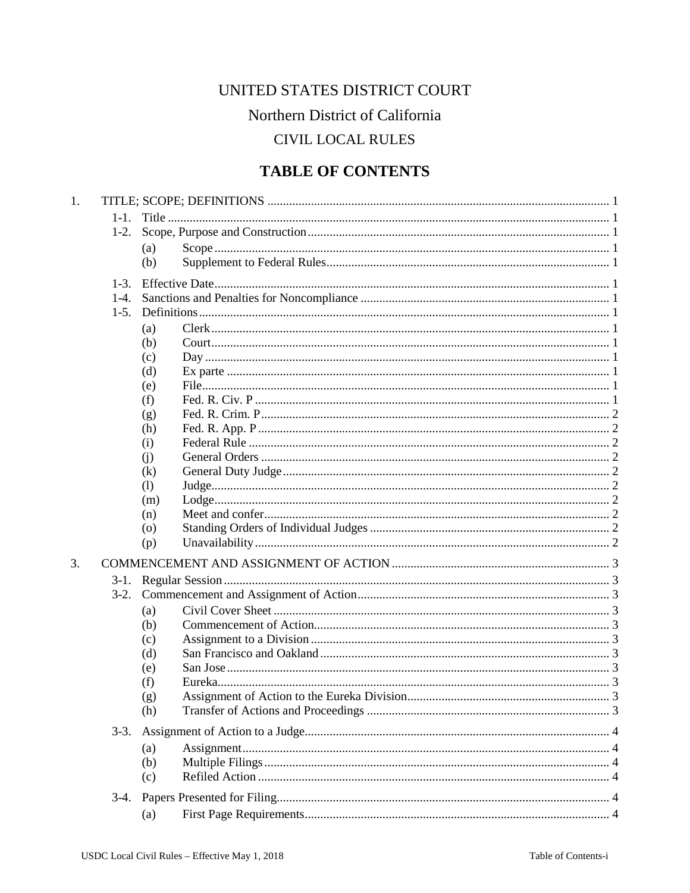# UNITED STATES DISTRICT COURT

Northern District of California

**CIVIL LOCAL RULES** 

# **TABLE OF CONTENTS**

| 1. |         |                    |  |
|----|---------|--------------------|--|
|    | $1-1$ . |                    |  |
|    | $1-2.$  |                    |  |
|    |         | (a)                |  |
|    |         | (b)                |  |
|    | $1-3.$  |                    |  |
|    | $1-4.$  |                    |  |
|    |         |                    |  |
|    |         | (a)                |  |
|    |         | (b)                |  |
|    |         | (c)                |  |
|    |         | (d)                |  |
|    |         | (e)                |  |
|    |         | (f)                |  |
|    |         | (g)                |  |
|    |         | (h)<br>(i)         |  |
|    |         | (i)                |  |
|    |         | (k)                |  |
|    |         | (1)                |  |
|    |         | (m)                |  |
|    |         | (n)                |  |
|    |         | $\left( 0 \right)$ |  |
|    |         | (p)                |  |
| 3. |         |                    |  |
|    |         |                    |  |
|    |         |                    |  |
|    |         | (a)                |  |
|    |         | (b)                |  |
|    |         | (c)                |  |
|    |         | (d)                |  |
|    |         | (e)                |  |
|    |         | (f)                |  |
|    |         |                    |  |
|    |         |                    |  |
|    | $3-3.$  |                    |  |
|    |         | (a)                |  |
|    |         | (b)                |  |
|    |         |                    |  |
|    | $3-4.$  |                    |  |
|    |         | (a)                |  |
|    |         | (g)<br>(h)<br>(c)  |  |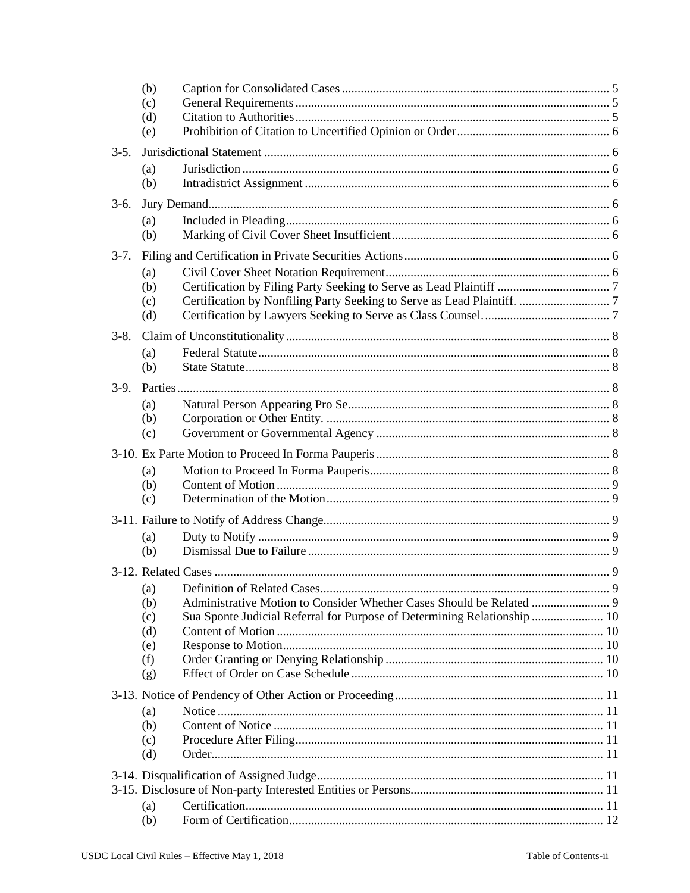|        | (b)<br>(c)<br>(d)<br>(e)                      |                                                                          |  |
|--------|-----------------------------------------------|--------------------------------------------------------------------------|--|
| $3-5.$ | (a)<br>(b)                                    |                                                                          |  |
| $3-6.$ | (a)<br>(b)                                    |                                                                          |  |
| $3-7.$ | (a)<br>(b)<br>(c)<br>(d)                      |                                                                          |  |
| $3-8.$ | (a)<br>(b)                                    |                                                                          |  |
| $3-9.$ | (a)<br>(b)<br>(c)                             |                                                                          |  |
|        | (a)<br>(b)<br>(c)                             |                                                                          |  |
|        | (a)<br>(b)                                    |                                                                          |  |
|        | (a)<br>(b)<br>(c)<br>(d)<br>(e)<br>(f)<br>(g) | Sua Sponte Judicial Referral for Purpose of Determining Relationship  10 |  |
|        | (a)<br>(b)<br>(c)<br>(d)                      |                                                                          |  |
|        | (a)<br>(b)                                    |                                                                          |  |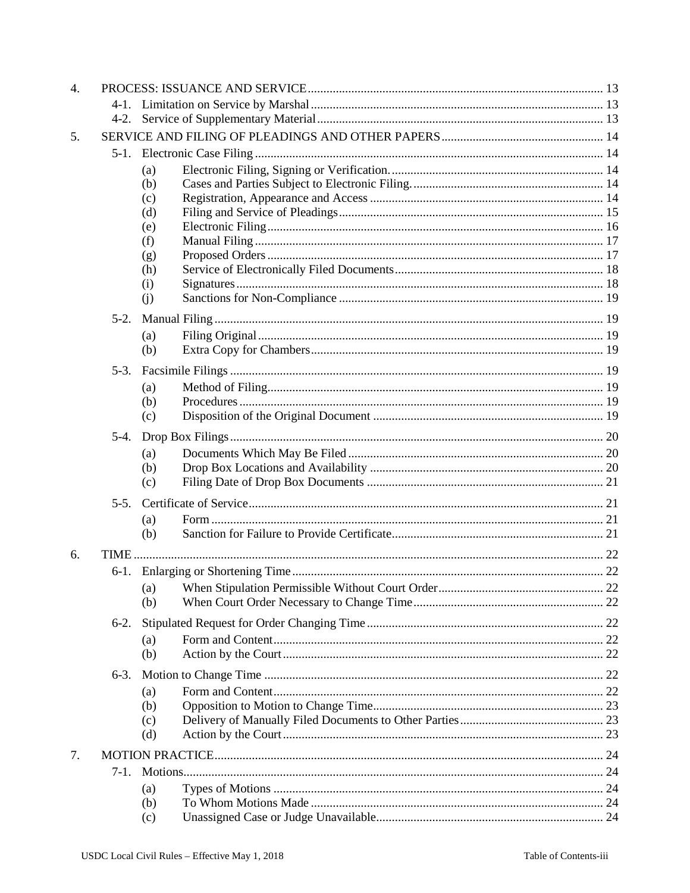| $\overline{4}$ . |         |            |  |
|------------------|---------|------------|--|
|                  |         |            |  |
|                  | $4-2.$  |            |  |
| 5.               |         |            |  |
|                  |         |            |  |
|                  |         | (a)        |  |
|                  |         | (b)        |  |
|                  |         | (c)        |  |
|                  |         | (d)        |  |
|                  |         | (e)        |  |
|                  |         | (f)        |  |
|                  |         | (g)<br>(h) |  |
|                  |         | (i)        |  |
|                  |         | (i)        |  |
|                  |         |            |  |
|                  | $5-2.$  |            |  |
|                  |         | (a)        |  |
|                  |         | (b)        |  |
|                  | $5-3.$  |            |  |
|                  |         | (a)        |  |
|                  |         | (b)        |  |
|                  |         | (c)        |  |
|                  | $5-4.$  |            |  |
|                  |         | (a)        |  |
|                  |         | (b)        |  |
|                  |         | (c)        |  |
|                  | $5-5.$  |            |  |
|                  |         | (a)        |  |
|                  |         | (b)        |  |
| 6.               |         |            |  |
|                  |         |            |  |
|                  |         |            |  |
|                  |         | (b)        |  |
|                  | $6-2.$  |            |  |
|                  |         | (a)        |  |
|                  |         | (b)        |  |
|                  |         |            |  |
|                  | $6-3.$  |            |  |
|                  |         | (a)<br>(b) |  |
|                  |         | (c)        |  |
|                  |         | (d)        |  |
| 7.               |         |            |  |
|                  | $7-1$ . |            |  |
|                  |         |            |  |
|                  |         | (a)<br>(b) |  |
|                  |         | (c)        |  |
|                  |         |            |  |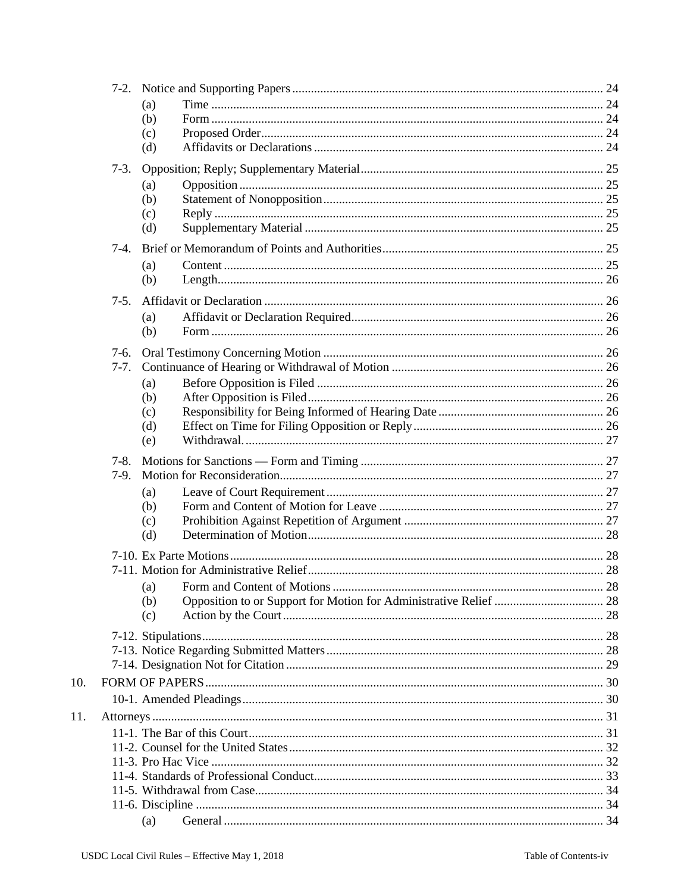| $7-2.$ |            |  |
|--------|------------|--|
|        | (a)        |  |
|        | (b)        |  |
|        | (c)        |  |
|        | (d)        |  |
| $7-3.$ |            |  |
|        | (a)        |  |
|        | (b)        |  |
|        | (c)        |  |
|        | (d)        |  |
| $7-4.$ |            |  |
|        | (a)<br>(b) |  |
|        |            |  |
| $7-5.$ |            |  |
|        | (a)        |  |
|        | (b)        |  |
| $7-6.$ |            |  |
| $7-7.$ |            |  |
|        | (a)        |  |
|        | (b)        |  |
|        | (c)        |  |
|        | (d)<br>(e) |  |
|        |            |  |
| $7-8.$ |            |  |
| $7-9.$ |            |  |
|        | (a)        |  |
|        | (b)<br>(c) |  |
|        | (d)        |  |
|        |            |  |
|        |            |  |
|        |            |  |
|        |            |  |
|        | (b)<br>(c) |  |
|        |            |  |
|        |            |  |
|        |            |  |
|        |            |  |
|        |            |  |
|        |            |  |
|        |            |  |
|        |            |  |
|        |            |  |
|        |            |  |
|        |            |  |
|        |            |  |
|        | (a)        |  |

 $10.$ 

11.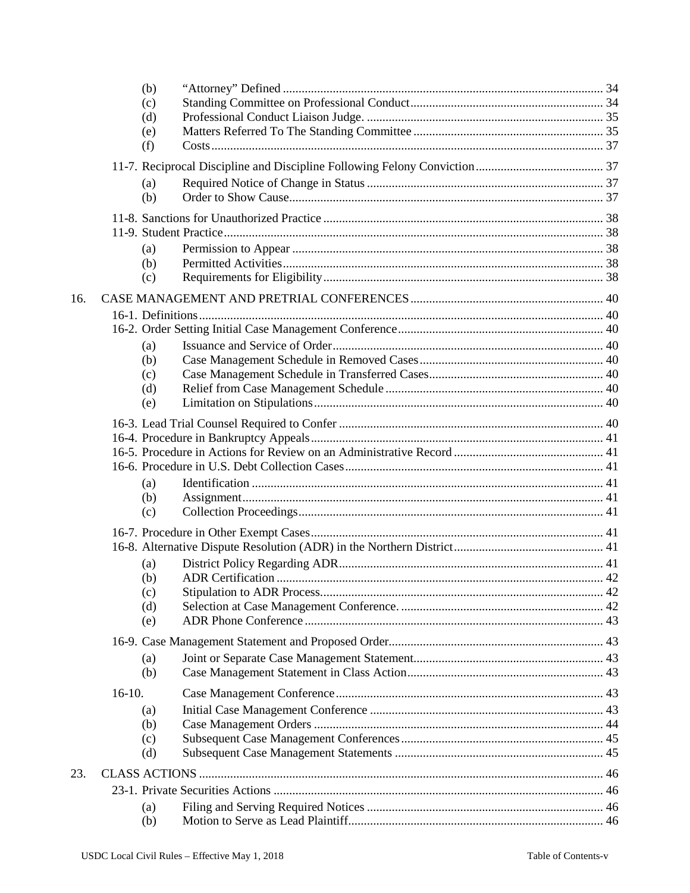|     | (b)<br>(c) |  |
|-----|------------|--|
|     | (d)        |  |
|     | (e)        |  |
|     | (f)        |  |
|     |            |  |
|     | (a)        |  |
|     | (b)        |  |
|     |            |  |
|     |            |  |
|     | (a)        |  |
|     | (b)        |  |
|     | (c)        |  |
| 16. |            |  |
|     |            |  |
|     |            |  |
|     | (a)        |  |
|     | (b)        |  |
|     | (c)        |  |
|     | (d)<br>(e) |  |
|     |            |  |
|     |            |  |
|     |            |  |
|     |            |  |
|     | (a)        |  |
|     | (b)        |  |
|     | (c)        |  |
|     |            |  |
|     |            |  |
|     | (a)        |  |
|     | (b)        |  |
|     | (c)        |  |
|     | (d)        |  |
|     | (e)        |  |
|     |            |  |
|     | (a)        |  |
|     | (b)        |  |
|     | $16-10.$   |  |
|     | (a)        |  |
|     | (b)        |  |
|     | (c)        |  |
|     | (d)        |  |
| 23. |            |  |
|     |            |  |
|     | (a)        |  |
|     | (b)        |  |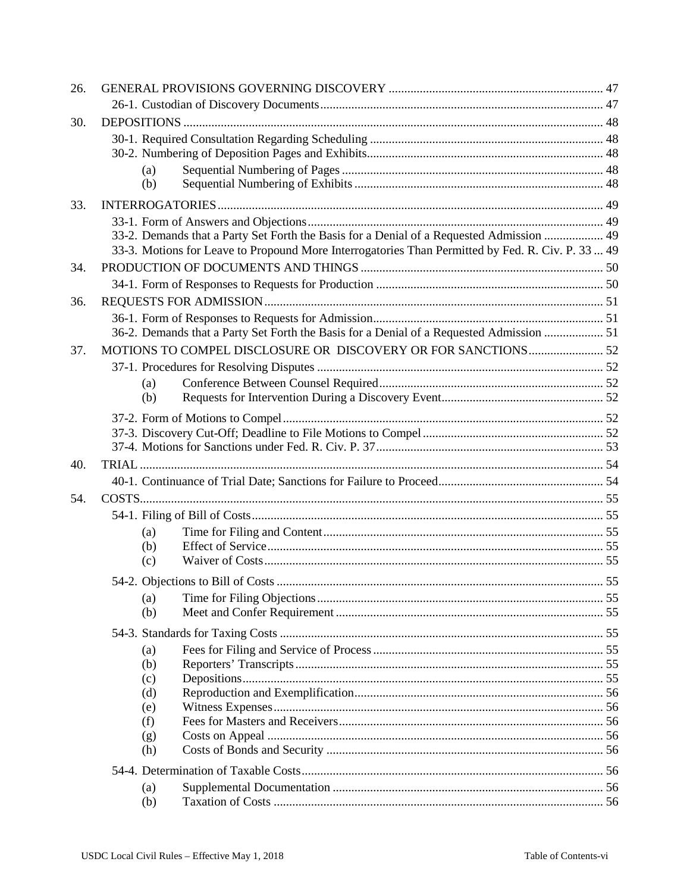| 26. |            |                                                                                                   |  |  |
|-----|------------|---------------------------------------------------------------------------------------------------|--|--|
|     |            |                                                                                                   |  |  |
| 30. |            |                                                                                                   |  |  |
|     |            |                                                                                                   |  |  |
|     |            |                                                                                                   |  |  |
|     | (a)<br>(b) |                                                                                                   |  |  |
|     |            |                                                                                                   |  |  |
| 33. |            |                                                                                                   |  |  |
|     |            | 33-2. Demands that a Party Set Forth the Basis for a Denial of a Requested Admission  49          |  |  |
|     |            | 33-3. Motions for Leave to Propound More Interrogatories Than Permitted by Fed. R. Civ. P. 33  49 |  |  |
| 34. |            |                                                                                                   |  |  |
|     |            |                                                                                                   |  |  |
| 36. |            |                                                                                                   |  |  |
|     |            |                                                                                                   |  |  |
|     |            | 36-2. Demands that a Party Set Forth the Basis for a Denial of a Requested Admission  51          |  |  |
| 37. |            |                                                                                                   |  |  |
|     |            |                                                                                                   |  |  |
|     | (a)        |                                                                                                   |  |  |
|     | (b)        |                                                                                                   |  |  |
|     |            |                                                                                                   |  |  |
|     |            |                                                                                                   |  |  |
| 40. |            |                                                                                                   |  |  |
|     |            |                                                                                                   |  |  |
| 54. |            |                                                                                                   |  |  |
|     |            |                                                                                                   |  |  |
|     | (a)        |                                                                                                   |  |  |
|     | (b)        |                                                                                                   |  |  |
|     | (c)        |                                                                                                   |  |  |
|     |            |                                                                                                   |  |  |
|     | (a)        |                                                                                                   |  |  |
|     | (b)        |                                                                                                   |  |  |
|     |            |                                                                                                   |  |  |
|     | (a)        |                                                                                                   |  |  |
|     | (b)<br>(c) |                                                                                                   |  |  |
|     | (d)        |                                                                                                   |  |  |
|     | (e)        |                                                                                                   |  |  |
|     | (f)        |                                                                                                   |  |  |
|     | (g)<br>(h) |                                                                                                   |  |  |
|     |            |                                                                                                   |  |  |
|     |            |                                                                                                   |  |  |
|     | (a)<br>(b) |                                                                                                   |  |  |
|     |            |                                                                                                   |  |  |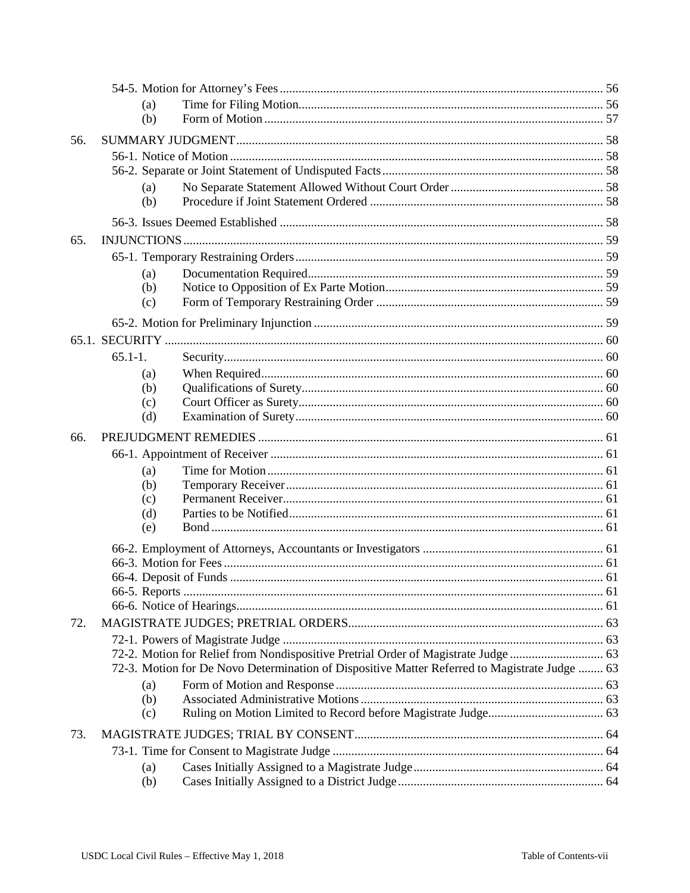|     | (a)         |                                                                                               |  |
|-----|-------------|-----------------------------------------------------------------------------------------------|--|
|     | (b)         |                                                                                               |  |
| 56. |             |                                                                                               |  |
|     |             |                                                                                               |  |
|     |             |                                                                                               |  |
|     | (a)         |                                                                                               |  |
|     | (b)         |                                                                                               |  |
|     |             |                                                                                               |  |
| 65. |             |                                                                                               |  |
|     |             |                                                                                               |  |
|     | (a)         |                                                                                               |  |
|     | (b)         |                                                                                               |  |
|     | (c)         |                                                                                               |  |
|     |             |                                                                                               |  |
|     |             |                                                                                               |  |
|     | $65.1 - 1.$ |                                                                                               |  |
|     | (a)         |                                                                                               |  |
|     | (b)         |                                                                                               |  |
|     | (c)         |                                                                                               |  |
|     | (d)         |                                                                                               |  |
| 66. |             |                                                                                               |  |
|     |             |                                                                                               |  |
|     | (a)         |                                                                                               |  |
|     | (b)         |                                                                                               |  |
|     | (c)         |                                                                                               |  |
|     | (d)<br>(e)  |                                                                                               |  |
|     |             |                                                                                               |  |
|     |             |                                                                                               |  |
|     |             |                                                                                               |  |
|     |             |                                                                                               |  |
|     |             |                                                                                               |  |
| 72. |             |                                                                                               |  |
|     |             |                                                                                               |  |
|     |             | 72-2. Motion for Relief from Nondispositive Pretrial Order of Magistrate Judge  63            |  |
|     |             | 72-3. Motion for De Novo Determination of Dispositive Matter Referred to Magistrate Judge  63 |  |
|     | (a)         |                                                                                               |  |
|     | (b)         |                                                                                               |  |
|     | (c)         |                                                                                               |  |
| 73. |             |                                                                                               |  |
|     |             |                                                                                               |  |
|     | (a)         |                                                                                               |  |
|     | (b)         |                                                                                               |  |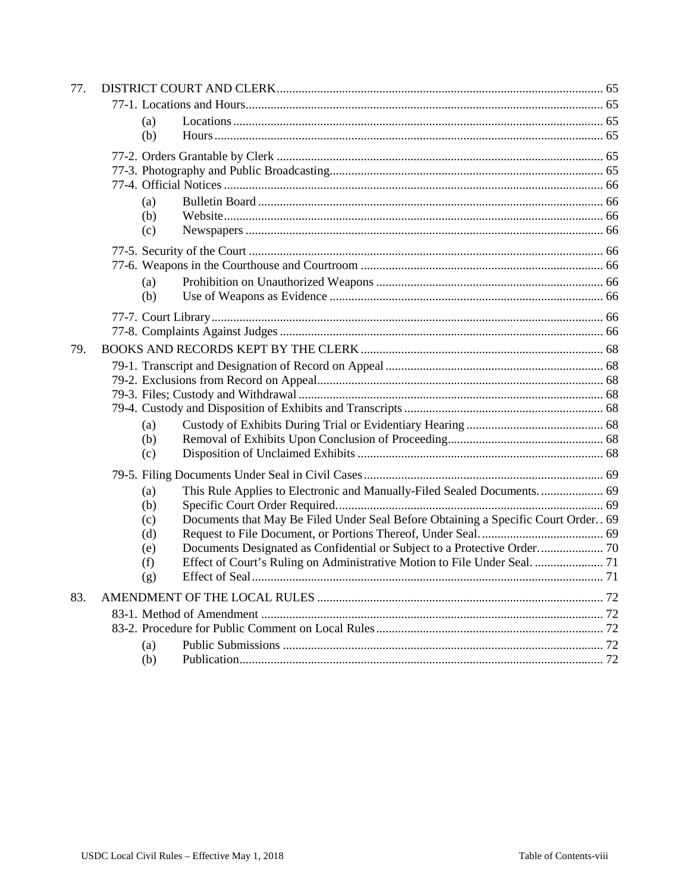| 77. |     |                                                                                   |  |
|-----|-----|-----------------------------------------------------------------------------------|--|
|     |     |                                                                                   |  |
|     | (a) |                                                                                   |  |
|     | (b) |                                                                                   |  |
|     |     |                                                                                   |  |
|     |     |                                                                                   |  |
|     |     |                                                                                   |  |
|     | (a) |                                                                                   |  |
|     | (b) |                                                                                   |  |
|     | (c) |                                                                                   |  |
|     |     |                                                                                   |  |
|     |     |                                                                                   |  |
|     | (a) |                                                                                   |  |
|     | (b) |                                                                                   |  |
|     |     |                                                                                   |  |
|     |     |                                                                                   |  |
| 79. |     |                                                                                   |  |
|     |     |                                                                                   |  |
|     |     |                                                                                   |  |
|     |     |                                                                                   |  |
|     |     |                                                                                   |  |
|     | (a) |                                                                                   |  |
|     | (b) |                                                                                   |  |
|     | (c) |                                                                                   |  |
|     |     |                                                                                   |  |
|     | (a) | This Rule Applies to Electronic and Manually-Filed Sealed Documents 69            |  |
|     | (b) |                                                                                   |  |
|     | (c) | Documents that May Be Filed Under Seal Before Obtaining a Specific Court Order 69 |  |
|     | (d) |                                                                                   |  |
|     | (e) |                                                                                   |  |
|     | (f) | Effect of Court's Ruling on Administrative Motion to File Under Seal.  71         |  |
|     | (g) |                                                                                   |  |
| 83. |     |                                                                                   |  |
|     |     |                                                                                   |  |
|     |     |                                                                                   |  |
|     | (a) |                                                                                   |  |
|     | (b) |                                                                                   |  |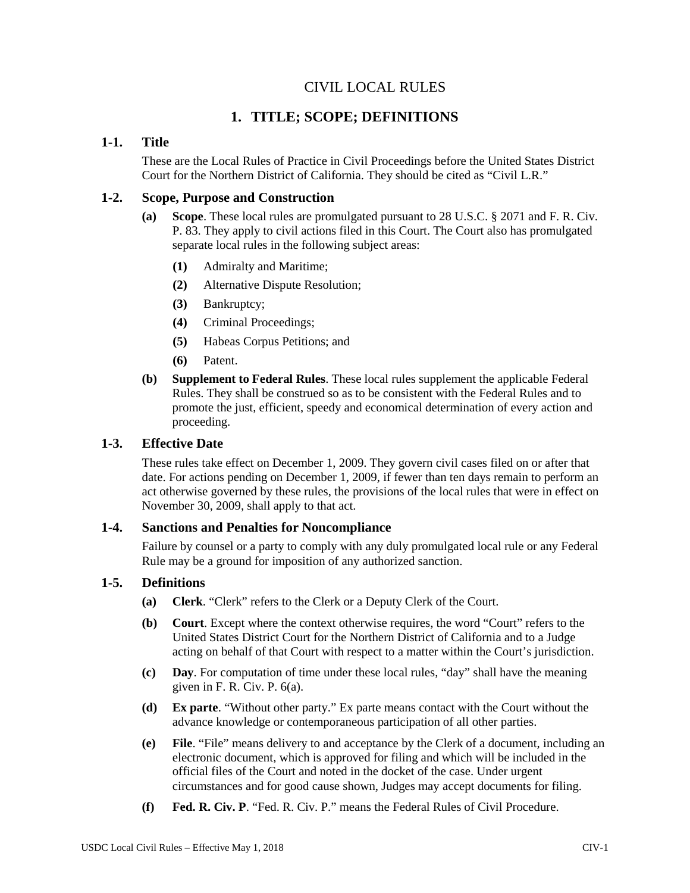# CIVIL LOCAL RULES

# **1. TITLE; SCOPE; DEFINITIONS**

### <span id="page-8-1"></span><span id="page-8-0"></span>**1-1. Title**

These are the Local Rules of Practice in Civil Proceedings before the United States District Court for the Northern District of California. They should be cited as "Civil L.R."

### <span id="page-8-3"></span><span id="page-8-2"></span>**1-2. Scope, Purpose and Construction**

- **(a) Scope**. These local rules are promulgated pursuant to 28 U.S.C. § 2071 and F. R. Civ. P. 83. They apply to civil actions filed in this Court. The Court also has promulgated separate local rules in the following subject areas:
	- **(1)** Admiralty and Maritime;
	- **(2)** Alternative Dispute Resolution;
	- **(3)** Bankruptcy;
	- **(4)** Criminal Proceedings;
	- **(5)** Habeas Corpus Petitions; and
	- **(6)** Patent.
- <span id="page-8-4"></span>**(b) Supplement to Federal Rules**. These local rules supplement the applicable Federal Rules. They shall be construed so as to be consistent with the Federal Rules and to promote the just, efficient, speedy and economical determination of every action and proceeding.

### <span id="page-8-5"></span>**1-3. Effective Date**

These rules take effect on December 1, 2009. They govern civil cases filed on or after that date. For actions pending on December 1, 2009, if fewer than ten days remain to perform an act otherwise governed by these rules, the provisions of the local rules that were in effect on November 30, 2009, shall apply to that act.

### <span id="page-8-6"></span>**1-4. Sanctions and Penalties for Noncompliance**

Failure by counsel or a party to comply with any duly promulgated local rule or any Federal Rule may be a ground for imposition of any authorized sanction.

# <span id="page-8-9"></span><span id="page-8-8"></span><span id="page-8-7"></span>**1-5. Definitions**

- **(a) Clerk**. "Clerk" refers to the Clerk or a Deputy Clerk of the Court.
- **(b) Court**. Except where the context otherwise requires, the word "Court" refers to the United States District Court for the Northern District of California and to a Judge acting on behalf of that Court with respect to a matter within the Court's jurisdiction.
- <span id="page-8-10"></span>**(c) Day**. For computation of time under these local rules, "day" shall have the meaning given in F. R. Civ. P. 6(a).
- <span id="page-8-11"></span>**(d) Ex parte**. "Without other party." Ex parte means contact with the Court without the advance knowledge or contemporaneous participation of all other parties.
- <span id="page-8-12"></span>**(e) File**. "File" means delivery to and acceptance by the Clerk of a document, including an electronic document, which is approved for filing and which will be included in the official files of the Court and noted in the docket of the case. Under urgent circumstances and for good cause shown, Judges may accept documents for filing.
- <span id="page-8-13"></span>**(f) Fed. R. Civ. P**. "Fed. R. Civ. P." means the Federal Rules of Civil Procedure.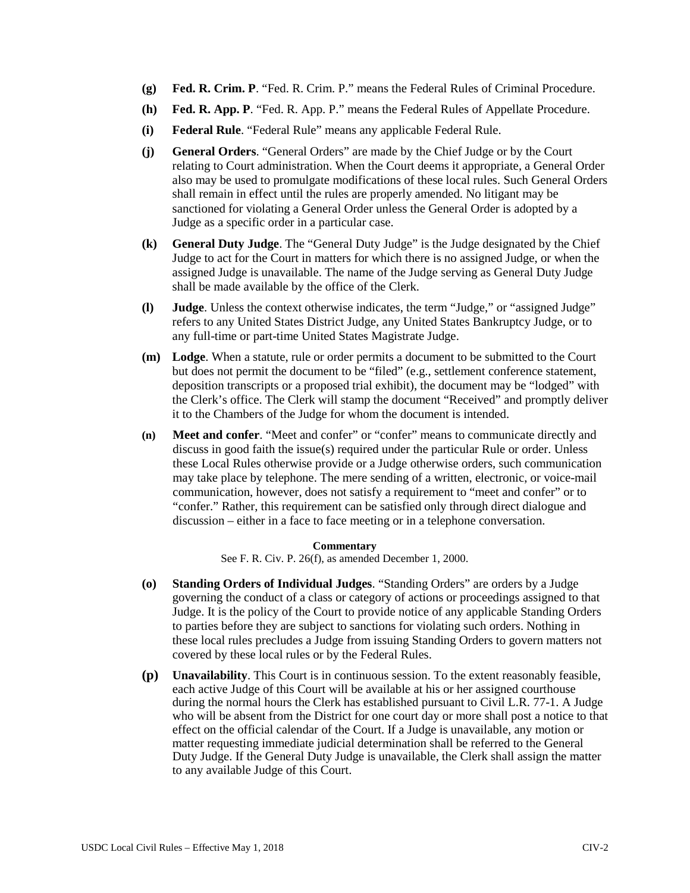- <span id="page-9-0"></span>**(g) Fed. R. Crim. P**. "Fed. R. Crim. P." means the Federal Rules of Criminal Procedure.
- <span id="page-9-1"></span>**(h) Fed. R. App. P**. "Fed. R. App. P." means the Federal Rules of Appellate Procedure.
- <span id="page-9-2"></span>**(i) Federal Rule**. "Federal Rule" means any applicable Federal Rule.
- <span id="page-9-3"></span>**(j) General Orders**. "General Orders" are made by the Chief Judge or by the Court relating to Court administration. When the Court deems it appropriate, a General Order also may be used to promulgate modifications of these local rules. Such General Orders shall remain in effect until the rules are properly amended. No litigant may be sanctioned for violating a General Order unless the General Order is adopted by a Judge as a specific order in a particular case.
- <span id="page-9-4"></span>**(k) General Duty Judge**. The "General Duty Judge" is the Judge designated by the Chief Judge to act for the Court in matters for which there is no assigned Judge, or when the assigned Judge is unavailable. The name of the Judge serving as General Duty Judge shall be made available by the office of the Clerk.
- <span id="page-9-5"></span>**(l) Judge**. Unless the context otherwise indicates, the term "Judge," or "assigned Judge" refers to any United States District Judge, any United States Bankruptcy Judge, or to any full-time or part-time United States Magistrate Judge.
- <span id="page-9-6"></span>**(m) Lodge**. When a statute, rule or order permits a document to be submitted to the Court but does not permit the document to be "filed" (e.g., settlement conference statement, deposition transcripts or a proposed trial exhibit), the document may be "lodged" with the Clerk's office. The Clerk will stamp the document "Received" and promptly deliver it to the Chambers of the Judge for whom the document is intended.
- <span id="page-9-7"></span>**(n) Meet and confer**. "Meet and confer" or "confer" means to communicate directly and discuss in good faith the issue(s) required under the particular Rule or order. Unless these Local Rules otherwise provide or a Judge otherwise orders, such communication may take place by telephone. The mere sending of a written, electronic, or voice-mail communication, however, does not satisfy a requirement to "meet and confer" or to "confer." Rather, this requirement can be satisfied only through direct dialogue and discussion – either in a face to face meeting or in a telephone conversation.

#### **Commentary**

See F. R. Civ. P. 26(f), as amended December 1, 2000.

- <span id="page-9-8"></span>**(o) Standing Orders of Individual Judges**. "Standing Orders" are orders by a Judge governing the conduct of a class or category of actions or proceedings assigned to that Judge. It is the policy of the Court to provide notice of any applicable Standing Orders to parties before they are subject to sanctions for violating such orders. Nothing in these local rules precludes a Judge from issuing Standing Orders to govern matters not covered by these local rules or by the Federal Rules.
- <span id="page-9-9"></span>**(p) Unavailability**. This Court is in continuous session. To the extent reasonably feasible, each active Judge of this Court will be available at his or her assigned courthouse during the normal hours the Clerk has established pursuant to Civil L.R. 77-1. A Judge who will be absent from the District for one court day or more shall post a notice to that effect on the official calendar of the Court. If a Judge is unavailable, any motion or matter requesting immediate judicial determination shall be referred to the General Duty Judge. If the General Duty Judge is unavailable, the Clerk shall assign the matter to any available Judge of this Court.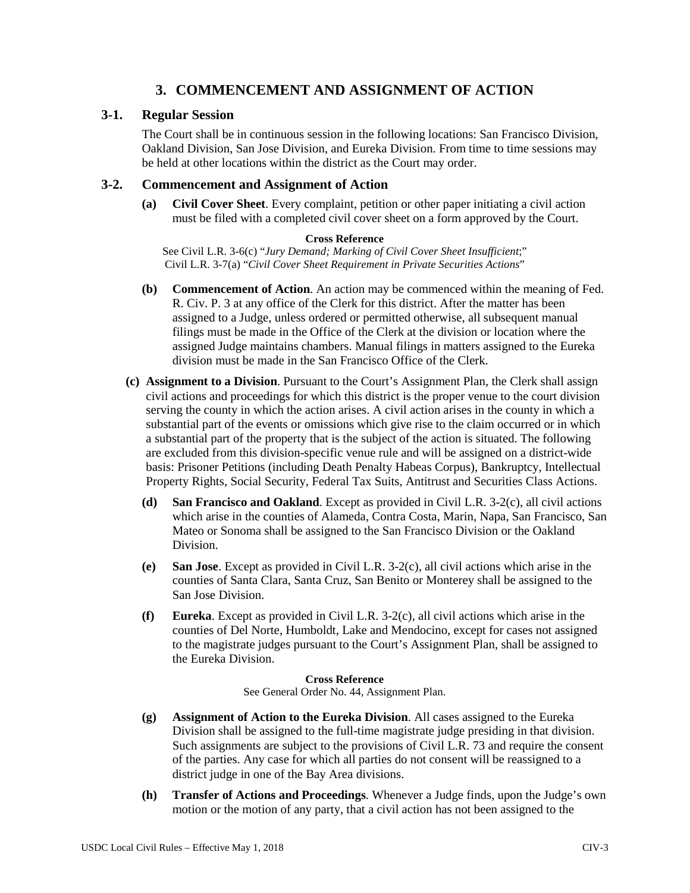# **3. COMMENCEMENT AND ASSIGNMENT OF ACTION**

## <span id="page-10-1"></span><span id="page-10-0"></span>**3-1. Regular Session**

The Court shall be in continuous session in the following locations: San Francisco Division, Oakland Division, San Jose Division, and Eureka Division. From time to time sessions may be held at other locations within the district as the Court may order.

### <span id="page-10-3"></span><span id="page-10-2"></span>**3-2. Commencement and Assignment of Action**

**(a) Civil Cover Sheet**. Every complaint, petition or other paper initiating a civil action must be filed with a completed civil cover sheet on a form approved by the Court.

#### **Cross Reference**

See Civil L.R. 3-6(c) "*Jury Demand; Marking of Civil Cover Sheet Insufficient*;" Civil L.R. 3-7(a) "*Civil Cover Sheet Requirement in Private Securities Actions*"

- <span id="page-10-4"></span>**(b) Commencement of Action**. An action may be commenced within the meaning of Fed. R. Civ. P. 3 at any office of the Clerk for this district. After the matter has been assigned to a Judge, unless ordered or permitted otherwise, all subsequent manual filings must be made in the Office of the Clerk at the division or location where the assigned Judge maintains chambers. Manual filings in matters assigned to the Eureka division must be made in the San Francisco Office of the Clerk.
- <span id="page-10-6"></span><span id="page-10-5"></span>**(c) Assignment to a Division**. Pursuant to the Court's Assignment Plan, the Clerk shall assign civil actions and proceedings for which this district is the proper venue to the court division serving the county in which the action arises. A civil action arises in the county in which a substantial part of the events or omissions which give rise to the claim occurred or in which a substantial part of the property that is the subject of the action is situated. The following are excluded from this division-specific venue rule and will be assigned on a district-wide basis: Prisoner Petitions (including Death Penalty Habeas Corpus), Bankruptcy, Intellectual Property Rights, Social Security, Federal Tax Suits, Antitrust and Securities Class Actions.
	- **(d) San Francisco and Oakland**. Except as provided in Civil L.R. 3-2(c), all civil actions which arise in the counties of Alameda, Contra Costa, Marin, Napa, San Francisco, San Mateo or Sonoma shall be assigned to the San Francisco Division or the Oakland Division.
	- **(e) San Jose**. Except as provided in Civil L.R. 3-2(c), all civil actions which arise in the counties of Santa Clara, Santa Cruz, San Benito or Monterey shall be assigned to the San Jose Division.
	- **(f) Eureka**. Except as provided in Civil L.R. 3-2(c), all civil actions which arise in the counties of Del Norte, Humboldt, Lake and Mendocino, except for cases not assigned to the magistrate judges pursuant to the Court's Assignment Plan, shall be assigned to the Eureka Division.

#### **Cross Reference**

See General Order No. 44, Assignment Plan.

- <span id="page-10-9"></span><span id="page-10-8"></span><span id="page-10-7"></span>**(g) Assignment of Action to the Eureka Division**. All cases assigned to the Eureka Division shall be assigned to the full-time magistrate judge presiding in that division. Such assignments are subject to the provisions of Civil L.R. 73 and require the consent of the parties. Any case for which all parties do not consent will be reassigned to a district judge in one of the Bay Area divisions.
- <span id="page-10-10"></span>**(h) Transfer of Actions and Proceedings**. Whenever a Judge finds, upon the Judge's own motion or the motion of any party, that a civil action has not been assigned to the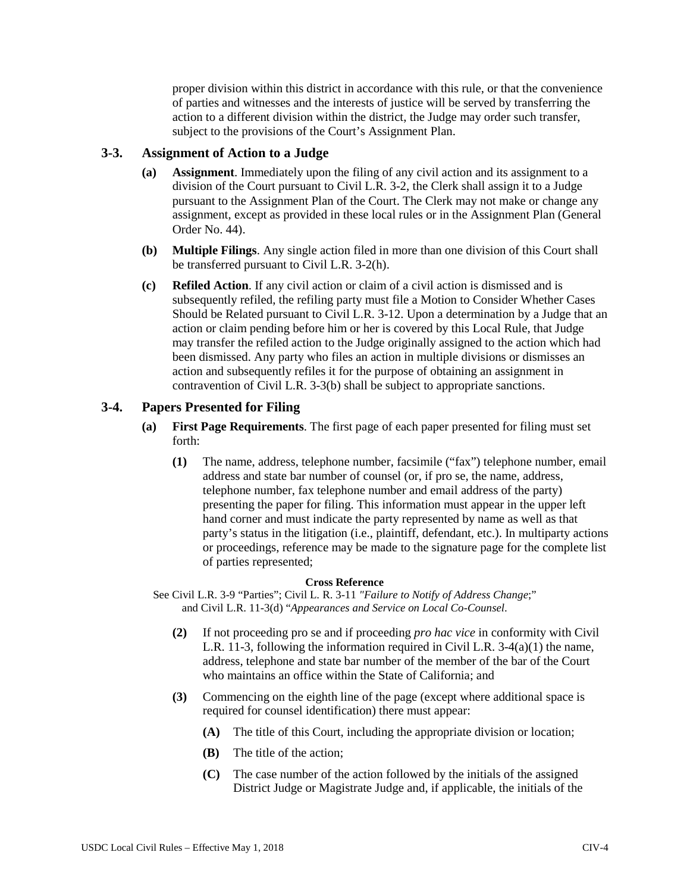proper division within this district in accordance with this rule, or that the convenience of parties and witnesses and the interests of justice will be served by transferring the action to a different division within the district, the Judge may order such transfer, subject to the provisions of the Court's Assignment Plan.

## <span id="page-11-1"></span><span id="page-11-0"></span>**3-3. Assignment of Action to a Judge**

- **(a) Assignment**. Immediately upon the filing of any civil action and its assignment to a division of the Court pursuant to Civil L.R. 3-2, the Clerk shall assign it to a Judge pursuant to the Assignment Plan of the Court. The Clerk may not make or change any assignment, except as provided in these local rules or in the Assignment Plan (General Order No. 44).
- <span id="page-11-2"></span>**(b) Multiple Filings**. Any single action filed in more than one division of this Court shall be transferred pursuant to Civil L.R. 3-2(h).
- <span id="page-11-3"></span>**(c) Refiled Action**. If any civil action or claim of a civil action is dismissed and is subsequently refiled, the refiling party must file a Motion to Consider Whether Cases Should be Related pursuant to Civil L.R. 3-12. Upon a determination by a Judge that an action or claim pending before him or her is covered by this Local Rule, that Judge may transfer the refiled action to the Judge originally assigned to the action which had been dismissed. Any party who files an action in multiple divisions or dismisses an action and subsequently refiles it for the purpose of obtaining an assignment in contravention of Civil L.R. 3-3(b) shall be subject to appropriate sanctions.

### <span id="page-11-5"></span><span id="page-11-4"></span>**3-4. Papers Presented for Filing**

- **(a) First Page Requirements**. The first page of each paper presented for filing must set forth:
	- **(1)** The name, address, telephone number, facsimile ("fax") telephone number, email address and state bar number of counsel (or, if pro se, the name, address, telephone number, fax telephone number and email address of the party) presenting the paper for filing. This information must appear in the upper left hand corner and must indicate the party represented by name as well as that party's status in the litigation (i.e., plaintiff, defendant, etc.). In multiparty actions or proceedings, reference may be made to the signature page for the complete list of parties represented;

#### **Cross Reference**

See Civil L.R. 3-9 "Parties"; Civil L. R. 3-11 *"Failure to Notify of Address Change*;" and Civil L.R. 11-3(d) "*Appearances and Service on Local Co-Counsel*.

- **(2)** If not proceeding pro se and if proceeding *pro hac vice* in conformity with Civil L.R. 11-3, following the information required in Civil L.R. 3-4(a)(1) the name, address, telephone and state bar number of the member of the bar of the Court who maintains an office within the State of California; and
- **(3)** Commencing on the eighth line of the page (except where additional space is required for counsel identification) there must appear:
	- **(A)** The title of this Court, including the appropriate division or location;
	- **(B)** The title of the action;
	- **(C)** The case number of the action followed by the initials of the assigned District Judge or Magistrate Judge and, if applicable, the initials of the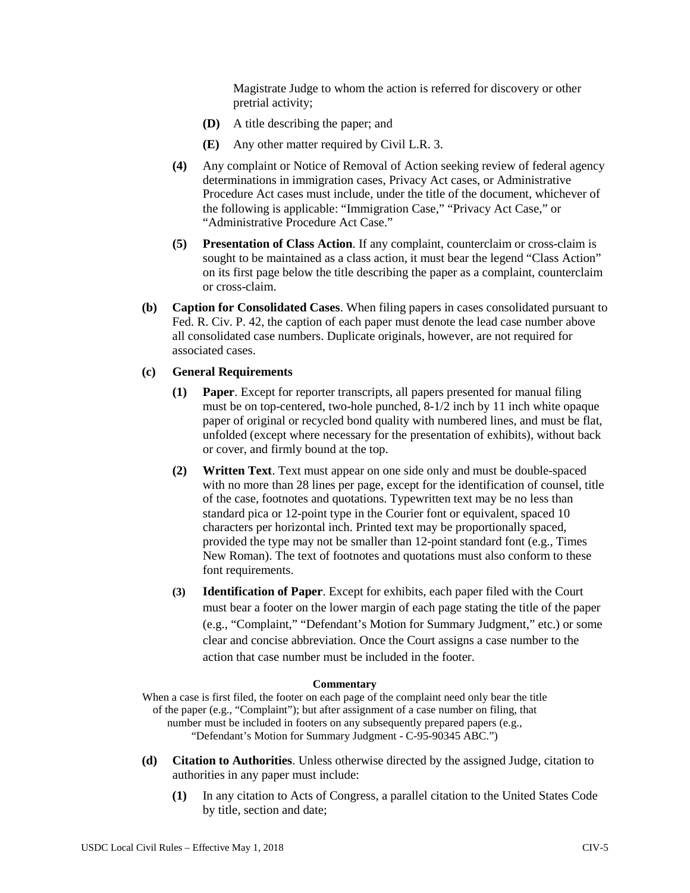Magistrate Judge to whom the action is referred for discovery or other pretrial activity;

- **(D)** A title describing the paper; and
- **(E)** Any other matter required by Civil L.R. 3.
- **(4)** Any complaint or Notice of Removal of Action seeking review of federal agency determinations in immigration cases, Privacy Act cases, or Administrative Procedure Act cases must include, under the title of the document, whichever of the following is applicable: "Immigration Case," "Privacy Act Case," or "Administrative Procedure Act Case."
- **(5) Presentation of Class Action**. If any complaint, counterclaim or cross-claim is sought to be maintained as a class action, it must bear the legend "Class Action" on its first page below the title describing the paper as a complaint, counterclaim or cross-claim.
- <span id="page-12-0"></span>**(b) Caption for Consolidated Cases**. When filing papers in cases consolidated pursuant to Fed. R. Civ. P. 42, the caption of each paper must denote the lead case number above all consolidated case numbers. Duplicate originals, however, are not required for associated cases.

#### <span id="page-12-1"></span>**(c) General Requirements**

- **(1) Paper**. Except for reporter transcripts, all papers presented for manual filing must be on top-centered, two-hole punched, 8-1/2 inch by 11 inch white opaque paper of original or recycled bond quality with numbered lines, and must be flat, unfolded (except where necessary for the presentation of exhibits), without back or cover, and firmly bound at the top.
- **(2) Written Text**. Text must appear on one side only and must be double-spaced with no more than 28 lines per page, except for the identification of counsel, title of the case, footnotes and quotations. Typewritten text may be no less than standard pica or 12-point type in the Courier font or equivalent, spaced 10 characters per horizontal inch. Printed text may be proportionally spaced, provided the type may not be smaller than 12-point standard font (e.g., Times New Roman). The text of footnotes and quotations must also conform to these font requirements.
- **(3) Identification of Paper**. Except for exhibits, each paper filed with the Court must bear a footer on the lower margin of each page stating the title of the paper (e.g., "Complaint," "Defendant's Motion for Summary Judgment," etc.) or some clear and concise abbreviation. Once the Court assigns a case number to the action that case number must be included in the footer.

#### **Commentary**

When a case is first filed, the footer on each page of the complaint need only bear the title of the paper (e.g., "Complaint"); but after assignment of a case number on filing, that number must be included in footers on any subsequently prepared papers (e.g., "Defendant's Motion for Summary Judgment - C-95-90345 ABC.")

- <span id="page-12-2"></span>**(d) Citation to Authorities**. Unless otherwise directed by the assigned Judge, citation to authorities in any paper must include:
	- **(1)** In any citation to Acts of Congress, a parallel citation to the United States Code by title, section and date;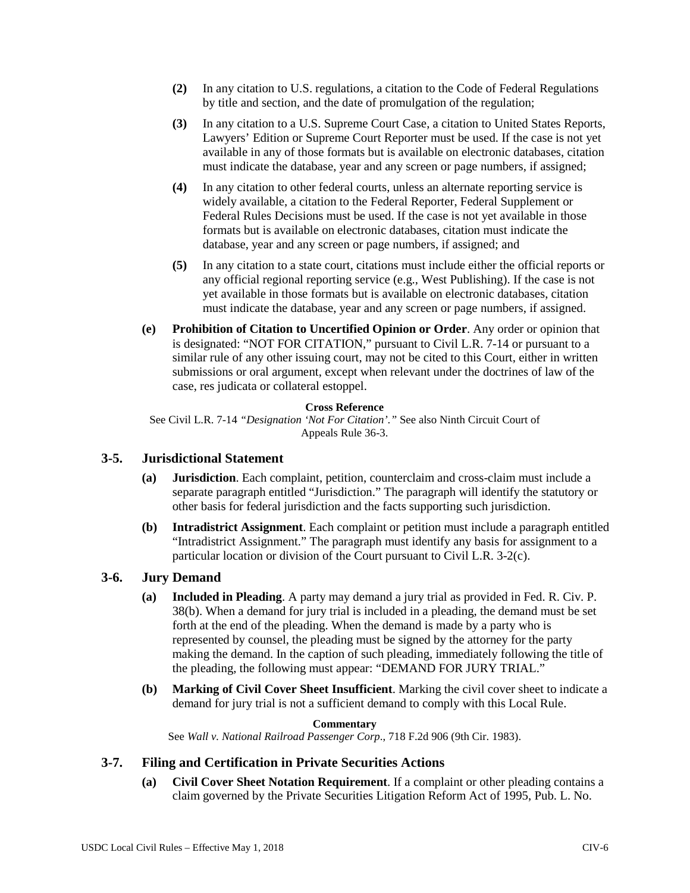- **(2)** In any citation to U.S. regulations, a citation to the Code of Federal Regulations by title and section, and the date of promulgation of the regulation;
- **(3)** In any citation to a U.S. Supreme Court Case, a citation to United States Reports, Lawyers' Edition or Supreme Court Reporter must be used. If the case is not yet available in any of those formats but is available on electronic databases, citation must indicate the database, year and any screen or page numbers, if assigned;
- **(4)** In any citation to other federal courts, unless an alternate reporting service is widely available, a citation to the Federal Reporter, Federal Supplement or Federal Rules Decisions must be used. If the case is not yet available in those formats but is available on electronic databases, citation must indicate the database, year and any screen or page numbers, if assigned; and
- **(5)** In any citation to a state court, citations must include either the official reports or any official regional reporting service (e.g., West Publishing). If the case is not yet available in those formats but is available on electronic databases, citation must indicate the database, year and any screen or page numbers, if assigned.
- <span id="page-13-0"></span>**(e) Prohibition of Citation to Uncertified Opinion or Order**. Any order or opinion that is designated: "NOT FOR CITATION," pursuant to Civil L.R. 7-14 or pursuant to a similar rule of any other issuing court, may not be cited to this Court, either in written submissions or oral argument, except when relevant under the doctrines of law of the case, res judicata or collateral estoppel.

### **Cross Reference**

See Civil L.R. 7-14 *"Designation 'Not For Citation'."* See also Ninth Circuit Court of Appeals Rule 36-3.

## <span id="page-13-2"></span><span id="page-13-1"></span>**3-5. Jurisdictional Statement**

- **(a) Jurisdiction**. Each complaint, petition, counterclaim and cross-claim must include a separate paragraph entitled "Jurisdiction." The paragraph will identify the statutory or other basis for federal jurisdiction and the facts supporting such jurisdiction.
- **(b) Intradistrict Assignment**. Each complaint or petition must include a paragraph entitled "Intradistrict Assignment." The paragraph must identify any basis for assignment to a particular location or division of the Court pursuant to Civil L.R. 3-2(c).

# <span id="page-13-5"></span><span id="page-13-4"></span><span id="page-13-3"></span>**3-6. Jury Demand**

- **(a) Included in Pleading**. A party may demand a jury trial as provided in Fed. R. Civ. P. 38(b). When a demand for jury trial is included in a pleading, the demand must be set forth at the end of the pleading. When the demand is made by a party who is represented by counsel, the pleading must be signed by the attorney for the party making the demand. In the caption of such pleading, immediately following the title of the pleading, the following must appear: "DEMAND FOR JURY TRIAL."
- <span id="page-13-6"></span>**(b) Marking of Civil Cover Sheet Insufficient**. Marking the civil cover sheet to indicate a demand for jury trial is not a sufficient demand to comply with this Local Rule.

#### **Commentary**

See *Wall v. National Railroad Passenger Corp*., 718 F.2d 906 (9th Cir. 1983).

### <span id="page-13-8"></span><span id="page-13-7"></span>**3-7. Filing and Certification in Private Securities Actions**

**(a) Civil Cover Sheet Notation Requirement**. If a complaint or other pleading contains a claim governed by the Private Securities Litigation Reform Act of 1995, Pub. L. No.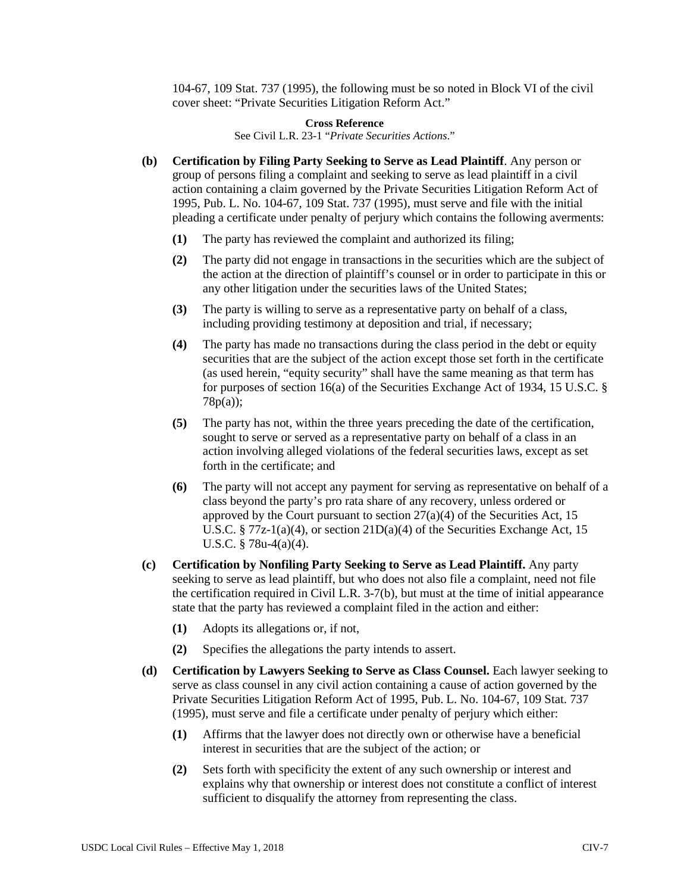104-67, 109 Stat. 737 (1995), the following must be so noted in Block VI of the civil cover sheet: "Private Securities Litigation Reform Act."

#### **Cross Reference**

See Civil L.R. 23-1 "*Private Securities Actions*."

- <span id="page-14-0"></span>**(b) Certification by Filing Party Seeking to Serve as Lead Plaintiff**. Any person or group of persons filing a complaint and seeking to serve as lead plaintiff in a civil action containing a claim governed by the Private Securities Litigation Reform Act of 1995, Pub. L. No. 104-67, 109 Stat. 737 (1995), must serve and file with the initial pleading a certificate under penalty of perjury which contains the following averments:
	- **(1)** The party has reviewed the complaint and authorized its filing;
	- **(2)** The party did not engage in transactions in the securities which are the subject of the action at the direction of plaintiff's counsel or in order to participate in this or any other litigation under the securities laws of the United States;
	- **(3)** The party is willing to serve as a representative party on behalf of a class, including providing testimony at deposition and trial, if necessary;
	- **(4)** The party has made no transactions during the class period in the debt or equity securities that are the subject of the action except those set forth in the certificate (as used herein, "equity security" shall have the same meaning as that term has for purposes of section 16(a) of the Securities Exchange Act of 1934, 15 U.S.C. § 78p(a));
	- **(5)** The party has not, within the three years preceding the date of the certification, sought to serve or served as a representative party on behalf of a class in an action involving alleged violations of the federal securities laws, except as set forth in the certificate; and
	- **(6)** The party will not accept any payment for serving as representative on behalf of a class beyond the party's pro rata share of any recovery, unless ordered or approved by the Court pursuant to section  $27(a)(4)$  of the Securities Act, 15 U.S.C. § 77z-1(a)(4), or section 21D(a)(4) of the Securities Exchange Act, 15 U.S.C. § 78u-4(a)(4).
- <span id="page-14-1"></span>**(c) Certification by Nonfiling Party Seeking to Serve as Lead Plaintiff.** Any party seeking to serve as lead plaintiff, but who does not also file a complaint, need not file the certification required in Civil L.R. 3-7(b), but must at the time of initial appearance state that the party has reviewed a complaint filed in the action and either:
	- **(1)** Adopts its allegations or, if not,
	- **(2)** Specifies the allegations the party intends to assert.
- <span id="page-14-2"></span>**(d) Certification by Lawyers Seeking to Serve as Class Counsel.** Each lawyer seeking to serve as class counsel in any civil action containing a cause of action governed by the Private Securities Litigation Reform Act of 1995, Pub. L. No. 104-67, 109 Stat. 737 (1995), must serve and file a certificate under penalty of perjury which either:
	- **(1)** Affirms that the lawyer does not directly own or otherwise have a beneficial interest in securities that are the subject of the action; or
	- **(2)** Sets forth with specificity the extent of any such ownership or interest and explains why that ownership or interest does not constitute a conflict of interest sufficient to disqualify the attorney from representing the class.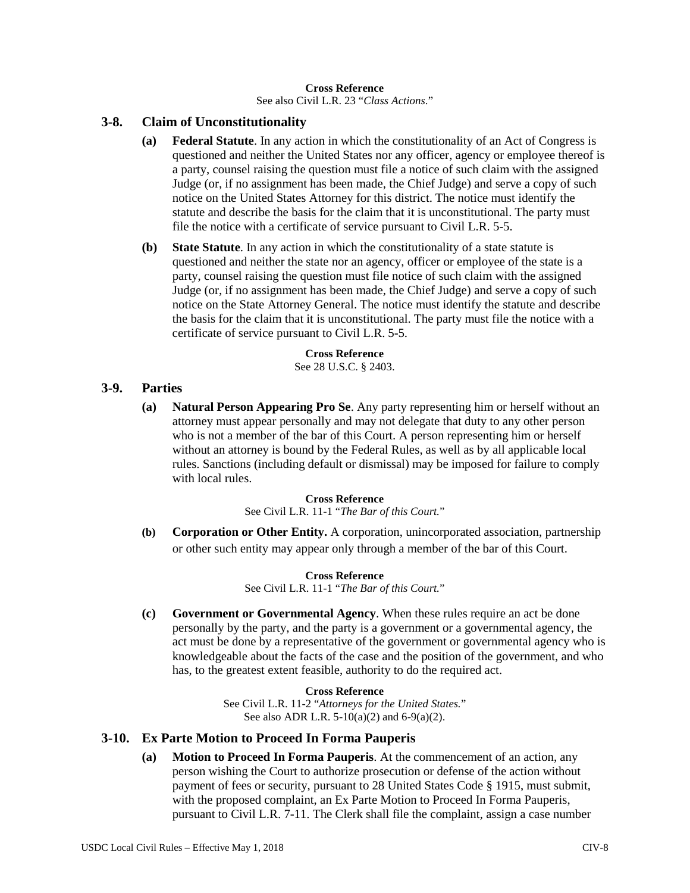#### **Cross Reference**

See also Civil L.R. 23 "*Class Actions*."

### <span id="page-15-1"></span><span id="page-15-0"></span>**3-8. Claim of Unconstitutionality**

- **(a) Federal Statute**. In any action in which the constitutionality of an Act of Congress is questioned and neither the United States nor any officer, agency or employee thereof is a party, counsel raising the question must file a notice of such claim with the assigned Judge (or, if no assignment has been made, the Chief Judge) and serve a copy of such notice on the United States Attorney for this district. The notice must identify the statute and describe the basis for the claim that it is unconstitutional. The party must file the notice with a certificate of service pursuant to Civil L.R. 5-5.
- <span id="page-15-2"></span>**(b) State Statute**. In any action in which the constitutionality of a state statute is questioned and neither the state nor an agency, officer or employee of the state is a party, counsel raising the question must file notice of such claim with the assigned Judge (or, if no assignment has been made, the Chief Judge) and serve a copy of such notice on the State Attorney General. The notice must identify the statute and describe the basis for the claim that it is unconstitutional. The party must file the notice with a certificate of service pursuant to Civil L.R. 5-5.

**Cross Reference** See 28 U.S.C. § 2403.

### <span id="page-15-4"></span><span id="page-15-3"></span>**3-9. Parties**

**(a) Natural Person Appearing Pro Se**. Any party representing him or herself without an attorney must appear personally and may not delegate that duty to any other person who is not a member of the bar of this Court. A person representing him or herself without an attorney is bound by the Federal Rules, as well as by all applicable local rules. Sanctions (including default or dismissal) may be imposed for failure to comply with local rules.

#### **Cross Reference**

See Civil L.R. 11-1 "*The Bar of this Court.*"

<span id="page-15-5"></span>**(b) Corporation or Other Entity.** A corporation, unincorporated association, partnership or other such entity may appear only through a member of the bar of this Court.

#### **Cross Reference**

See Civil L.R. 11-1 "*The Bar of this Court.*"

<span id="page-15-6"></span>**(c) Government or Governmental Agency**. When these rules require an act be done personally by the party, and the party is a government or a governmental agency, the act must be done by a representative of the government or governmental agency who is knowledgeable about the facts of the case and the position of the government, and who has, to the greatest extent feasible, authority to do the required act.

> **Cross Reference** See Civil L.R. 11-2 "*Attorneys for the United States.*" See also ADR L.R. 5-10(a)(2) and 6-9(a)(2).

# <span id="page-15-8"></span><span id="page-15-7"></span>**3-10. Ex Parte Motion to Proceed In Forma Pauperis**

**(a) Motion to Proceed In Forma Pauperis**. At the commencement of an action, any person wishing the Court to authorize prosecution or defense of the action without payment of fees or security, pursuant to 28 United States Code § 1915, must submit, with the proposed complaint, an Ex Parte Motion to Proceed In Forma Pauperis, pursuant to Civil L.R. 7-11. The Clerk shall file the complaint, assign a case number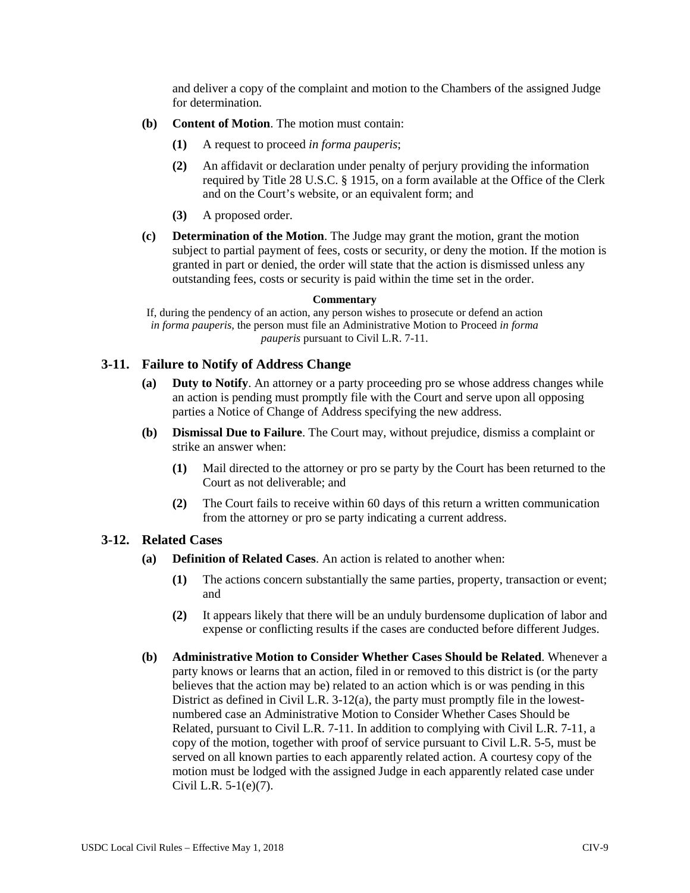and deliver a copy of the complaint and motion to the Chambers of the assigned Judge for determination.

- <span id="page-16-0"></span>**(b) Content of Motion**. The motion must contain:
	- **(1)** A request to proceed *in forma pauperis*;
	- **(2)** An affidavit or declaration under penalty of perjury providing the information required by Title 28 U.S.C. § 1915, on a form available at the Office of the Clerk and on the Court's website, or an equivalent form; and
	- **(3)** A proposed order.
- <span id="page-16-1"></span>**(c) Determination of the Motion**. The Judge may grant the motion, grant the motion subject to partial payment of fees, costs or security, or deny the motion. If the motion is granted in part or denied, the order will state that the action is dismissed unless any outstanding fees, costs or security is paid within the time set in the order.

#### **Commentary**

If, during the pendency of an action, any person wishes to prosecute or defend an action *in forma pauperis,* the person must file an Administrative Motion to Proceed *in forma pauperis* pursuant to Civil L.R. 7-11.

# <span id="page-16-3"></span><span id="page-16-2"></span>**3-11. Failure to Notify of Address Change**

- **(a) Duty to Notify**. An attorney or a party proceeding pro se whose address changes while an action is pending must promptly file with the Court and serve upon all opposing parties a Notice of Change of Address specifying the new address.
- <span id="page-16-4"></span>**(b) Dismissal Due to Failure**. The Court may, without prejudice, dismiss a complaint or strike an answer when:
	- **(1)** Mail directed to the attorney or pro se party by the Court has been returned to the Court as not deliverable; and
	- **(2)** The Court fails to receive within 60 days of this return a written communication from the attorney or pro se party indicating a current address.

### <span id="page-16-6"></span><span id="page-16-5"></span>**3-12. Related Cases**

- **(a) Definition of Related Cases**. An action is related to another when:
	- **(1)** The actions concern substantially the same parties, property, transaction or event; and
	- **(2)** It appears likely that there will be an unduly burdensome duplication of labor and expense or conflicting results if the cases are conducted before different Judges.
- <span id="page-16-7"></span>**(b) Administrative Motion to Consider Whether Cases Should be Related**. Whenever a party knows or learns that an action, filed in or removed to this district is (or the party believes that the action may be) related to an action which is or was pending in this District as defined in Civil L.R. 3-12(a), the party must promptly file in the lowestnumbered case an Administrative Motion to Consider Whether Cases Should be Related, pursuant to Civil L.R. 7-11. In addition to complying with Civil L.R. 7-11, a copy of the motion, together with proof of service pursuant to Civil L.R. 5-5, must be served on all known parties to each apparently related action. A courtesy copy of the motion must be lodged with the assigned Judge in each apparently related case under Civil L.R. 5-1(e)(7).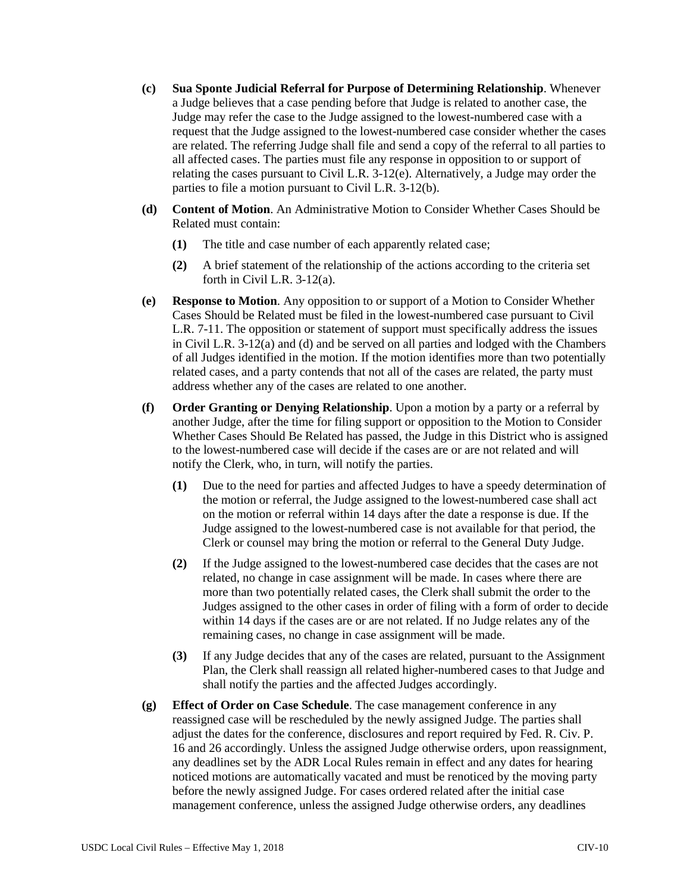- <span id="page-17-0"></span>**(c) Sua Sponte Judicial Referral for Purpose of Determining Relationship**. Whenever a Judge believes that a case pending before that Judge is related to another case, the Judge may refer the case to the Judge assigned to the lowest-numbered case with a request that the Judge assigned to the lowest-numbered case consider whether the cases are related. The referring Judge shall file and send a copy of the referral to all parties to all affected cases. The parties must file any response in opposition to or support of relating the cases pursuant to Civil L.R. 3-12(e). Alternatively, a Judge may order the parties to file a motion pursuant to Civil L.R. 3-12(b).
- <span id="page-17-1"></span>**(d) Content of Motion**. An Administrative Motion to Consider Whether Cases Should be Related must contain:
	- **(1)** The title and case number of each apparently related case;
	- **(2)** A brief statement of the relationship of the actions according to the criteria set forth in Civil L.R. 3-12(a).
- <span id="page-17-2"></span>**(e) Response to Motion**. Any opposition to or support of a Motion to Consider Whether Cases Should be Related must be filed in the lowest-numbered case pursuant to Civil L.R. 7-11. The opposition or statement of support must specifically address the issues in Civil L.R. 3-12(a) and (d) and be served on all parties and lodged with the Chambers of all Judges identified in the motion. If the motion identifies more than two potentially related cases, and a party contends that not all of the cases are related, the party must address whether any of the cases are related to one another.
- <span id="page-17-3"></span>**(f) Order Granting or Denying Relationship**. Upon a motion by a party or a referral by another Judge, after the time for filing support or opposition to the Motion to Consider Whether Cases Should Be Related has passed, the Judge in this District who is assigned to the lowest-numbered case will decide if the cases are or are not related and will notify the Clerk, who, in turn, will notify the parties.
	- **(1)** Due to the need for parties and affected Judges to have a speedy determination of the motion or referral, the Judge assigned to the lowest-numbered case shall act on the motion or referral within 14 days after the date a response is due. If the Judge assigned to the lowest-numbered case is not available for that period, the Clerk or counsel may bring the motion or referral to the General Duty Judge.
	- **(2)** If the Judge assigned to the lowest-numbered case decides that the cases are not related, no change in case assignment will be made. In cases where there are more than two potentially related cases, the Clerk shall submit the order to the Judges assigned to the other cases in order of filing with a form of order to decide within 14 days if the cases are or are not related. If no Judge relates any of the remaining cases, no change in case assignment will be made.
	- **(3)** If any Judge decides that any of the cases are related, pursuant to the Assignment Plan, the Clerk shall reassign all related higher-numbered cases to that Judge and shall notify the parties and the affected Judges accordingly.
- <span id="page-17-4"></span>**(g) Effect of Order on Case Schedule**. The case management conference in any reassigned case will be rescheduled by the newly assigned Judge. The parties shall adjust the dates for the conference, disclosures and report required by Fed. R. Civ. P. 16 and 26 accordingly. Unless the assigned Judge otherwise orders, upon reassignment, any deadlines set by the ADR Local Rules remain in effect and any dates for hearing noticed motions are automatically vacated and must be renoticed by the moving party before the newly assigned Judge. For cases ordered related after the initial case management conference, unless the assigned Judge otherwise orders, any deadlines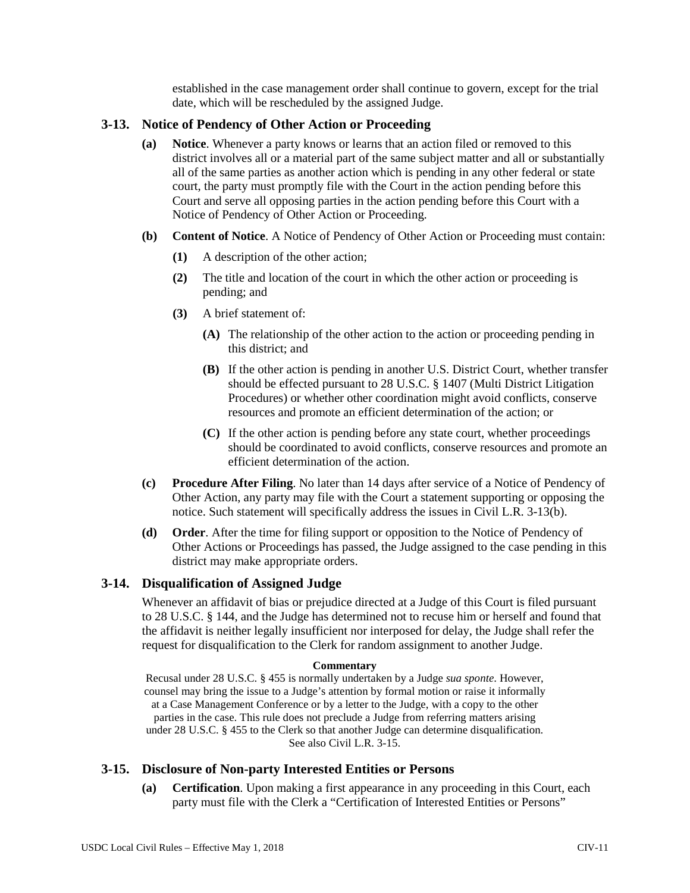established in the case management order shall continue to govern, except for the trial date, which will be rescheduled by the assigned Judge.

# <span id="page-18-1"></span><span id="page-18-0"></span>**3-13. Notice of Pendency of Other Action or Proceeding**

- **(a) Notice**. Whenever a party knows or learns that an action filed or removed to this district involves all or a material part of the same subject matter and all or substantially all of the same parties as another action which is pending in any other federal or state court, the party must promptly file with the Court in the action pending before this Court and serve all opposing parties in the action pending before this Court with a Notice of Pendency of Other Action or Proceeding.
- <span id="page-18-2"></span>**(b) Content of Notice**. A Notice of Pendency of Other Action or Proceeding must contain:
	- **(1)** A description of the other action;
	- **(2)** The title and location of the court in which the other action or proceeding is pending; and
	- **(3)** A brief statement of:
		- **(A)** The relationship of the other action to the action or proceeding pending in this district; and
		- **(B)** If the other action is pending in another U.S. District Court, whether transfer should be effected pursuant to 28 U.S.C. § 1407 (Multi District Litigation Procedures) or whether other coordination might avoid conflicts, conserve resources and promote an efficient determination of the action; or
		- **(C)** If the other action is pending before any state court, whether proceedings should be coordinated to avoid conflicts, conserve resources and promote an efficient determination of the action.
- <span id="page-18-3"></span>**(c) Procedure After Filing**. No later than 14 days after service of a Notice of Pendency of Other Action, any party may file with the Court a statement supporting or opposing the notice. Such statement will specifically address the issues in Civil L.R. 3-13(b).
- **(d) Order**. After the time for filing support or opposition to the Notice of Pendency of Other Actions or Proceedings has passed, the Judge assigned to the case pending in this district may make appropriate orders.

### <span id="page-18-5"></span><span id="page-18-4"></span>**3-14. Disqualification of Assigned Judge**

Whenever an affidavit of bias or prejudice directed at a Judge of this Court is filed pursuant to 28 U.S.C. § 144, and the Judge has determined not to recuse him or herself and found that the affidavit is neither legally insufficient nor interposed for delay, the Judge shall refer the request for disqualification to the Clerk for random assignment to another Judge.

#### **Commentary**

Recusal under 28 U.S.C. § 455 is normally undertaken by a Judge *sua sponte*. However, counsel may bring the issue to a Judge's attention by formal motion or raise it informally at a Case Management Conference or by a letter to the Judge, with a copy to the other parties in the case. This rule does not preclude a Judge from referring matters arising under 28 U.S.C. § 455 to the Clerk so that another Judge can determine disqualification. See also Civil L.R. 3-15.

### <span id="page-18-7"></span><span id="page-18-6"></span>**3-15. Disclosure of Non-party Interested Entities or Persons**

**(a) Certification**. Upon making a first appearance in any proceeding in this Court, each party must file with the Clerk a "Certification of Interested Entities or Persons"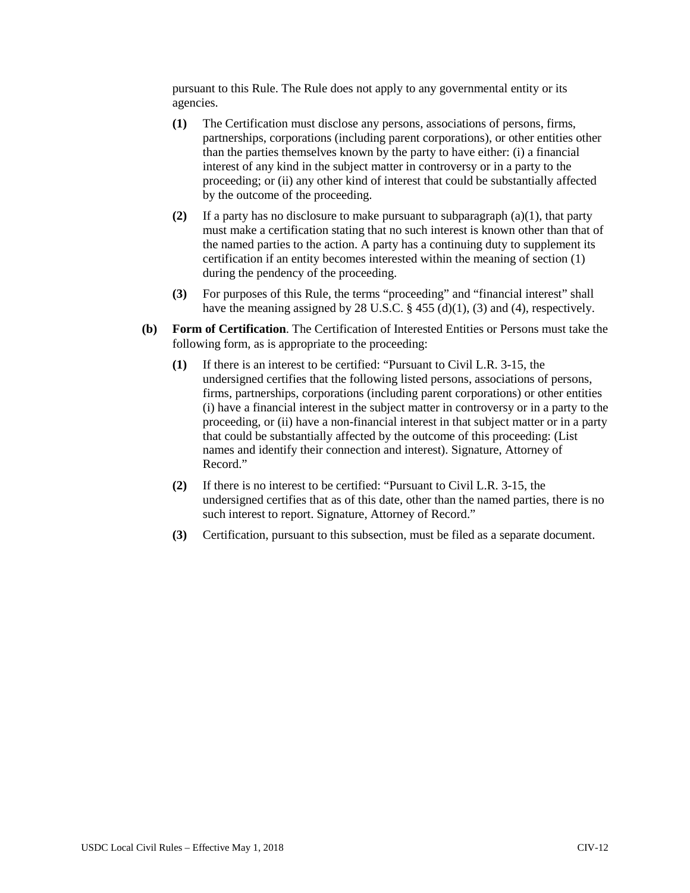pursuant to this Rule. The Rule does not apply to any governmental entity or its agencies.

- **(1)** The Certification must disclose any persons, associations of persons, firms, partnerships, corporations (including parent corporations), or other entities other than the parties themselves known by the party to have either: (i) a financial interest of any kind in the subject matter in controversy or in a party to the proceeding; or (ii) any other kind of interest that could be substantially affected by the outcome of the proceeding.
- **(2)** If a party has no disclosure to make pursuant to subparagraph (a)(1), that party must make a certification stating that no such interest is known other than that of the named parties to the action. A party has a continuing duty to supplement its certification if an entity becomes interested within the meaning of section (1) during the pendency of the proceeding.
- **(3)** For purposes of this Rule, the terms "proceeding" and "financial interest" shall have the meaning assigned by 28 U.S.C.  $\S$  455 (d)(1), (3) and (4), respectively.
- <span id="page-19-0"></span>**(b) Form of Certification**. The Certification of Interested Entities or Persons must take the following form, as is appropriate to the proceeding:
	- **(1)** If there is an interest to be certified: "Pursuant to Civil L.R. 3-15, the undersigned certifies that the following listed persons, associations of persons, firms, partnerships, corporations (including parent corporations) or other entities (i) have a financial interest in the subject matter in controversy or in a party to the proceeding, or (ii) have a non-financial interest in that subject matter or in a party that could be substantially affected by the outcome of this proceeding: (List names and identify their connection and interest). Signature, Attorney of Record."
	- **(2)** If there is no interest to be certified: "Pursuant to Civil L.R. 3-15, the undersigned certifies that as of this date, other than the named parties, there is no such interest to report. Signature, Attorney of Record."
	- **(3)** Certification, pursuant to this subsection, must be filed as a separate document.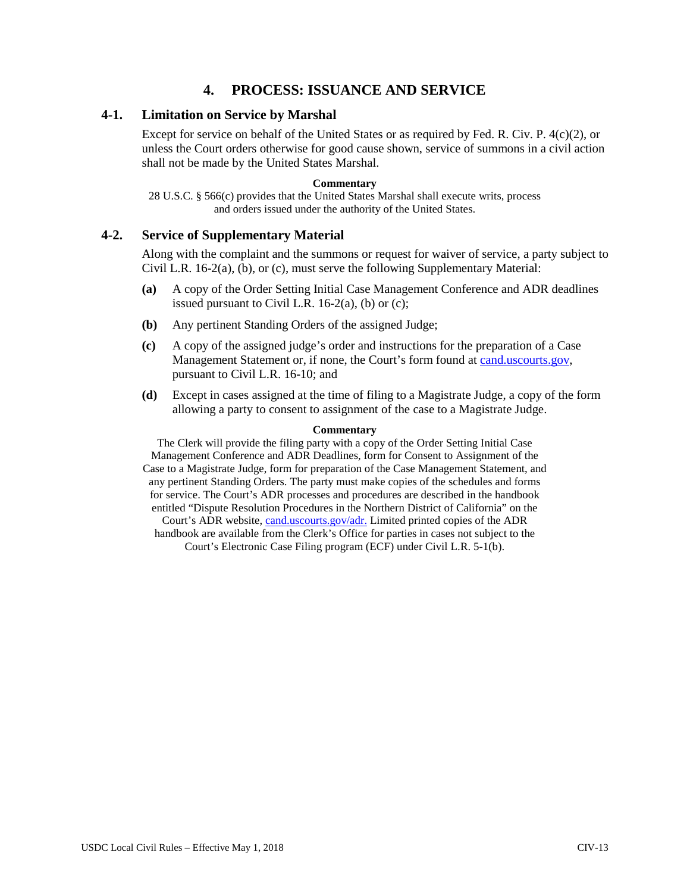# **4. PROCESS: ISSUANCE AND SERVICE**

### <span id="page-20-1"></span><span id="page-20-0"></span>**4-1. Limitation on Service by Marshal**

Except for service on behalf of the United States or as required by Fed. R. Civ. P. 4(c)(2), or unless the Court orders otherwise for good cause shown, service of summons in a civil action shall not be made by the United States Marshal.

#### **Commentary**

28 U.S.C. § 566(c) provides that the United States Marshal shall execute writs, process and orders issued under the authority of the United States.

### <span id="page-20-2"></span>**4-2. Service of Supplementary Material**

Along with the complaint and the summons or request for waiver of service, a party subject to Civil L.R. 16-2(a), (b), or (c), must serve the following Supplementary Material:

- **(a)** A copy of the Order Setting Initial Case Management Conference and ADR deadlines issued pursuant to Civil L.R.  $16-2(a)$ , (b) or (c);
- **(b)** Any pertinent Standing Orders of the assigned Judge;
- **(c)** A copy of the assigned judge's order and instructions for the preparation of a Case Management Statement or, if none, the Court's form found at [cand.uscourts.gov,](file://CANDSF/DATA/Users/_SHARED%20DOCS/LOCAL%20RULES,%20GENERAL%20ORDERS%20&%20IOPs/Local_Rules/Current%20Local%20Rules/www.cand.uscourts.gov) pursuant to Civil L.R. 16-10; and
- **(d)** Except in cases assigned at the time of filing to a Magistrate Judge, a copy of the form allowing a party to consent to assignment of the case to a Magistrate Judge.

#### **Commentary**

The Clerk will provide the filing party with a copy of the Order Setting Initial Case Management Conference and ADR Deadlines, form for Consent to Assignment of the Case to a Magistrate Judge, form for preparation of the Case Management Statement, and any pertinent Standing Orders. The party must make copies of the schedules and forms for service. The Court's ADR processes and procedures are described in the handbook entitled "Dispute Resolution Procedures in the Northern District of California" on the Court's ADR website[, cand.uscourts.gov/adr.](http://www.cand.uscourts.gov/adr.) Limited printed copies of the ADR handbook are available from the Clerk's Office for parties in cases not subject to the Court's Electronic Case Filing program (ECF) under Civil L.R. 5-1(b).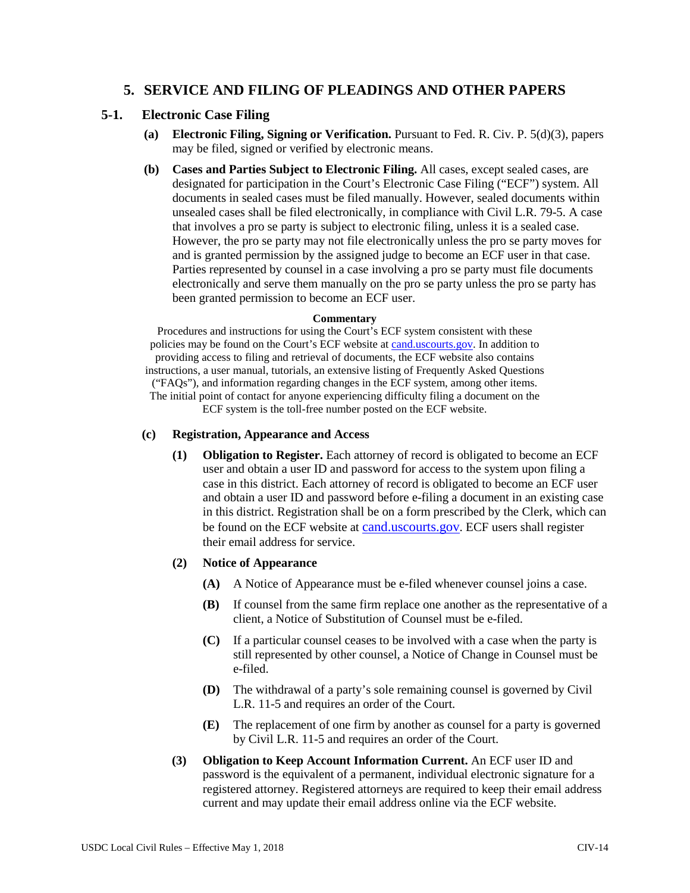# **5. SERVICE AND FILING OF PLEADINGS AND OTHER PAPERS**

### <span id="page-21-3"></span><span id="page-21-2"></span><span id="page-21-1"></span><span id="page-21-0"></span>**5-1. Electronic Case Filing**

- **(a) Electronic Filing, Signing or Verification.** Pursuant to Fed. R. Civ. P. 5(d)(3), papers may be filed, signed or verified by electronic means.
- **(b) Cases and Parties Subject to Electronic Filing.** All cases, except sealed cases, are designated for participation in the Court's Electronic Case Filing ("ECF") system. All documents in sealed cases must be filed manually. However, sealed documents within unsealed cases shall be filed electronically, in compliance with Civil L.R. 79-5. A case that involves a pro se party is subject to electronic filing, unless it is a sealed case. However, the pro se party may not file electronically unless the pro se party moves for and is granted permission by the assigned judge to become an ECF user in that case. Parties represented by counsel in a case involving a pro se party must file documents electronically and serve them manually on the pro se party unless the pro se party has been granted permission to become an ECF user.

#### **Commentary**

Procedures and instructions for using the Court's ECF system consistent with these policies may be found on the Court's ECF website a[t cand.uscourts.gov.](http://www.cand.uscourts.gov/) In addition to providing access to filing and retrieval of documents, the ECF website also contains instructions, a user manual, tutorials, an extensive listing of Frequently Asked Questions ("FAQs"), and information regarding changes in the ECF system, among other items. The initial point of contact for anyone experiencing difficulty filing a document on the ECF system is the toll-free number posted on the ECF website.

### <span id="page-21-4"></span>**(c) Registration, Appearance and Access**

**(1) Obligation to Register.** Each attorney of record is obligated to become an ECF user and obtain a user ID and password for access to the system upon filing a case in this district. Each attorney of record is obligated to become an ECF user and obtain a user ID and password before e-filing a document in an existing case in this district. Registration shall be on a form prescribed by the Clerk, which can be found on the ECF website at [cand.uscourts.gov.](http://www.cand.uscourts.gov/) ECF users shall register their email address for service.

### **(2) Notice of Appearance**

- **(A)** A Notice of Appearance must be e-filed whenever counsel joins a case.
- **(B)** If counsel from the same firm replace one another as the representative of a client, a Notice of Substitution of Counsel must be e-filed.
- **(C)** If a particular counsel ceases to be involved with a case when the party is still represented by other counsel, a Notice of Change in Counsel must be e-filed.
- **(D)** The withdrawal of a party's sole remaining counsel is governed by Civil L.R. 11-5 and requires an order of the Court.
- **(E)** The replacement of one firm by another as counsel for a party is governed by Civil L.R. 11-5 and requires an order of the Court.
- **(3) Obligation to Keep Account Information Current.** An ECF user ID and password is the equivalent of a permanent, individual electronic signature for a registered attorney. Registered attorneys are required to keep their email address current and may update their email address online via the ECF website.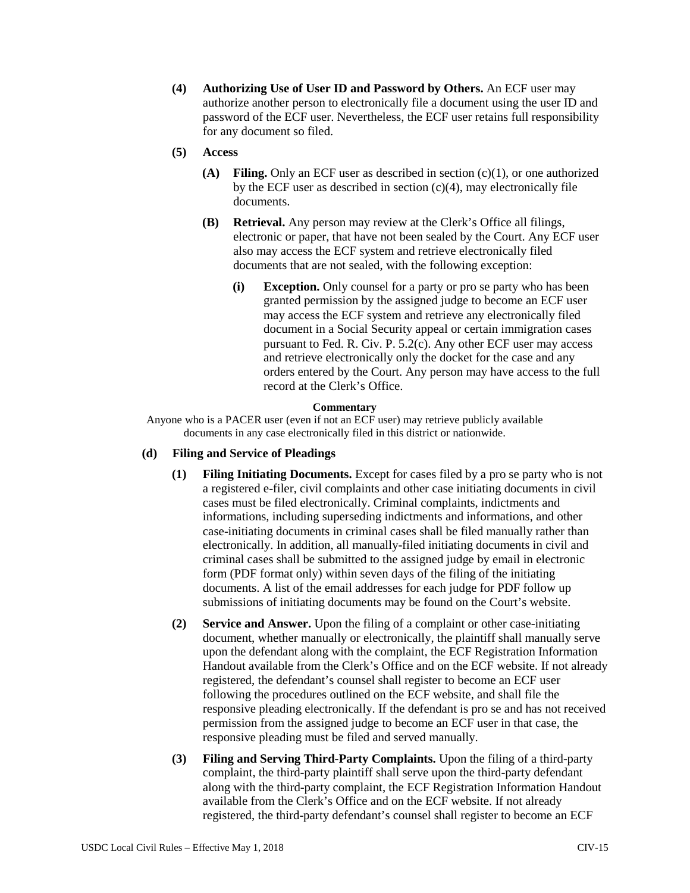- **(4) Authorizing Use of User ID and Password by Others.** An ECF user may authorize another person to electronically file a document using the user ID and password of the ECF user. Nevertheless, the ECF user retains full responsibility for any document so filed.
- **(5) Access**
	- **(A) Filing.** Only an ECF user as described in section (c)(1), or one authorized by the ECF user as described in section  $(c)(4)$ , may electronically file documents.
	- **(B) Retrieval.** Any person may review at the Clerk's Office all filings, electronic or paper, that have not been sealed by the Court. Any ECF user also may access the ECF system and retrieve electronically filed documents that are not sealed, with the following exception:
		- **(i) Exception.** Only counsel for a party or pro se party who has been granted permission by the assigned judge to become an ECF user may access the ECF system and retrieve any electronically filed document in a Social Security appeal or certain immigration cases pursuant to Fed. R. Civ. P. 5.2(c). Any other ECF user may access and retrieve electronically only the docket for the case and any orders entered by the Court. Any person may have access to the full record at the Clerk's Office.

#### **Commentary**

Anyone who is a PACER user (even if not an ECF user) may retrieve publicly available documents in any case electronically filed in this district or nationwide.

#### <span id="page-22-0"></span>**(d) Filing and Service of Pleadings**

- **(1) Filing Initiating Documents.** Except for cases filed by a pro se party who is not a registered e-filer, civil complaints and other case initiating documents in civil cases must be filed electronically. Criminal complaints, indictments and informations, including superseding indictments and informations, and other case-initiating documents in criminal cases shall be filed manually rather than electronically. In addition, all manually-filed initiating documents in civil and criminal cases shall be submitted to the assigned judge by email in electronic form (PDF format only) within seven days of the filing of the initiating documents. A list of the email addresses for each judge for PDF follow up submissions of initiating documents may be found on the Court's website.
- **(2) Service and Answer.** Upon the filing of a complaint or other case-initiating document, whether manually or electronically, the plaintiff shall manually serve upon the defendant along with the complaint, the ECF Registration Information Handout available from the Clerk's Office and on the ECF website. If not already registered, the defendant's counsel shall register to become an ECF user following the procedures outlined on the ECF website, and shall file the responsive pleading electronically. If the defendant is pro se and has not received permission from the assigned judge to become an ECF user in that case, the responsive pleading must be filed and served manually.
- **(3) Filing and Serving Third-Party Complaints.** Upon the filing of a third-party complaint, the third-party plaintiff shall serve upon the third-party defendant along with the third-party complaint, the ECF Registration Information Handout available from the Clerk's Office and on the ECF website. If not already registered, the third-party defendant's counsel shall register to become an ECF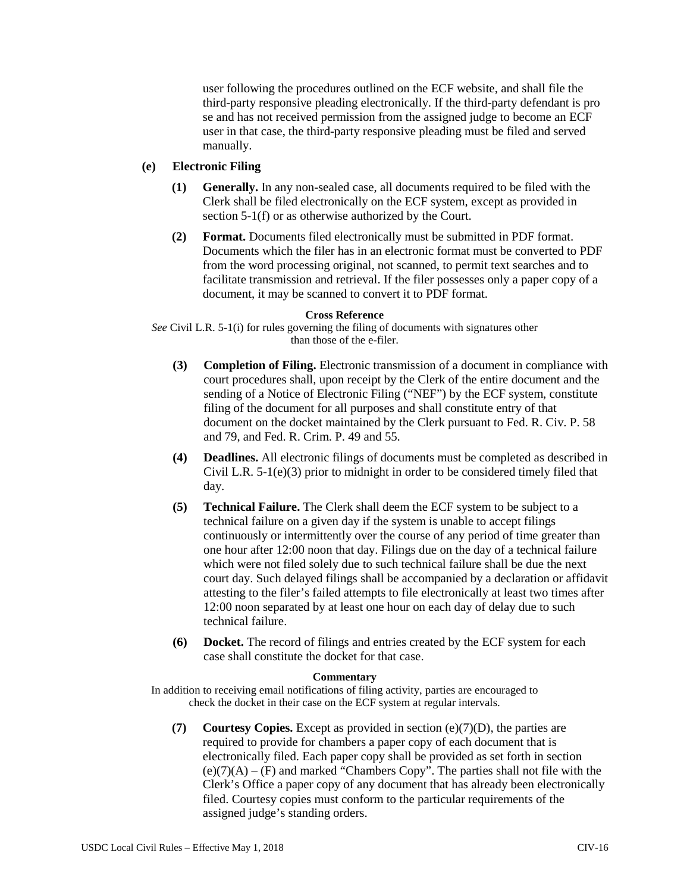user following the procedures outlined on the ECF website, and shall file the third-party responsive pleading electronically. If the third-party defendant is pro se and has not received permission from the assigned judge to become an ECF user in that case, the third-party responsive pleading must be filed and served manually.

### <span id="page-23-0"></span>**(e) Electronic Filing**

- **(1) Generally.** In any non-sealed case, all documents required to be filed with the Clerk shall be filed electronically on the ECF system, except as provided in section 5-1(f) or as otherwise authorized by the Court.
- **(2) Format.** Documents filed electronically must be submitted in PDF format. Documents which the filer has in an electronic format must be converted to PDF from the word processing original, not scanned, to permit text searches and to facilitate transmission and retrieval. If the filer possesses only a paper copy of a document, it may be scanned to convert it to PDF format.

#### **Cross Reference**

*See* Civil L.R. 5-1(i) for rules governing the filing of documents with signatures other than those of the e-filer.

- **(3) Completion of Filing.** Electronic transmission of a document in compliance with court procedures shall, upon receipt by the Clerk of the entire document and the sending of a Notice of Electronic Filing ("NEF") by the ECF system, constitute filing of the document for all purposes and shall constitute entry of that document on the docket maintained by the Clerk pursuant to Fed. R. Civ. P. 58 and 79, and Fed. R. Crim. P. 49 and 55.
- **(4) Deadlines.** All electronic filings of documents must be completed as described in Civil L.R. 5-1(e)(3) prior to midnight in order to be considered timely filed that day.
- **(5) Technical Failure.** The Clerk shall deem the ECF system to be subject to a technical failure on a given day if the system is unable to accept filings continuously or intermittently over the course of any period of time greater than one hour after 12:00 noon that day. Filings due on the day of a technical failure which were not filed solely due to such technical failure shall be due the next court day. Such delayed filings shall be accompanied by a declaration or affidavit attesting to the filer's failed attempts to file electronically at least two times after 12:00 noon separated by at least one hour on each day of delay due to such technical failure.
- **(6) Docket.** The record of filings and entries created by the ECF system for each case shall constitute the docket for that case.

#### **Commentary**

In addition to receiving email notifications of filing activity, parties are encouraged to check the docket in their case on the ECF system at regular intervals.

**(7) Courtesy Copies.** Except as provided in section (e)(7)(D), the parties are required to provide for chambers a paper copy of each document that is electronically filed. Each paper copy shall be provided as set forth in section  $(e)(7)(A) - (F)$  and marked "Chambers Copy". The parties shall not file with the Clerk's Office a paper copy of any document that has already been electronically filed. Courtesy copies must conform to the particular requirements of the assigned judge's standing orders.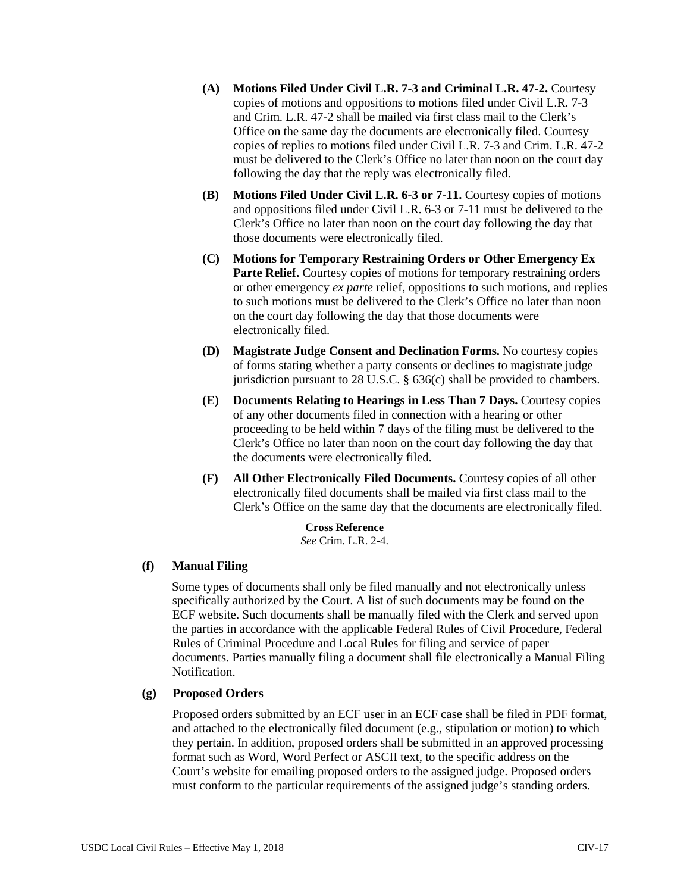- **(A) Motions Filed Under Civil L.R. 7-3 and Criminal L.R. 47-2.** Courtesy copies of motions and oppositions to motions filed under Civil L.R. 7-3 and Crim. L.R. 47-2 shall be mailed via first class mail to the Clerk's Office on the same day the documents are electronically filed. Courtesy copies of replies to motions filed under Civil L.R. 7-3 and Crim. L.R. 47-2 must be delivered to the Clerk's Office no later than noon on the court day following the day that the reply was electronically filed.
- **(B) Motions Filed Under Civil L.R. 6-3 or 7-11.** Courtesy copies of motions and oppositions filed under Civil L.R. 6-3 or 7-11 must be delivered to the Clerk's Office no later than noon on the court day following the day that those documents were electronically filed.
- **(C) Motions for Temporary Restraining Orders or Other Emergency Ex**  Parte Relief. Courtesy copies of motions for temporary restraining orders or other emergency *ex parte* relief, oppositions to such motions, and replies to such motions must be delivered to the Clerk's Office no later than noon on the court day following the day that those documents were electronically filed.
- **(D) Magistrate Judge Consent and Declination Forms.** No courtesy copies of forms stating whether a party consents or declines to magistrate judge jurisdiction pursuant to 28 U.S.C. § 636(c) shall be provided to chambers.
- **(E) Documents Relating to Hearings in Less Than 7 Days.** Courtesy copies of any other documents filed in connection with a hearing or other proceeding to be held within 7 days of the filing must be delivered to the Clerk's Office no later than noon on the court day following the day that the documents were electronically filed.
- **(F) All Other Electronically Filed Documents.** Courtesy copies of all other electronically filed documents shall be mailed via first class mail to the Clerk's Office on the same day that the documents are electronically filed.

**Cross Reference** *See* Crim. L.R. 2-4.

### <span id="page-24-0"></span>**(f) Manual Filing**

Some types of documents shall only be filed manually and not electronically unless specifically authorized by the Court. A list of such documents may be found on the ECF website. Such documents shall be manually filed with the Clerk and served upon the parties in accordance with the applicable Federal Rules of Civil Procedure, Federal Rules of Criminal Procedure and Local Rules for filing and service of paper documents. Parties manually filing a document shall file electronically a Manual Filing Notification.

### <span id="page-24-1"></span>**(g) Proposed Orders**

Proposed orders submitted by an ECF user in an ECF case shall be filed in PDF format, and attached to the electronically filed document (e.g., stipulation or motion) to which they pertain. In addition, proposed orders shall be submitted in an approved processing format such as Word, Word Perfect or ASCII text, to the specific address on the Court's website for emailing proposed orders to the assigned judge. Proposed orders must conform to the particular requirements of the assigned judge's standing orders.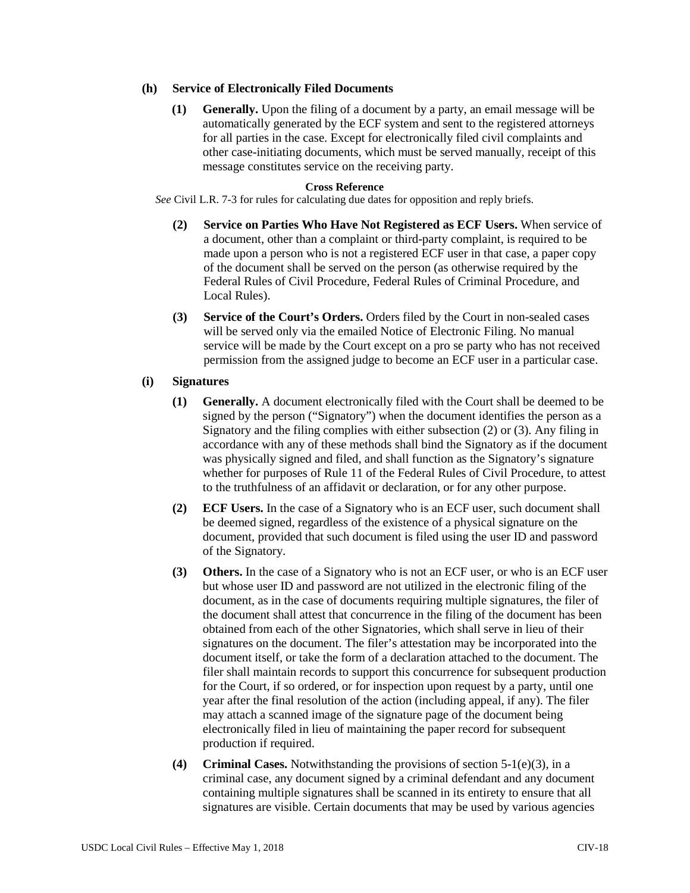### <span id="page-25-0"></span>**(h) Service of Electronically Filed Documents**

**(1) Generally.** Upon the filing of a document by a party, an email message will be automatically generated by the ECF system and sent to the registered attorneys for all parties in the case. Except for electronically filed civil complaints and other case-initiating documents, which must be served manually, receipt of this message constitutes service on the receiving party.

#### **Cross Reference**

*See* Civil L.R. 7-3 for rules for calculating due dates for opposition and reply briefs.

- **(2) Service on Parties Who Have Not Registered as ECF Users.** When service of a document, other than a complaint or third-party complaint, is required to be made upon a person who is not a registered ECF user in that case, a paper copy of the document shall be served on the person (as otherwise required by the Federal Rules of Civil Procedure, Federal Rules of Criminal Procedure, and Local Rules).
- **(3) Service of the Court's Orders.** Orders filed by the Court in non-sealed cases will be served only via the emailed Notice of Electronic Filing. No manual service will be made by the Court except on a pro se party who has not received permission from the assigned judge to become an ECF user in a particular case.
- <span id="page-25-1"></span>**(i) Signatures**
	- **(1) Generally.** A document electronically filed with the Court shall be deemed to be signed by the person ("Signatory") when the document identifies the person as a Signatory and the filing complies with either subsection (2) or (3). Any filing in accordance with any of these methods shall bind the Signatory as if the document was physically signed and filed, and shall function as the Signatory's signature whether for purposes of Rule 11 of the Federal Rules of Civil Procedure, to attest to the truthfulness of an affidavit or declaration, or for any other purpose.
	- **(2) ECF Users.** In the case of a Signatory who is an ECF user, such document shall be deemed signed, regardless of the existence of a physical signature on the document, provided that such document is filed using the user ID and password of the Signatory.
	- **(3) Others.** In the case of a Signatory who is not an ECF user, or who is an ECF user but whose user ID and password are not utilized in the electronic filing of the document, as in the case of documents requiring multiple signatures, the filer of the document shall attest that concurrence in the filing of the document has been obtained from each of the other Signatories, which shall serve in lieu of their signatures on the document. The filer's attestation may be incorporated into the document itself, or take the form of a declaration attached to the document. The filer shall maintain records to support this concurrence for subsequent production for the Court, if so ordered, or for inspection upon request by a party, until one year after the final resolution of the action (including appeal, if any). The filer may attach a scanned image of the signature page of the document being electronically filed in lieu of maintaining the paper record for subsequent production if required.
	- **(4) Criminal Cases.** Notwithstanding the provisions of section 5-1(e)(3), in a criminal case, any document signed by a criminal defendant and any document containing multiple signatures shall be scanned in its entirety to ensure that all signatures are visible. Certain documents that may be used by various agencies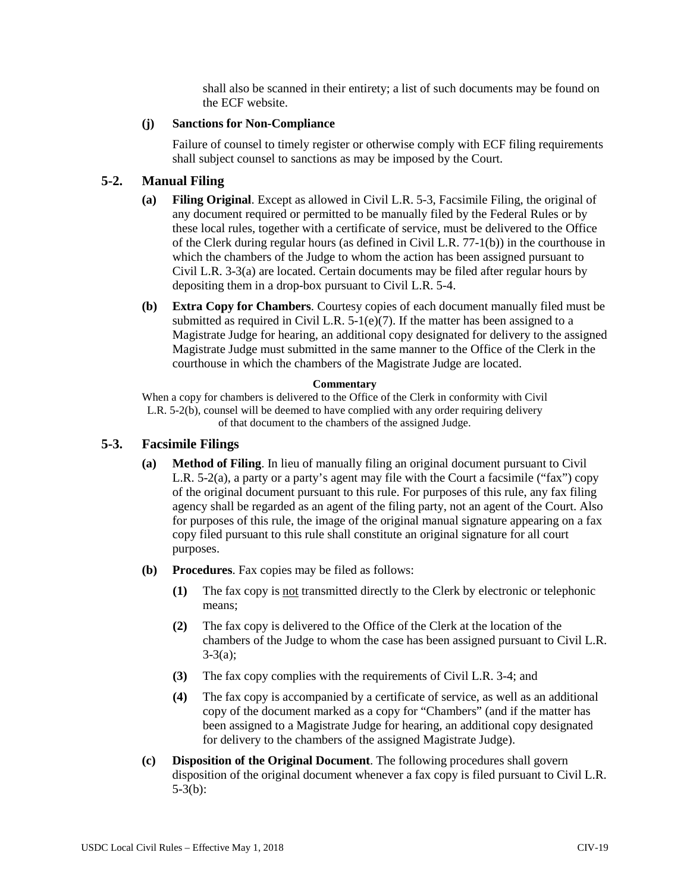shall also be scanned in their entirety; a list of such documents may be found on the ECF website.

### <span id="page-26-0"></span>**(j) Sanctions for Non-Compliance**

Failure of counsel to timely register or otherwise comply with ECF filing requirements shall subject counsel to sanctions as may be imposed by the Court.

# <span id="page-26-2"></span><span id="page-26-1"></span>**5-2. Manual Filing**

- **(a) Filing Original**. Except as allowed in Civil L.R. 5-3, Facsimile Filing, the original of any document required or permitted to be manually filed by the Federal Rules or by these local rules, together with a certificate of service, must be delivered to the Office of the Clerk during regular hours (as defined in Civil L.R. 77-1(b)) in the courthouse in which the chambers of the Judge to whom the action has been assigned pursuant to Civil L.R. 3-3(a) are located. Certain documents may be filed after regular hours by depositing them in a drop-box pursuant to Civil L.R. 5-4.
- <span id="page-26-3"></span>**(b) Extra Copy for Chambers**. Courtesy copies of each document manually filed must be submitted as required in Civil L.R.  $5-1(e)(7)$ . If the matter has been assigned to a Magistrate Judge for hearing, an additional copy designated for delivery to the assigned Magistrate Judge must submitted in the same manner to the Office of the Clerk in the courthouse in which the chambers of the Magistrate Judge are located.

#### **Commentary**

When a copy for chambers is delivered to the Office of the Clerk in conformity with Civil L.R. 5-2(b), counsel will be deemed to have complied with any order requiring delivery of that document to the chambers of the assigned Judge.

### <span id="page-26-5"></span><span id="page-26-4"></span>**5-3. Facsimile Filings**

- **(a) Method of Filing**. In lieu of manually filing an original document pursuant to Civil L.R. 5-2(a), a party or a party's agent may file with the Court a facsimile ("fax") copy of the original document pursuant to this rule. For purposes of this rule, any fax filing agency shall be regarded as an agent of the filing party, not an agent of the Court. Also for purposes of this rule, the image of the original manual signature appearing on a fax copy filed pursuant to this rule shall constitute an original signature for all court purposes.
- <span id="page-26-6"></span>**(b) Procedures**. Fax copies may be filed as follows:
	- **(1)** The fax copy is not transmitted directly to the Clerk by electronic or telephonic means;
	- **(2)** The fax copy is delivered to the Office of the Clerk at the location of the chambers of the Judge to whom the case has been assigned pursuant to Civil L.R.  $3-3(a)$ :
	- **(3)** The fax copy complies with the requirements of Civil L.R. 3-4; and
	- **(4)** The fax copy is accompanied by a certificate of service, as well as an additional copy of the document marked as a copy for "Chambers" (and if the matter has been assigned to a Magistrate Judge for hearing, an additional copy designated for delivery to the chambers of the assigned Magistrate Judge).
- <span id="page-26-7"></span>**(c) Disposition of the Original Document**. The following procedures shall govern disposition of the original document whenever a fax copy is filed pursuant to Civil L.R. 5-3(b):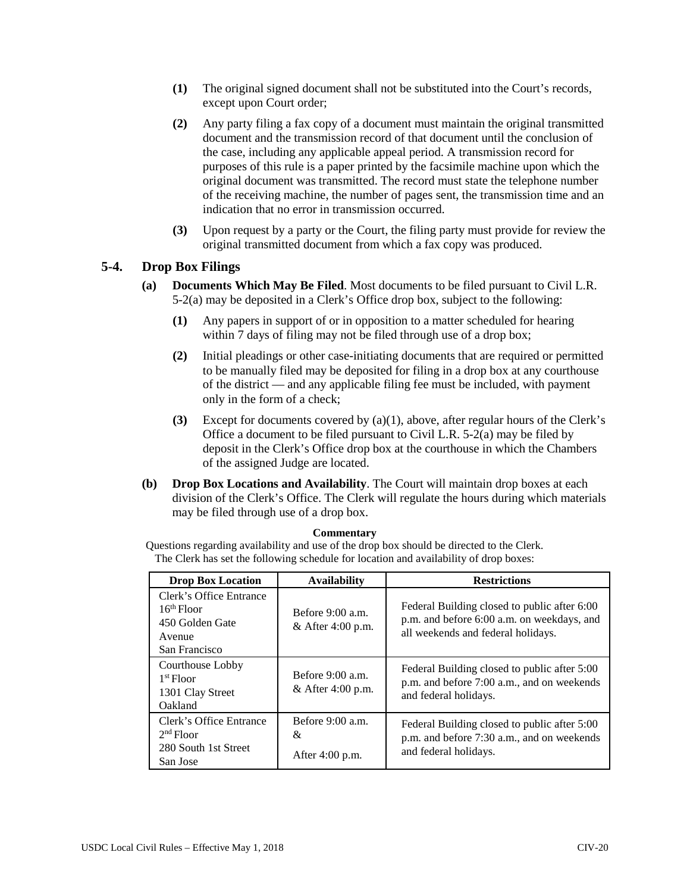- **(1)** The original signed document shall not be substituted into the Court's records, except upon Court order;
- **(2)** Any party filing a fax copy of a document must maintain the original transmitted document and the transmission record of that document until the conclusion of the case, including any applicable appeal period. A transmission record for purposes of this rule is a paper printed by the facsimile machine upon which the original document was transmitted. The record must state the telephone number of the receiving machine, the number of pages sent, the transmission time and an indication that no error in transmission occurred.
- **(3)** Upon request by a party or the Court, the filing party must provide for review the original transmitted document from which a fax copy was produced.

# <span id="page-27-1"></span><span id="page-27-0"></span>**5-4. Drop Box Filings**

- **(a) Documents Which May Be Filed**. Most documents to be filed pursuant to Civil L.R. 5-2(a) may be deposited in a Clerk's Office drop box, subject to the following:
	- **(1)** Any papers in support of or in opposition to a matter scheduled for hearing within 7 days of filing may not be filed through use of a drop box;
	- **(2)** Initial pleadings or other case-initiating documents that are required or permitted to be manually filed may be deposited for filing in a drop box at any courthouse of the district — and any applicable filing fee must be included, with payment only in the form of a check;
	- **(3)** Except for documents covered by (a)(1), above, after regular hours of the Clerk's Office a document to be filed pursuant to Civil L.R. 5-2(a) may be filed by deposit in the Clerk's Office drop box at the courthouse in which the Chambers of the assigned Judge are located.
- <span id="page-27-2"></span>**(b) Drop Box Locations and Availability**. The Court will maintain drop boxes at each division of the Clerk's Office. The Clerk will regulate the hours during which materials may be filed through use of a drop box.

#### **Commentary**

Questions regarding availability and use of the drop box should be directed to the Clerk. The Clerk has set the following schedule for location and availability of drop boxes:

| <b>Drop Box Location</b>                                                              | <b>Availability</b>                          | <b>Restrictions</b>                                                                                                              |
|---------------------------------------------------------------------------------------|----------------------------------------------|----------------------------------------------------------------------------------------------------------------------------------|
| Clerk's Office Entrance<br>$16th$ Floor<br>450 Golden Gate<br>Avenue<br>San Francisco | Before $9:00$ a.m.<br>$&$ After 4:00 p.m.    | Federal Building closed to public after 6:00<br>p.m. and before 6:00 a.m. on weekdays, and<br>all weekends and federal holidays. |
| Courthouse Lobby<br>$1st$ Floor<br>1301 Clay Street<br>Oakland                        | Before $9:00$ a.m.<br>$&$ After 4:00 p.m.    | Federal Building closed to public after 5:00<br>p.m. and before 7:00 a.m., and on weekends<br>and federal holidays.              |
| Clerk's Office Entrance<br>$2nd$ Floor<br>280 South 1st Street<br>San Jose            | Before $9:00$ a.m.<br>&<br>After $4:00$ p.m. | Federal Building closed to public after 5:00<br>p.m. and before 7:30 a.m., and on weekends<br>and federal holidays.              |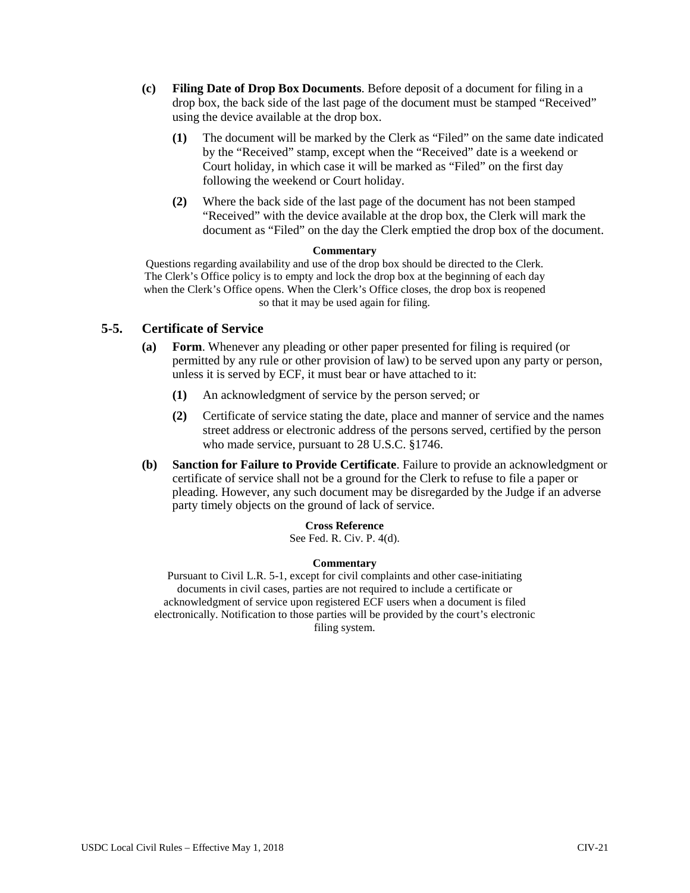- <span id="page-28-0"></span>**(c) Filing Date of Drop Box Documents**. Before deposit of a document for filing in a drop box, the back side of the last page of the document must be stamped "Received" using the device available at the drop box.
	- **(1)** The document will be marked by the Clerk as "Filed" on the same date indicated by the "Received" stamp, except when the "Received" date is a weekend or Court holiday, in which case it will be marked as "Filed" on the first day following the weekend or Court holiday.
	- **(2)** Where the back side of the last page of the document has not been stamped "Received" with the device available at the drop box, the Clerk will mark the document as "Filed" on the day the Clerk emptied the drop box of the document.

#### **Commentary**

Questions regarding availability and use of the drop box should be directed to the Clerk. The Clerk's Office policy is to empty and lock the drop box at the beginning of each day when the Clerk's Office opens. When the Clerk's Office closes, the drop box is reopened so that it may be used again for filing.

# <span id="page-28-2"></span><span id="page-28-1"></span>**5-5. Certificate of Service**

- **(a) Form**. Whenever any pleading or other paper presented for filing is required (or permitted by any rule or other provision of law) to be served upon any party or person, unless it is served by ECF, it must bear or have attached to it:
	- **(1)** An acknowledgment of service by the person served; or
	- **(2)** Certificate of service stating the date, place and manner of service and the names street address or electronic address of the persons served, certified by the person who made service, pursuant to 28 U.S.C. §1746.
- <span id="page-28-3"></span>**(b) Sanction for Failure to Provide Certificate**. Failure to provide an acknowledgment or certificate of service shall not be a ground for the Clerk to refuse to file a paper or pleading. However, any such document may be disregarded by the Judge if an adverse party timely objects on the ground of lack of service.

#### **Cross Reference**

See Fed. R. Civ. P. 4(d).

#### **Commentary**

Pursuant to Civil L.R. 5-1, except for civil complaints and other case-initiating documents in civil cases, parties are not required to include a certificate or acknowledgment of service upon registered ECF users when a document is filed electronically. Notification to those parties will be provided by the court's electronic filing system.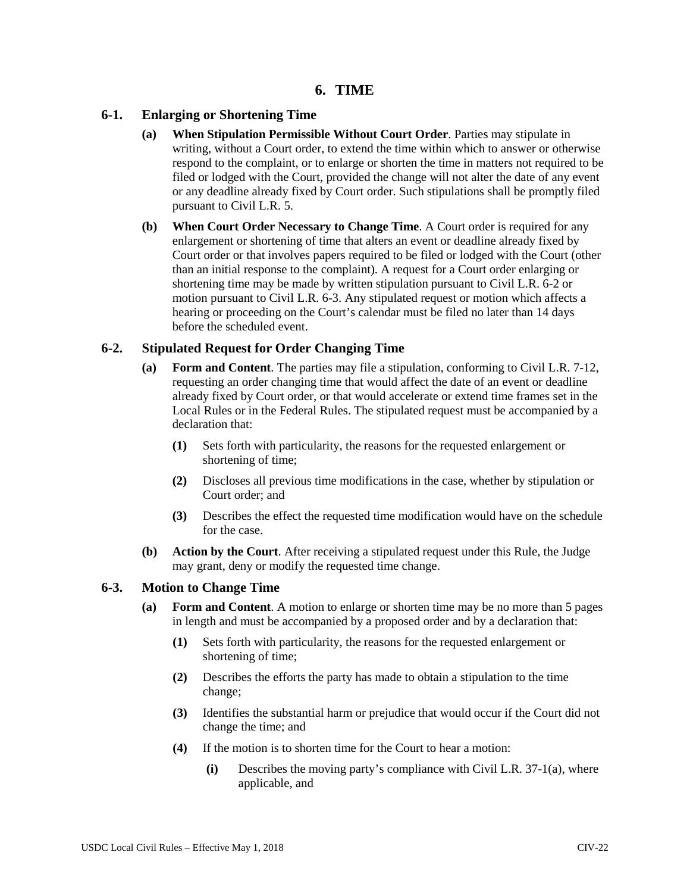# **6. TIME**

### <span id="page-29-2"></span><span id="page-29-1"></span><span id="page-29-0"></span>**6-1. Enlarging or Shortening Time**

- **(a) When Stipulation Permissible Without Court Order**. Parties may stipulate in writing, without a Court order, to extend the time within which to answer or otherwise respond to the complaint, or to enlarge or shorten the time in matters not required to be filed or lodged with the Court, provided the change will not alter the date of any event or any deadline already fixed by Court order. Such stipulations shall be promptly filed pursuant to Civil L.R. 5.
- <span id="page-29-3"></span>**(b) When Court Order Necessary to Change Time**. A Court order is required for any enlargement or shortening of time that alters an event or deadline already fixed by Court order or that involves papers required to be filed or lodged with the Court (other than an initial response to the complaint). A request for a Court order enlarging or shortening time may be made by written stipulation pursuant to Civil L.R. 6-2 or motion pursuant to Civil L.R. 6-3. Any stipulated request or motion which affects a hearing or proceeding on the Court's calendar must be filed no later than 14 days before the scheduled event.

# <span id="page-29-5"></span><span id="page-29-4"></span>**6-2. Stipulated Request for Order Changing Time**

- **(a) Form and Content**. The parties may file a stipulation, conforming to Civil L.R. 7-12, requesting an order changing time that would affect the date of an event or deadline already fixed by Court order, or that would accelerate or extend time frames set in the Local Rules or in the Federal Rules. The stipulated request must be accompanied by a declaration that:
	- **(1)** Sets forth with particularity, the reasons for the requested enlargement or shortening of time;
	- **(2)** Discloses all previous time modifications in the case, whether by stipulation or Court order; and
	- **(3)** Describes the effect the requested time modification would have on the schedule for the case.
- **(b) Action by the Court**. After receiving a stipulated request under this Rule, the Judge may grant, deny or modify the requested time change.

### <span id="page-29-8"></span><span id="page-29-7"></span><span id="page-29-6"></span>**6-3. Motion to Change Time**

- **(a) Form and Content**. A motion to enlarge or shorten time may be no more than 5 pages in length and must be accompanied by a proposed order and by a declaration that:
	- **(1)** Sets forth with particularity, the reasons for the requested enlargement or shortening of time;
	- **(2)** Describes the efforts the party has made to obtain a stipulation to the time change;
	- **(3)** Identifies the substantial harm or prejudice that would occur if the Court did not change the time; and
	- **(4)** If the motion is to shorten time for the Court to hear a motion:
		- **(i)** Describes the moving party's compliance with Civil L.R. 37-1(a), where applicable, and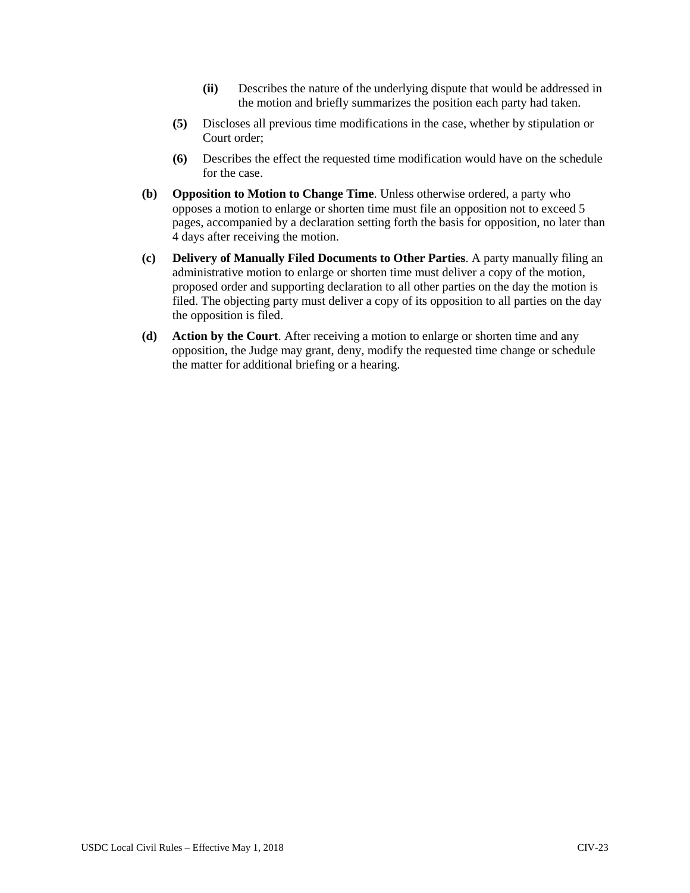- **(ii)** Describes the nature of the underlying dispute that would be addressed in the motion and briefly summarizes the position each party had taken.
- **(5)** Discloses all previous time modifications in the case, whether by stipulation or Court order;
- **(6)** Describes the effect the requested time modification would have on the schedule for the case.
- <span id="page-30-0"></span>**(b) Opposition to Motion to Change Time**. Unless otherwise ordered, a party who opposes a motion to enlarge or shorten time must file an opposition not to exceed 5 pages, accompanied by a declaration setting forth the basis for opposition, no later than 4 days after receiving the motion.
- <span id="page-30-1"></span>**(c) Delivery of Manually Filed Documents to Other Parties**. A party manually filing an administrative motion to enlarge or shorten time must deliver a copy of the motion, proposed order and supporting declaration to all other parties on the day the motion is filed. The objecting party must deliver a copy of its opposition to all parties on the day the opposition is filed.
- <span id="page-30-2"></span>**(d) Action by the Court**. After receiving a motion to enlarge or shorten time and any opposition, the Judge may grant, deny, modify the requested time change or schedule the matter for additional briefing or a hearing.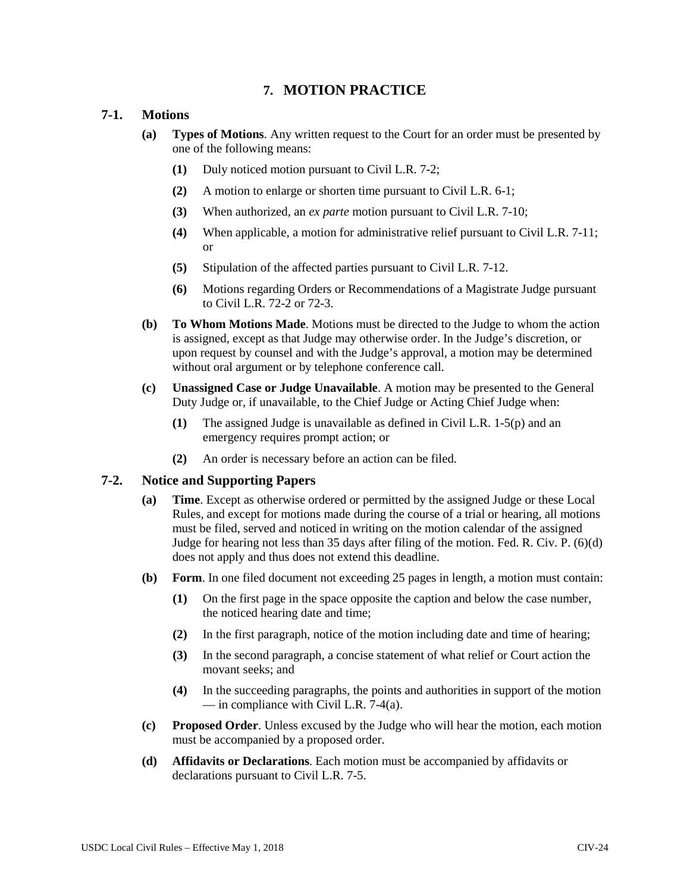# **7. MOTION PRACTICE**

### <span id="page-31-2"></span><span id="page-31-1"></span><span id="page-31-0"></span>**7-1. Motions**

- **(a) Types of Motions**. Any written request to the Court for an order must be presented by one of the following means:
	- **(1)** Duly noticed motion pursuant to Civil L.R. 7-2;
	- **(2)** A motion to enlarge or shorten time pursuant to Civil L.R. 6-1;
	- **(3)** When authorized, an *ex parte* motion pursuant to Civil L.R. 7-10;
	- **(4)** When applicable, a motion for administrative relief pursuant to Civil L.R. 7-11; or
	- **(5)** Stipulation of the affected parties pursuant to Civil L.R. 7-12.
	- **(6)** Motions regarding Orders or Recommendations of a Magistrate Judge pursuant to Civil L.R. 72-2 or 72-3.
- <span id="page-31-3"></span>**(b) To Whom Motions Made**. Motions must be directed to the Judge to whom the action is assigned, except as that Judge may otherwise order. In the Judge's discretion, or upon request by counsel and with the Judge's approval, a motion may be determined without oral argument or by telephone conference call.
- <span id="page-31-4"></span>**(c) Unassigned Case or Judge Unavailable**. A motion may be presented to the General Duty Judge or, if unavailable, to the Chief Judge or Acting Chief Judge when:
	- **(1)** The assigned Judge is unavailable as defined in Civil L.R. 1-5(p) and an emergency requires prompt action; or
	- **(2)** An order is necessary before an action can be filed.

### <span id="page-31-6"></span><span id="page-31-5"></span>**7-2. Notice and Supporting Papers**

- **(a) Time**. Except as otherwise ordered or permitted by the assigned Judge or these Local Rules, and except for motions made during the course of a trial or hearing, all motions must be filed, served and noticed in writing on the motion calendar of the assigned Judge for hearing not less than 35 days after filing of the motion. Fed. R. Civ. P. (6)(d) does not apply and thus does not extend this deadline.
- <span id="page-31-7"></span>**(b) Form**. In one filed document not exceeding 25 pages in length, a motion must contain:
	- **(1)** On the first page in the space opposite the caption and below the case number, the noticed hearing date and time;
	- **(2)** In the first paragraph, notice of the motion including date and time of hearing;
	- **(3)** In the second paragraph, a concise statement of what relief or Court action the movant seeks; and
	- **(4)** In the succeeding paragraphs, the points and authorities in support of the motion — in compliance with Civil L.R. 7-4(a).
- <span id="page-31-8"></span>**(c) Proposed Order**. Unless excused by the Judge who will hear the motion, each motion must be accompanied by a proposed order.
- <span id="page-31-9"></span>**(d) Affidavits or Declarations**. Each motion must be accompanied by affidavits or declarations pursuant to Civil L.R. 7-5.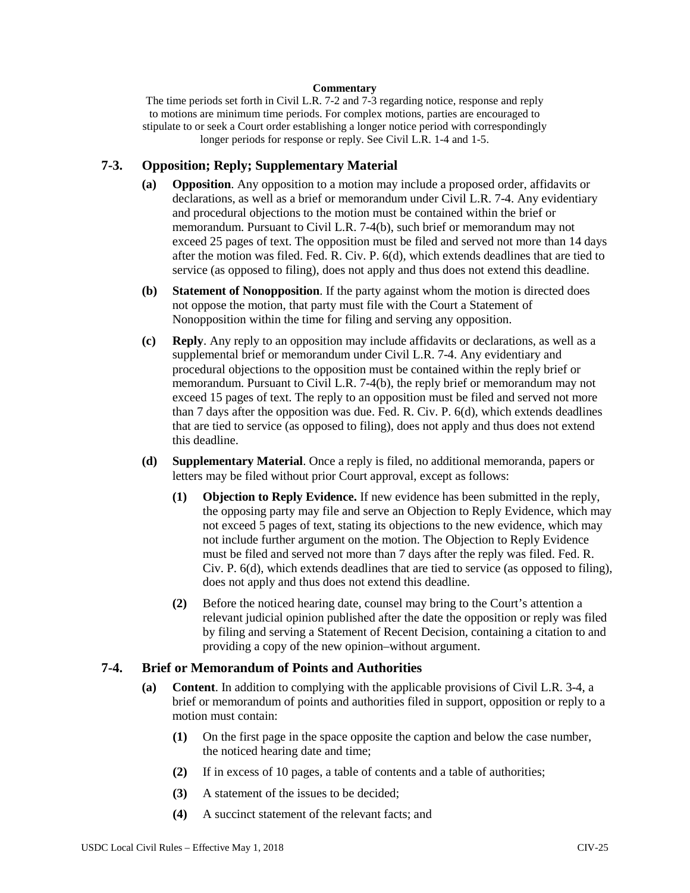#### **Commentary**

The time periods set forth in Civil L.R. 7-2 and 7-3 regarding notice, response and reply to motions are minimum time periods. For complex motions, parties are encouraged to stipulate to or seek a Court order establishing a longer notice period with correspondingly longer periods for response or reply. See Civil L.R. 1-4 and 1-5.

### <span id="page-32-1"></span><span id="page-32-0"></span>**7-3. Opposition; Reply; Supplementary Material**

- **(a) Opposition**. Any opposition to a motion may include a proposed order, affidavits or declarations, as well as a brief or memorandum under Civil L.R. 7-4. Any evidentiary and procedural objections to the motion must be contained within the brief or memorandum. Pursuant to Civil L.R. 7-4(b), such brief or memorandum may not exceed 25 pages of text. The opposition must be filed and served not more than 14 days after the motion was filed. Fed. R. Civ. P. 6(d), which extends deadlines that are tied to service (as opposed to filing), does not apply and thus does not extend this deadline.
- <span id="page-32-2"></span>**(b) Statement of Nonopposition**. If the party against whom the motion is directed does not oppose the motion, that party must file with the Court a Statement of Nonopposition within the time for filing and serving any opposition.
- <span id="page-32-3"></span>**(c) Reply**. Any reply to an opposition may include affidavits or declarations, as well as a supplemental brief or memorandum under Civil L.R. 7-4. Any evidentiary and procedural objections to the opposition must be contained within the reply brief or memorandum. Pursuant to Civil L.R. 7-4(b), the reply brief or memorandum may not exceed 15 pages of text. The reply to an opposition must be filed and served not more than 7 days after the opposition was due. Fed. R. Civ. P. 6(d), which extends deadlines that are tied to service (as opposed to filing), does not apply and thus does not extend this deadline.
- <span id="page-32-4"></span>**(d) Supplementary Material**. Once a reply is filed, no additional memoranda, papers or letters may be filed without prior Court approval, except as follows:
	- **(1) Objection to Reply Evidence.** If new evidence has been submitted in the reply, the opposing party may file and serve an Objection to Reply Evidence, which may not exceed 5 pages of text, stating its objections to the new evidence, which may not include further argument on the motion. The Objection to Reply Evidence must be filed and served not more than 7 days after the reply was filed. Fed. R. Civ. P. 6(d), which extends deadlines that are tied to service (as opposed to filing), does not apply and thus does not extend this deadline.
	- **(2)** Before the noticed hearing date, counsel may bring to the Court's attention a relevant judicial opinion published after the date the opposition or reply was filed by filing and serving a Statement of Recent Decision, containing a citation to and providing a copy of the new opinion–without argument.

### <span id="page-32-6"></span><span id="page-32-5"></span>**7-4. Brief or Memorandum of Points and Authorities**

- **(a) Content**. In addition to complying with the applicable provisions of Civil L.R. 3-4, a brief or memorandum of points and authorities filed in support, opposition or reply to a motion must contain:
	- **(1)** On the first page in the space opposite the caption and below the case number, the noticed hearing date and time;
	- **(2)** If in excess of 10 pages, a table of contents and a table of authorities;
	- **(3)** A statement of the issues to be decided;
	- **(4)** A succinct statement of the relevant facts; and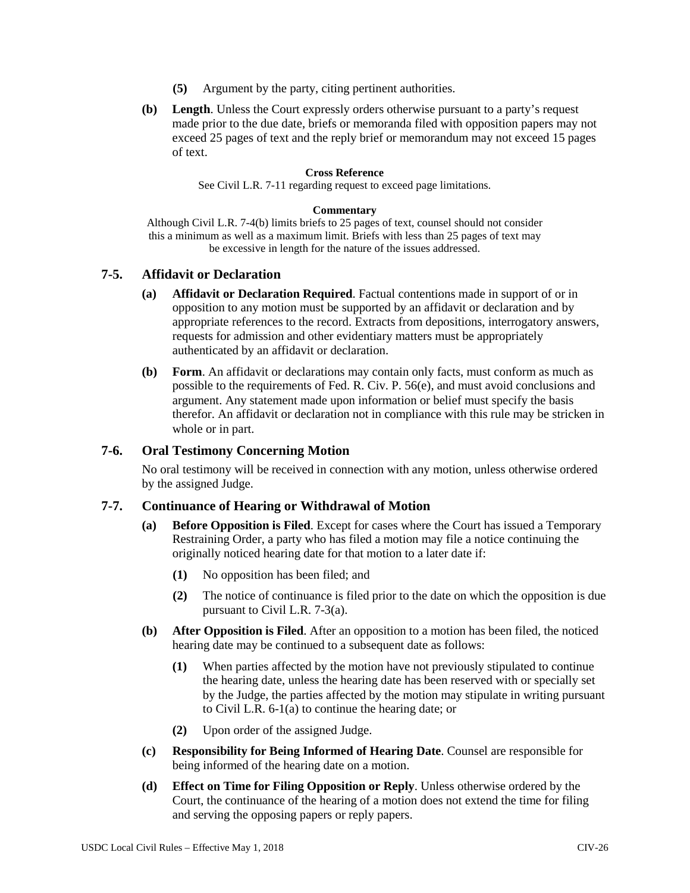- **(5)** Argument by the party, citing pertinent authorities.
- <span id="page-33-0"></span>**(b) Length**. Unless the Court expressly orders otherwise pursuant to a party's request made prior to the due date, briefs or memoranda filed with opposition papers may not exceed 25 pages of text and the reply brief or memorandum may not exceed 15 pages of text.

#### **Cross Reference**

See Civil L.R. 7-11 regarding request to exceed page limitations.

#### **Commentary**

Although Civil L.R. 7-4(b) limits briefs to 25 pages of text, counsel should not consider this a minimum as well as a maximum limit. Briefs with less than 25 pages of text may be excessive in length for the nature of the issues addressed.

### <span id="page-33-2"></span><span id="page-33-1"></span>**7-5. Affidavit or Declaration**

- **(a) Affidavit or Declaration Required**. Factual contentions made in support of or in opposition to any motion must be supported by an affidavit or declaration and by appropriate references to the record. Extracts from depositions, interrogatory answers, requests for admission and other evidentiary matters must be appropriately authenticated by an affidavit or declaration.
- <span id="page-33-3"></span>**(b) Form**. An affidavit or declarations may contain only facts, must conform as much as possible to the requirements of Fed. R. Civ. P. 56(e), and must avoid conclusions and argument. Any statement made upon information or belief must specify the basis therefor. An affidavit or declaration not in compliance with this rule may be stricken in whole or in part.

### <span id="page-33-4"></span>**7-6. Oral Testimony Concerning Motion**

No oral testimony will be received in connection with any motion, unless otherwise ordered by the assigned Judge.

### <span id="page-33-6"></span><span id="page-33-5"></span>**7-7. Continuance of Hearing or Withdrawal of Motion**

- **(a) Before Opposition is Filed**. Except for cases where the Court has issued a Temporary Restraining Order, a party who has filed a motion may file a notice continuing the originally noticed hearing date for that motion to a later date if:
	- **(1)** No opposition has been filed; and
	- **(2)** The notice of continuance is filed prior to the date on which the opposition is due pursuant to Civil L.R. 7-3(a).
- <span id="page-33-7"></span>**(b) After Opposition is Filed**. After an opposition to a motion has been filed, the noticed hearing date may be continued to a subsequent date as follows:
	- **(1)** When parties affected by the motion have not previously stipulated to continue the hearing date, unless the hearing date has been reserved with or specially set by the Judge, the parties affected by the motion may stipulate in writing pursuant to Civil L.R. 6-1(a) to continue the hearing date; or
	- **(2)** Upon order of the assigned Judge.
- <span id="page-33-8"></span>**(c) Responsibility for Being Informed of Hearing Date**. Counsel are responsible for being informed of the hearing date on a motion.
- <span id="page-33-9"></span>**(d) Effect on Time for Filing Opposition or Reply**. Unless otherwise ordered by the Court, the continuance of the hearing of a motion does not extend the time for filing and serving the opposing papers or reply papers.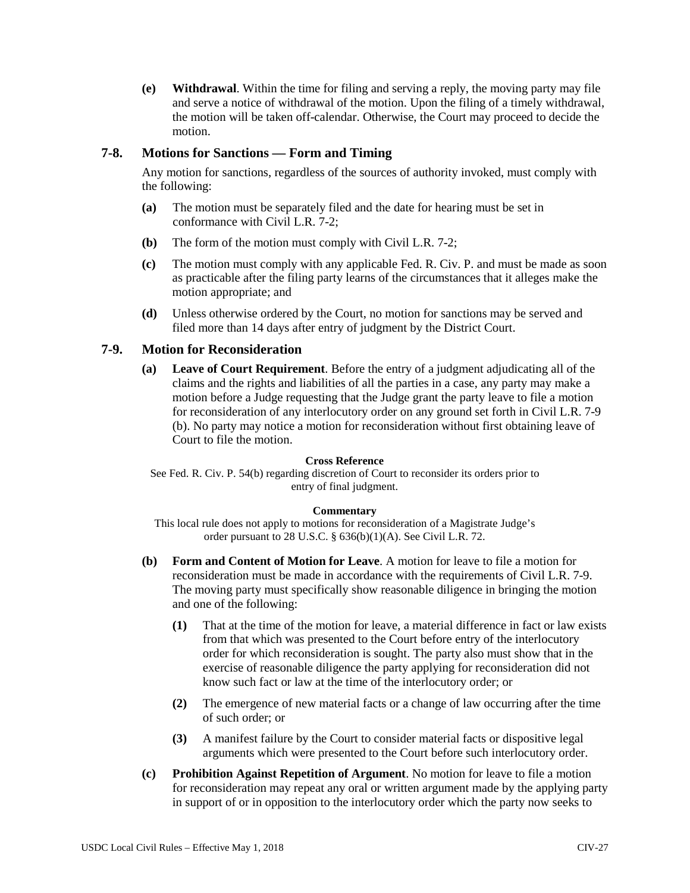<span id="page-34-0"></span>**(e) Withdrawal**. Within the time for filing and serving a reply, the moving party may file and serve a notice of withdrawal of the motion. Upon the filing of a timely withdrawal, the motion will be taken off-calendar. Otherwise, the Court may proceed to decide the motion.

# <span id="page-34-1"></span>**7-8. Motions for Sanctions — Form and Timing**

Any motion for sanctions, regardless of the sources of authority invoked, must comply with the following:

- **(a)** The motion must be separately filed and the date for hearing must be set in conformance with Civil L.R. 7-2;
- **(b)** The form of the motion must comply with Civil L.R. 7-2;
- **(c)** The motion must comply with any applicable Fed. R. Civ. P. and must be made as soon as practicable after the filing party learns of the circumstances that it alleges make the motion appropriate; and
- **(d)** Unless otherwise ordered by the Court, no motion for sanctions may be served and filed more than 14 days after entry of judgment by the District Court.

# <span id="page-34-3"></span><span id="page-34-2"></span>**7-9. Motion for Reconsideration**

**(a) Leave of Court Requirement**. Before the entry of a judgment adjudicating all of the claims and the rights and liabilities of all the parties in a case, any party may make a motion before a Judge requesting that the Judge grant the party leave to file a motion for reconsideration of any interlocutory order on any ground set forth in Civil L.R. 7-9 (b). No party may notice a motion for reconsideration without first obtaining leave of Court to file the motion.

#### **Cross Reference**

See Fed. R. Civ. P. 54(b) regarding discretion of Court to reconsider its orders prior to entry of final judgment.

#### **Commentary**

This local rule does not apply to motions for reconsideration of a Magistrate Judge's order pursuant to 28 U.S.C. § 636(b)(1)(A). See Civil L.R. 72.

- <span id="page-34-4"></span>**(b) Form and Content of Motion for Leave**. A motion for leave to file a motion for reconsideration must be made in accordance with the requirements of Civil L.R. 7-9. The moving party must specifically show reasonable diligence in bringing the motion and one of the following:
	- **(1)** That at the time of the motion for leave, a material difference in fact or law exists from that which was presented to the Court before entry of the interlocutory order for which reconsideration is sought. The party also must show that in the exercise of reasonable diligence the party applying for reconsideration did not know such fact or law at the time of the interlocutory order; or
	- **(2)** The emergence of new material facts or a change of law occurring after the time of such order; or
	- **(3)** A manifest failure by the Court to consider material facts or dispositive legal arguments which were presented to the Court before such interlocutory order.
- <span id="page-34-5"></span>**(c) Prohibition Against Repetition of Argument**. No motion for leave to file a motion for reconsideration may repeat any oral or written argument made by the applying party in support of or in opposition to the interlocutory order which the party now seeks to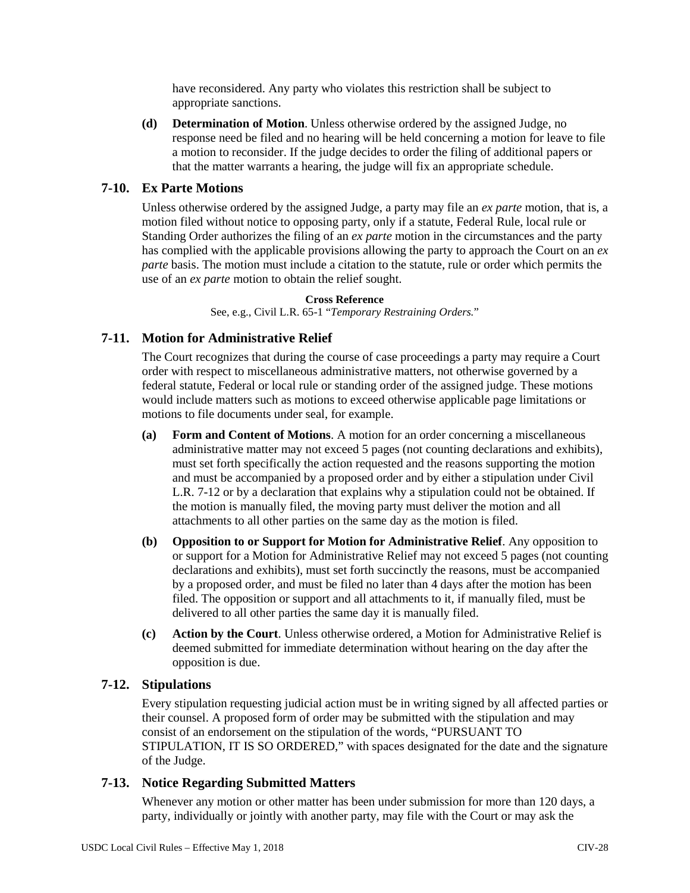have reconsidered. Any party who violates this restriction shall be subject to appropriate sanctions.

<span id="page-35-0"></span>**(d) Determination of Motion**. Unless otherwise ordered by the assigned Judge, no response need be filed and no hearing will be held concerning a motion for leave to file a motion to reconsider. If the judge decides to order the filing of additional papers or that the matter warrants a hearing, the judge will fix an appropriate schedule.

# <span id="page-35-1"></span>**7-10. Ex Parte Motions**

Unless otherwise ordered by the assigned Judge, a party may file an *ex parte* motion, that is, a motion filed without notice to opposing party, only if a statute, Federal Rule, local rule or Standing Order authorizes the filing of an *ex parte* motion in the circumstances and the party has complied with the applicable provisions allowing the party to approach the Court on an *ex parte* basis. The motion must include a citation to the statute, rule or order which permits the use of an *ex parte* motion to obtain the relief sought.

### **Cross Reference**

See, e.g., Civil L.R. 65-1 "*Temporary Restraining Orders.*"

# <span id="page-35-2"></span>**7-11. Motion for Administrative Relief**

The Court recognizes that during the course of case proceedings a party may require a Court order with respect to miscellaneous administrative matters, not otherwise governed by a federal statute, Federal or local rule or standing order of the assigned judge. These motions would include matters such as motions to exceed otherwise applicable page limitations or motions to file documents under seal, for example.

- <span id="page-35-3"></span>**(a) Form and Content of Motions**. A motion for an order concerning a miscellaneous administrative matter may not exceed 5 pages (not counting declarations and exhibits), must set forth specifically the action requested and the reasons supporting the motion and must be accompanied by a proposed order and by either a stipulation under Civil L.R. 7-12 or by a declaration that explains why a stipulation could not be obtained. If the motion is manually filed, the moving party must deliver the motion and all attachments to all other parties on the same day as the motion is filed.
- <span id="page-35-4"></span>**(b) Opposition to or Support for Motion for Administrative Relief**. Any opposition to or support for a Motion for Administrative Relief may not exceed 5 pages (not counting declarations and exhibits), must set forth succinctly the reasons, must be accompanied by a proposed order, and must be filed no later than 4 days after the motion has been filed. The opposition or support and all attachments to it, if manually filed, must be delivered to all other parties the same day it is manually filed.
- **(c) Action by the Court**. Unless otherwise ordered, a Motion for Administrative Relief is deemed submitted for immediate determination without hearing on the day after the opposition is due.

# <span id="page-35-6"></span><span id="page-35-5"></span>**7-12. Stipulations**

Every stipulation requesting judicial action must be in writing signed by all affected parties or their counsel. A proposed form of order may be submitted with the stipulation and may consist of an endorsement on the stipulation of the words, "PURSUANT TO STIPULATION, IT IS SO ORDERED," with spaces designated for the date and the signature of the Judge.

# <span id="page-35-7"></span>**7-13. Notice Regarding Submitted Matters**

Whenever any motion or other matter has been under submission for more than 120 days, a party, individually or jointly with another party, may file with the Court or may ask the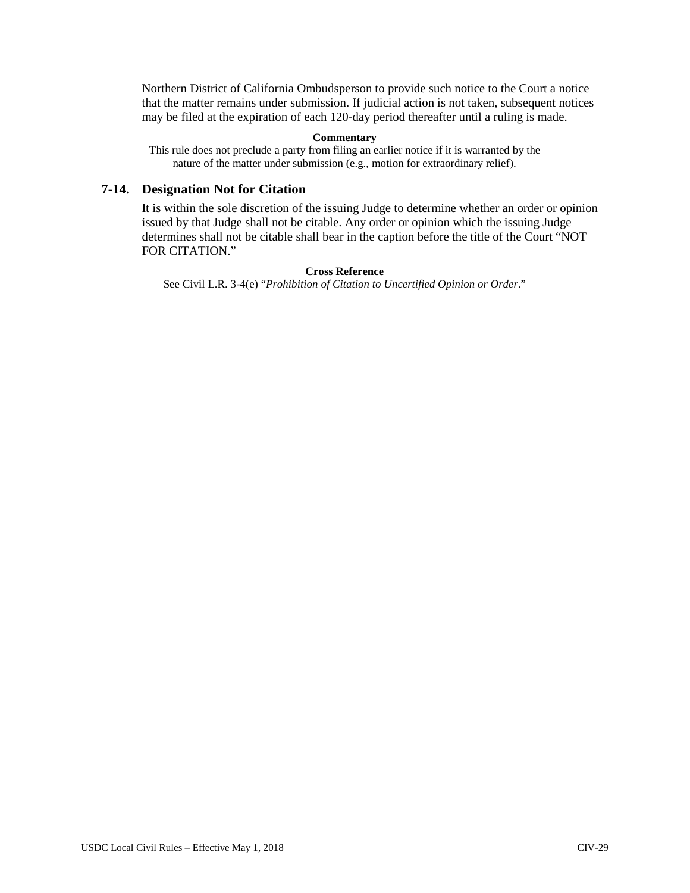Northern District of California Ombudsperson to provide such notice to the Court a notice that the matter remains under submission. If judicial action is not taken, subsequent notices may be filed at the expiration of each 120-day period thereafter until a ruling is made.

#### **Commentary**

This rule does not preclude a party from filing an earlier notice if it is warranted by the nature of the matter under submission (e.g., motion for extraordinary relief).

## **7-14. Designation Not for Citation**

It is within the sole discretion of the issuing Judge to determine whether an order or opinion issued by that Judge shall not be citable. Any order or opinion which the issuing Judge determines shall not be citable shall bear in the caption before the title of the Court "NOT FOR CITATION."

#### **Cross Reference**

See Civil L.R. 3-4(e) "*Prohibition of Citation to Uncertified Opinion or Order*."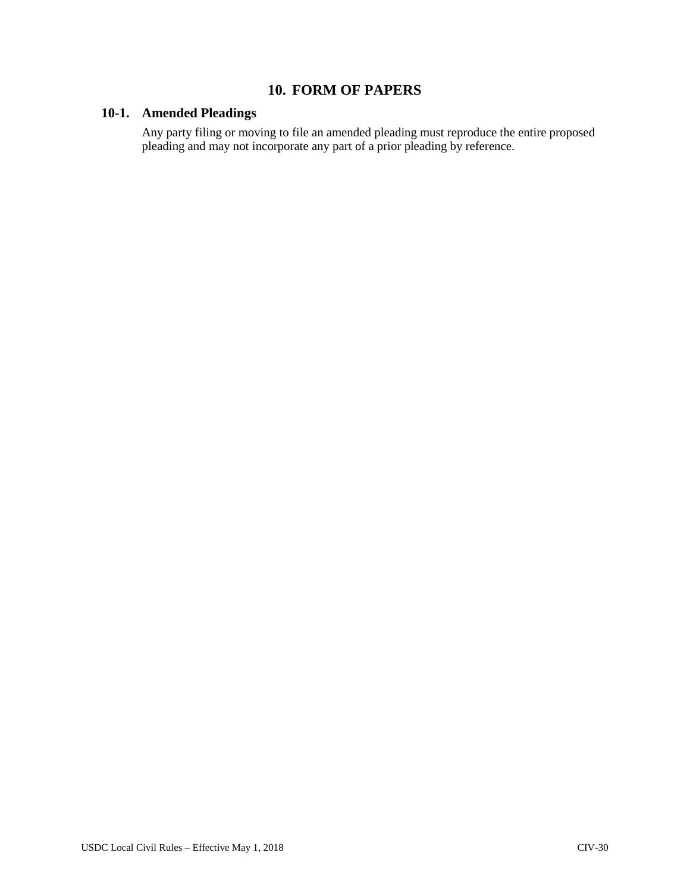# **10. FORM OF PAPERS**

# **10-1. Amended Pleadings**

Any party filing or moving to file an amended pleading must reproduce the entire proposed pleading and may not incorporate any part of a prior pleading by reference.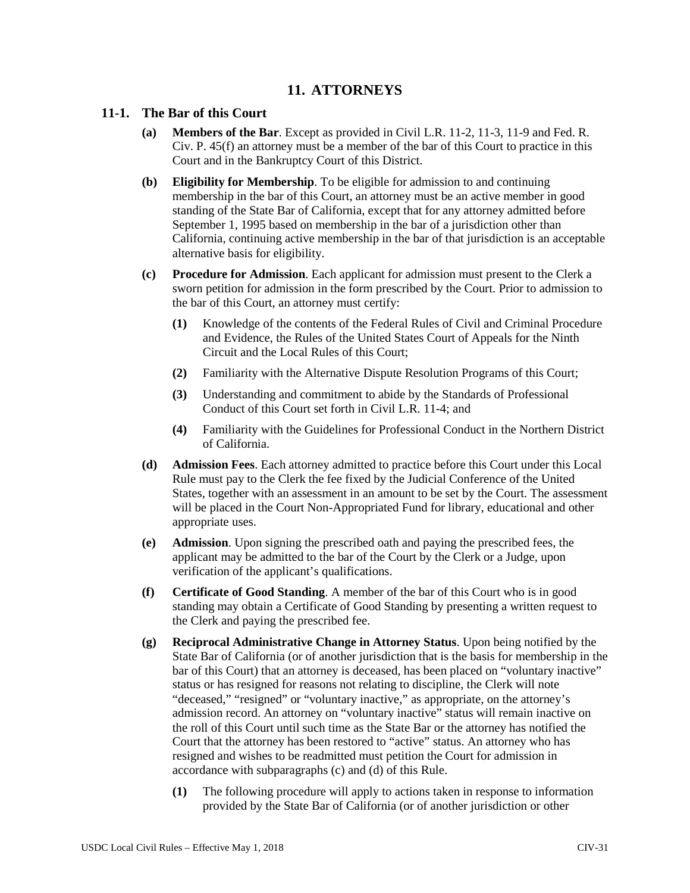# **11. ATTORNEYS**

## **11-1. The Bar of this Court**

- **(a) Members of the Bar**. Except as provided in Civil L.R. 11-2, 11-3, 11-9 and Fed. R. Civ. P. 45(f) an attorney must be a member of the bar of this Court to practice in this Court and in the Bankruptcy Court of this District.
- **(b) Eligibility for Membership**. To be eligible for admission to and continuing membership in the bar of this Court, an attorney must be an active member in good standing of the State Bar of California, except that for any attorney admitted before September 1, 1995 based on membership in the bar of a jurisdiction other than California, continuing active membership in the bar of that jurisdiction is an acceptable alternative basis for eligibility.
- **(c) Procedure for Admission**. Each applicant for admission must present to the Clerk a sworn petition for admission in the form prescribed by the Court. Prior to admission to the bar of this Court, an attorney must certify:
	- **(1)** Knowledge of the contents of the Federal Rules of Civil and Criminal Procedure and Evidence, the Rules of the United States Court of Appeals for the Ninth Circuit and the Local Rules of this Court;
	- **(2)** Familiarity with the Alternative Dispute Resolution Programs of this Court;
	- **(3)** Understanding and commitment to abide by the Standards of Professional Conduct of this Court set forth in Civil L.R. 11-4; and
	- **(4)** Familiarity with the Guidelines for Professional Conduct in the Northern District of California.
- **(d) Admission Fees**. Each attorney admitted to practice before this Court under this Local Rule must pay to the Clerk the fee fixed by the Judicial Conference of the United States, together with an assessment in an amount to be set by the Court. The assessment will be placed in the Court Non-Appropriated Fund for library, educational and other appropriate uses.
- **(e) Admission**. Upon signing the prescribed oath and paying the prescribed fees, the applicant may be admitted to the bar of the Court by the Clerk or a Judge, upon verification of the applicant's qualifications.
- **(f) Certificate of Good Standing**. A member of the bar of this Court who is in good standing may obtain a Certificate of Good Standing by presenting a written request to the Clerk and paying the prescribed fee.
- **(g) Reciprocal Administrative Change in Attorney Status**. Upon being notified by the State Bar of California (or of another jurisdiction that is the basis for membership in the bar of this Court) that an attorney is deceased, has been placed on "voluntary inactive" status or has resigned for reasons not relating to discipline, the Clerk will note "deceased," "resigned" or "voluntary inactive," as appropriate, on the attorney's admission record. An attorney on "voluntary inactive" status will remain inactive on the roll of this Court until such time as the State Bar or the attorney has notified the Court that the attorney has been restored to "active" status. An attorney who has resigned and wishes to be readmitted must petition the Court for admission in accordance with subparagraphs (c) and (d) of this Rule.
	- **(1)** The following procedure will apply to actions taken in response to information provided by the State Bar of California (or of another jurisdiction or other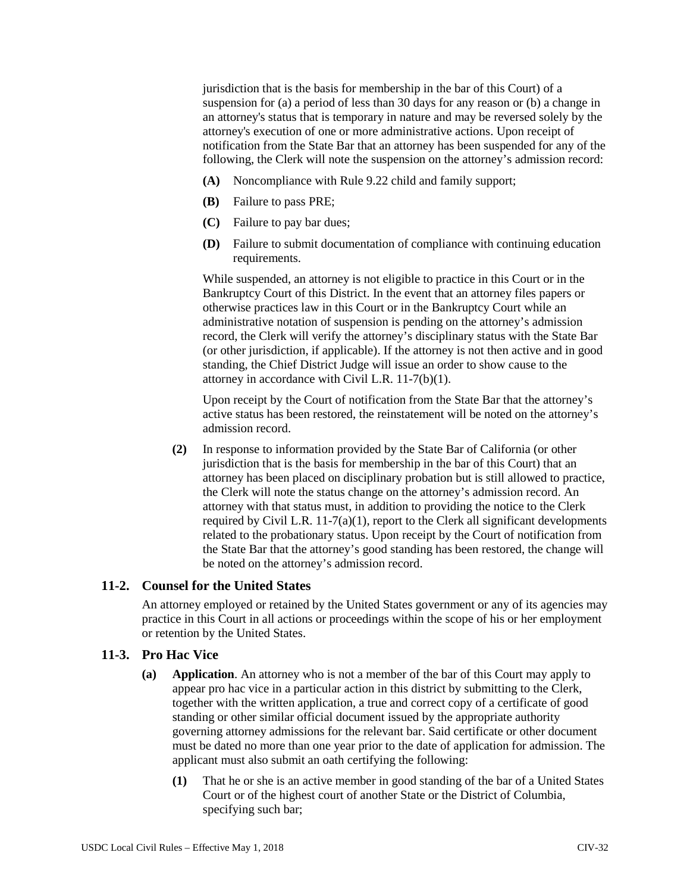jurisdiction that is the basis for membership in the bar of this Court) of a suspension for (a) a period of less than 30 days for any reason or (b) a change in an attorney's status that is temporary in nature and may be reversed solely by the attorney's execution of one or more administrative actions. Upon receipt of notification from the State Bar that an attorney has been suspended for any of the following, the Clerk will note the suspension on the attorney's admission record:

- **(A)** Noncompliance with Rule 9.22 child and family support;
- **(B)** Failure to pass PRE;
- **(C)** Failure to pay bar dues;
- **(D)** Failure to submit documentation of compliance with continuing education requirements.

While suspended, an attorney is not eligible to practice in this Court or in the Bankruptcy Court of this District. In the event that an attorney files papers or otherwise practices law in this Court or in the Bankruptcy Court while an administrative notation of suspension is pending on the attorney's admission record, the Clerk will verify the attorney's disciplinary status with the State Bar (or other jurisdiction, if applicable). If the attorney is not then active and in good standing, the Chief District Judge will issue an order to show cause to the attorney in accordance with Civil L.R. 11-7(b)(1).

Upon receipt by the Court of notification from the State Bar that the attorney's active status has been restored, the reinstatement will be noted on the attorney's admission record.

**(2)** In response to information provided by the State Bar of California (or other jurisdiction that is the basis for membership in the bar of this Court) that an attorney has been placed on disciplinary probation but is still allowed to practice, the Clerk will note the status change on the attorney's admission record. An attorney with that status must, in addition to providing the notice to the Clerk required by Civil L.R. 11-7(a)(1), report to the Clerk all significant developments related to the probationary status. Upon receipt by the Court of notification from the State Bar that the attorney's good standing has been restored, the change will be noted on the attorney's admission record.

## **11-2. Counsel for the United States**

An attorney employed or retained by the United States government or any of its agencies may practice in this Court in all actions or proceedings within the scope of his or her employment or retention by the United States.

#### **11-3. Pro Hac Vice**

- **(a) Application**. An attorney who is not a member of the bar of this Court may apply to appear pro hac vice in a particular action in this district by submitting to the Clerk, together with the written application, a true and correct copy of a certificate of good standing or other similar official document issued by the appropriate authority governing attorney admissions for the relevant bar. Said certificate or other document must be dated no more than one year prior to the date of application for admission. The applicant must also submit an oath certifying the following:
	- **(1)** That he or she is an active member in good standing of the bar of a United States Court or of the highest court of another State or the District of Columbia, specifying such bar;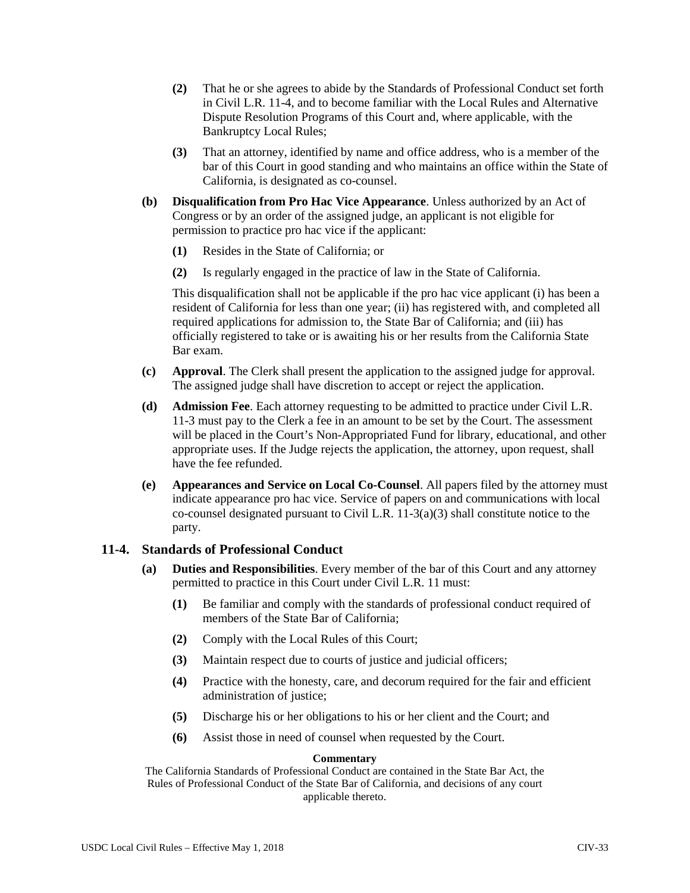- **(2)** That he or she agrees to abide by the Standards of Professional Conduct set forth in Civil L.R. 11-4, and to become familiar with the Local Rules and Alternative Dispute Resolution Programs of this Court and, where applicable, with the Bankruptcy Local Rules;
- **(3)** That an attorney, identified by name and office address, who is a member of the bar of this Court in good standing and who maintains an office within the State of California, is designated as co-counsel.
- **(b) Disqualification from Pro Hac Vice Appearance**. Unless authorized by an Act of Congress or by an order of the assigned judge, an applicant is not eligible for permission to practice pro hac vice if the applicant:
	- **(1)** Resides in the State of California; or
	- **(2)** Is regularly engaged in the practice of law in the State of California.

This disqualification shall not be applicable if the pro hac vice applicant (i) has been a resident of California for less than one year; (ii) has registered with, and completed all required applications for admission to, the State Bar of California; and (iii) has officially registered to take or is awaiting his or her results from the California State Bar exam.

- **(c) Approval**. The Clerk shall present the application to the assigned judge for approval. The assigned judge shall have discretion to accept or reject the application.
- **(d) Admission Fee**. Each attorney requesting to be admitted to practice under Civil L.R. 11-3 must pay to the Clerk a fee in an amount to be set by the Court. The assessment will be placed in the Court's Non-Appropriated Fund for library, educational, and other appropriate uses. If the Judge rejects the application, the attorney, upon request, shall have the fee refunded.
- **(e) Appearances and Service on Local Co-Counsel**. All papers filed by the attorney must indicate appearance pro hac vice. Service of papers on and communications with local co-counsel designated pursuant to Civil L.R. 11-3(a)(3) shall constitute notice to the party.

### **11-4. Standards of Professional Conduct**

- **(a) Duties and Responsibilities**. Every member of the bar of this Court and any attorney permitted to practice in this Court under Civil L.R. 11 must:
	- **(1)** Be familiar and comply with the standards of professional conduct required of members of the State Bar of California;
	- **(2)** Comply with the Local Rules of this Court;
	- **(3)** Maintain respect due to courts of justice and judicial officers;
	- **(4)** Practice with the honesty, care, and decorum required for the fair and efficient administration of justice;
	- **(5)** Discharge his or her obligations to his or her client and the Court; and
	- **(6)** Assist those in need of counsel when requested by the Court.

#### **Commentary**

The California Standards of Professional Conduct are contained in the State Bar Act, the Rules of Professional Conduct of the State Bar of California, and decisions of any court applicable thereto.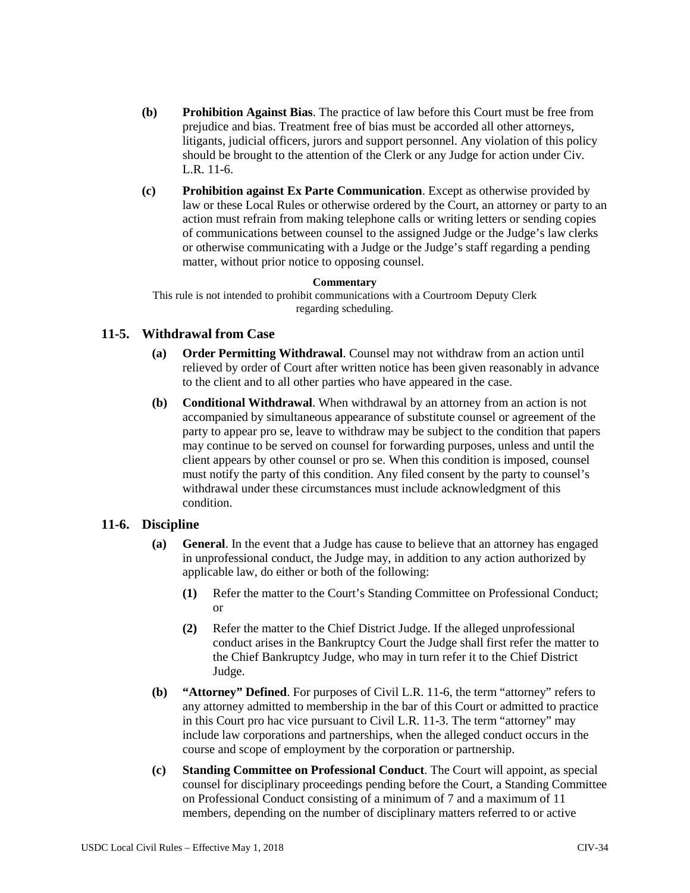- **(b) Prohibition Against Bias**. The practice of law before this Court must be free from prejudice and bias. Treatment free of bias must be accorded all other attorneys, litigants, judicial officers, jurors and support personnel. Any violation of this policy should be brought to the attention of the Clerk or any Judge for action under Civ. L.R. 11-6.
- **(c) Prohibition against Ex Parte Communication**. Except as otherwise provided by law or these Local Rules or otherwise ordered by the Court, an attorney or party to an action must refrain from making telephone calls or writing letters or sending copies of communications between counsel to the assigned Judge or the Judge's law clerks or otherwise communicating with a Judge or the Judge's staff regarding a pending matter, without prior notice to opposing counsel.

#### **Commentary**

This rule is not intended to prohibit communications with a Courtroom Deputy Clerk regarding scheduling.

### **11-5. Withdrawal from Case**

- **(a) Order Permitting Withdrawal**. Counsel may not withdraw from an action until relieved by order of Court after written notice has been given reasonably in advance to the client and to all other parties who have appeared in the case.
- **(b) Conditional Withdrawal**. When withdrawal by an attorney from an action is not accompanied by simultaneous appearance of substitute counsel or agreement of the party to appear pro se, leave to withdraw may be subject to the condition that papers may continue to be served on counsel for forwarding purposes, unless and until the client appears by other counsel or pro se. When this condition is imposed, counsel must notify the party of this condition. Any filed consent by the party to counsel's withdrawal under these circumstances must include acknowledgment of this condition.

### **11-6. Discipline**

- **(a) General**. In the event that a Judge has cause to believe that an attorney has engaged in unprofessional conduct, the Judge may, in addition to any action authorized by applicable law, do either or both of the following:
	- **(1)** Refer the matter to the Court's Standing Committee on Professional Conduct; or
	- **(2)** Refer the matter to the Chief District Judge. If the alleged unprofessional conduct arises in the Bankruptcy Court the Judge shall first refer the matter to the Chief Bankruptcy Judge, who may in turn refer it to the Chief District Judge.
- **(b) "Attorney" Defined**. For purposes of Civil L.R. 11-6, the term "attorney" refers to any attorney admitted to membership in the bar of this Court or admitted to practice in this Court pro hac vice pursuant to Civil L.R. 11-3. The term "attorney" may include law corporations and partnerships, when the alleged conduct occurs in the course and scope of employment by the corporation or partnership.
- **(c) Standing Committee on Professional Conduct**. The Court will appoint, as special counsel for disciplinary proceedings pending before the Court, a Standing Committee on Professional Conduct consisting of a minimum of 7 and a maximum of 11 members, depending on the number of disciplinary matters referred to or active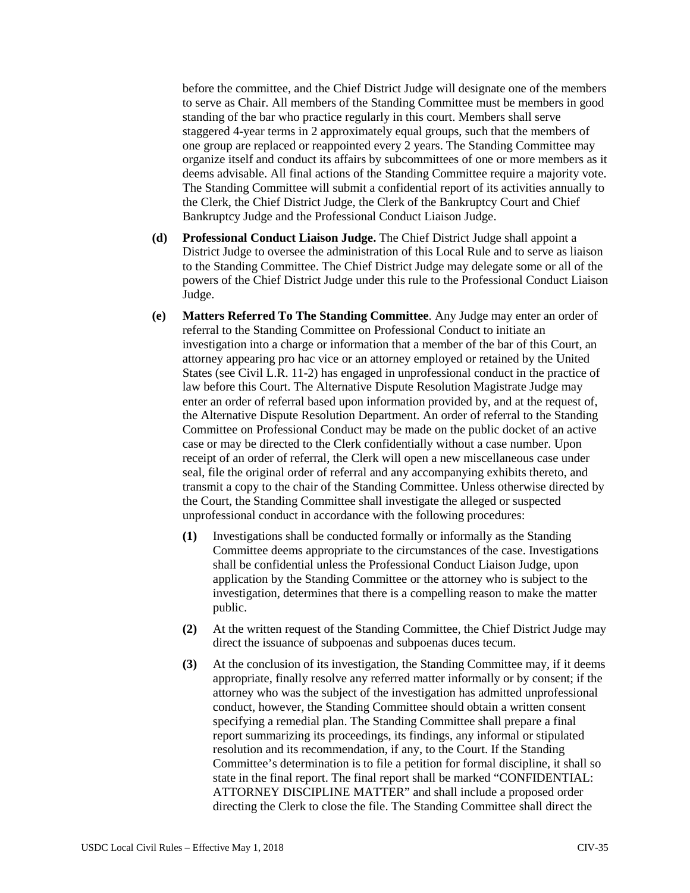before the committee, and the Chief District Judge will designate one of the members to serve as Chair. All members of the Standing Committee must be members in good standing of the bar who practice regularly in this court. Members shall serve staggered 4-year terms in 2 approximately equal groups, such that the members of one group are replaced or reappointed every 2 years. The Standing Committee may organize itself and conduct its affairs by subcommittees of one or more members as it deems advisable. All final actions of the Standing Committee require a majority vote. The Standing Committee will submit a confidential report of its activities annually to the Clerk, the Chief District Judge, the Clerk of the Bankruptcy Court and Chief Bankruptcy Judge and the Professional Conduct Liaison Judge.

- **(d) Professional Conduct Liaison Judge.** The Chief District Judge shall appoint a District Judge to oversee the administration of this Local Rule and to serve as liaison to the Standing Committee. The Chief District Judge may delegate some or all of the powers of the Chief District Judge under this rule to the Professional Conduct Liaison Judge.
- **(e) Matters Referred To The Standing Committee**. Any Judge may enter an order of referral to the Standing Committee on Professional Conduct to initiate an investigation into a charge or information that a member of the bar of this Court, an attorney appearing pro hac vice or an attorney employed or retained by the United States (see Civil L.R. 11-2) has engaged in unprofessional conduct in the practice of law before this Court. The Alternative Dispute Resolution Magistrate Judge may enter an order of referral based upon information provided by, and at the request of, the Alternative Dispute Resolution Department. An order of referral to the Standing Committee on Professional Conduct may be made on the public docket of an active case or may be directed to the Clerk confidentially without a case number. Upon receipt of an order of referral, the Clerk will open a new miscellaneous case under seal, file the original order of referral and any accompanying exhibits thereto, and transmit a copy to the chair of the Standing Committee. Unless otherwise directed by the Court, the Standing Committee shall investigate the alleged or suspected unprofessional conduct in accordance with the following procedures:
	- **(1)** Investigations shall be conducted formally or informally as the Standing Committee deems appropriate to the circumstances of the case. Investigations shall be confidential unless the Professional Conduct Liaison Judge, upon application by the Standing Committee or the attorney who is subject to the investigation, determines that there is a compelling reason to make the matter public.
	- **(2)** At the written request of the Standing Committee, the Chief District Judge may direct the issuance of subpoenas and subpoenas duces tecum.
	- **(3)** At the conclusion of its investigation, the Standing Committee may, if it deems appropriate, finally resolve any referred matter informally or by consent; if the attorney who was the subject of the investigation has admitted unprofessional conduct, however, the Standing Committee should obtain a written consent specifying a remedial plan. The Standing Committee shall prepare a final report summarizing its proceedings, its findings, any informal or stipulated resolution and its recommendation, if any, to the Court. If the Standing Committee's determination is to file a petition for formal discipline, it shall so state in the final report. The final report shall be marked "CONFIDENTIAL: ATTORNEY DISCIPLINE MATTER" and shall include a proposed order directing the Clerk to close the file. The Standing Committee shall direct the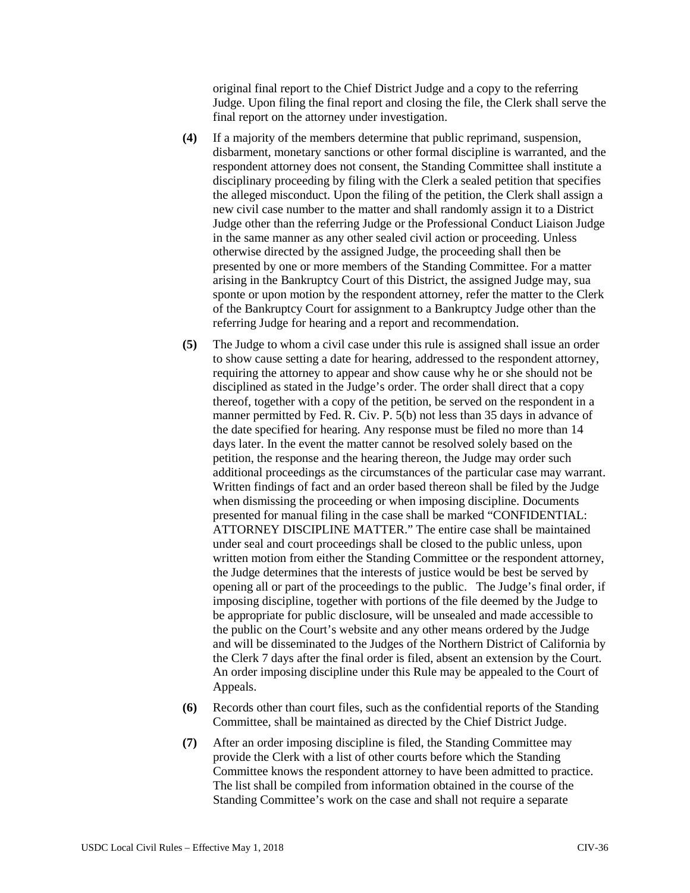original final report to the Chief District Judge and a copy to the referring Judge. Upon filing the final report and closing the file, the Clerk shall serve the final report on the attorney under investigation.

- **(4)** If a majority of the members determine that public reprimand, suspension, disbarment, monetary sanctions or other formal discipline is warranted, and the respondent attorney does not consent, the Standing Committee shall institute a disciplinary proceeding by filing with the Clerk a sealed petition that specifies the alleged misconduct. Upon the filing of the petition, the Clerk shall assign a new civil case number to the matter and shall randomly assign it to a District Judge other than the referring Judge or the Professional Conduct Liaison Judge in the same manner as any other sealed civil action or proceeding. Unless otherwise directed by the assigned Judge, the proceeding shall then be presented by one or more members of the Standing Committee. For a matter arising in the Bankruptcy Court of this District, the assigned Judge may, sua sponte or upon motion by the respondent attorney, refer the matter to the Clerk of the Bankruptcy Court for assignment to a Bankruptcy Judge other than the referring Judge for hearing and a report and recommendation.
- **(5)** The Judge to whom a civil case under this rule is assigned shall issue an order to show cause setting a date for hearing, addressed to the respondent attorney, requiring the attorney to appear and show cause why he or she should not be disciplined as stated in the Judge's order. The order shall direct that a copy thereof, together with a copy of the petition, be served on the respondent in a manner permitted by Fed. R. Civ. P. 5(b) not less than 35 days in advance of the date specified for hearing. Any response must be filed no more than 14 days later. In the event the matter cannot be resolved solely based on the petition, the response and the hearing thereon, the Judge may order such additional proceedings as the circumstances of the particular case may warrant. Written findings of fact and an order based thereon shall be filed by the Judge when dismissing the proceeding or when imposing discipline. Documents presented for manual filing in the case shall be marked "CONFIDENTIAL: ATTORNEY DISCIPLINE MATTER." The entire case shall be maintained under seal and court proceedings shall be closed to the public unless, upon written motion from either the Standing Committee or the respondent attorney, the Judge determines that the interests of justice would be best be served by opening all or part of the proceedings to the public. The Judge's final order, if imposing discipline, together with portions of the file deemed by the Judge to be appropriate for public disclosure, will be unsealed and made accessible to the public on the Court's website and any other means ordered by the Judge and will be disseminated to the Judges of the Northern District of California by the Clerk 7 days after the final order is filed, absent an extension by the Court. An order imposing discipline under this Rule may be appealed to the Court of Appeals.
- **(6)** Records other than court files, such as the confidential reports of the Standing Committee, shall be maintained as directed by the Chief District Judge.
- **(7)** After an order imposing discipline is filed, the Standing Committee may provide the Clerk with a list of other courts before which the Standing Committee knows the respondent attorney to have been admitted to practice. The list shall be compiled from information obtained in the course of the Standing Committee's work on the case and shall not require a separate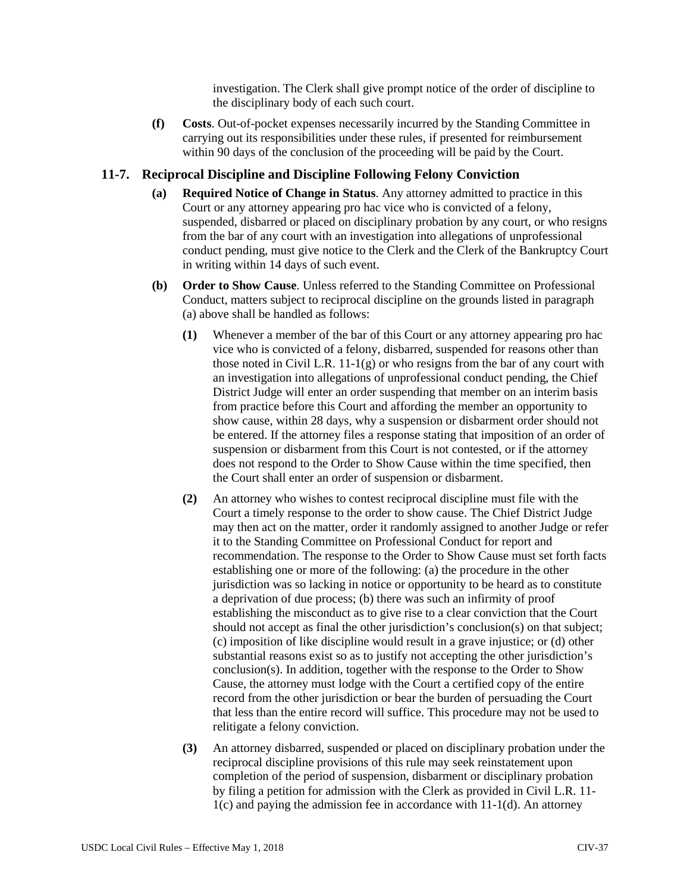investigation. The Clerk shall give prompt notice of the order of discipline to the disciplinary body of each such court.

**(f) Costs**. Out-of-pocket expenses necessarily incurred by the Standing Committee in carrying out its responsibilities under these rules, if presented for reimbursement within 90 days of the conclusion of the proceeding will be paid by the Court.

# **11-7. Reciprocal Discipline and Discipline Following Felony Conviction**

- **(a) Required Notice of Change in Status**. Any attorney admitted to practice in this Court or any attorney appearing pro hac vice who is convicted of a felony, suspended, disbarred or placed on disciplinary probation by any court, or who resigns from the bar of any court with an investigation into allegations of unprofessional conduct pending, must give notice to the Clerk and the Clerk of the Bankruptcy Court in writing within 14 days of such event.
- **(b) Order to Show Cause**. Unless referred to the Standing Committee on Professional Conduct, matters subject to reciprocal discipline on the grounds listed in paragraph (a) above shall be handled as follows:
	- **(1)** Whenever a member of the bar of this Court or any attorney appearing pro hac vice who is convicted of a felony, disbarred, suspended for reasons other than those noted in Civil L.R.  $11-1(g)$  or who resigns from the bar of any court with an investigation into allegations of unprofessional conduct pending, the Chief District Judge will enter an order suspending that member on an interim basis from practice before this Court and affording the member an opportunity to show cause, within 28 days, why a suspension or disbarment order should not be entered. If the attorney files a response stating that imposition of an order of suspension or disbarment from this Court is not contested, or if the attorney does not respond to the Order to Show Cause within the time specified, then the Court shall enter an order of suspension or disbarment.
	- **(2)** An attorney who wishes to contest reciprocal discipline must file with the Court a timely response to the order to show cause. The Chief District Judge may then act on the matter, order it randomly assigned to another Judge or refer it to the Standing Committee on Professional Conduct for report and recommendation. The response to the Order to Show Cause must set forth facts establishing one or more of the following: (a) the procedure in the other jurisdiction was so lacking in notice or opportunity to be heard as to constitute a deprivation of due process; (b) there was such an infirmity of proof establishing the misconduct as to give rise to a clear conviction that the Court should not accept as final the other jurisdiction's conclusion(s) on that subject; (c) imposition of like discipline would result in a grave injustice; or (d) other substantial reasons exist so as to justify not accepting the other jurisdiction's conclusion(s). In addition, together with the response to the Order to Show Cause, the attorney must lodge with the Court a certified copy of the entire record from the other jurisdiction or bear the burden of persuading the Court that less than the entire record will suffice. This procedure may not be used to relitigate a felony conviction.
	- **(3)** An attorney disbarred, suspended or placed on disciplinary probation under the reciprocal discipline provisions of this rule may seek reinstatement upon completion of the period of suspension, disbarment or disciplinary probation by filing a petition for admission with the Clerk as provided in Civil L.R. 11- 1(c) and paying the admission fee in accordance with 11-1(d). An attorney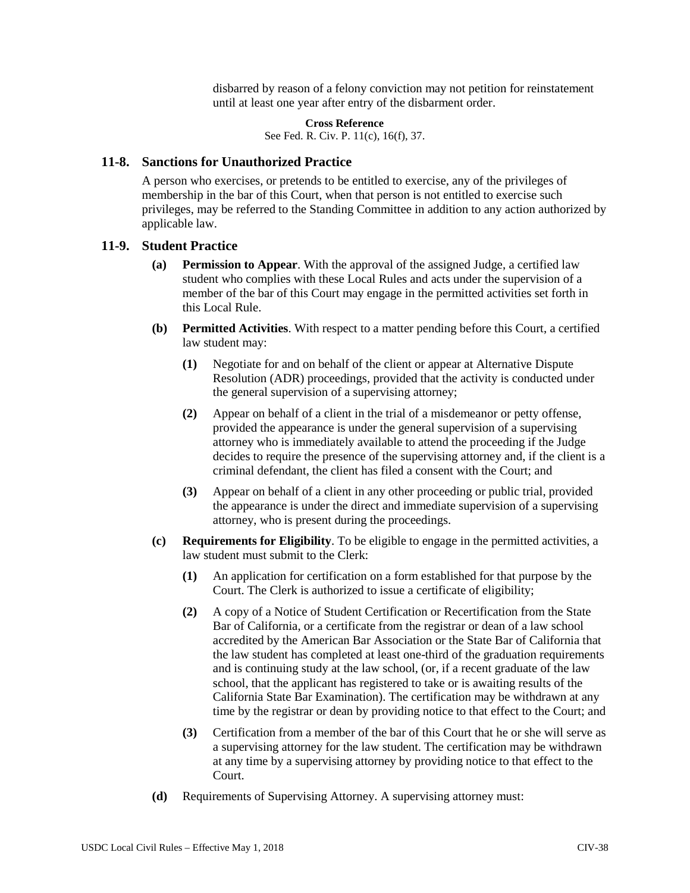disbarred by reason of a felony conviction may not petition for reinstatement until at least one year after entry of the disbarment order.

#### **Cross Reference**

See Fed. R. Civ. P. 11(c), 16(f), 37.

## **11-8. Sanctions for Unauthorized Practice**

A person who exercises, or pretends to be entitled to exercise, any of the privileges of membership in the bar of this Court, when that person is not entitled to exercise such privileges, may be referred to the Standing Committee in addition to any action authorized by applicable law.

## **11-9. Student Practice**

- **(a) Permission to Appear**. With the approval of the assigned Judge, a certified law student who complies with these Local Rules and acts under the supervision of a member of the bar of this Court may engage in the permitted activities set forth in this Local Rule.
- **(b) Permitted Activities**. With respect to a matter pending before this Court, a certified law student may:
	- **(1)** Negotiate for and on behalf of the client or appear at Alternative Dispute Resolution (ADR) proceedings, provided that the activity is conducted under the general supervision of a supervising attorney;
	- **(2)** Appear on behalf of a client in the trial of a misdemeanor or petty offense, provided the appearance is under the general supervision of a supervising attorney who is immediately available to attend the proceeding if the Judge decides to require the presence of the supervising attorney and, if the client is a criminal defendant, the client has filed a consent with the Court; and
	- **(3)** Appear on behalf of a client in any other proceeding or public trial, provided the appearance is under the direct and immediate supervision of a supervising attorney, who is present during the proceedings.
- **(c) Requirements for Eligibility**. To be eligible to engage in the permitted activities, a law student must submit to the Clerk:
	- **(1)** An application for certification on a form established for that purpose by the Court. The Clerk is authorized to issue a certificate of eligibility;
	- **(2)** A copy of a Notice of Student Certification or Recertification from the State Bar of California, or a certificate from the registrar or dean of a law school accredited by the American Bar Association or the State Bar of California that the law student has completed at least one-third of the graduation requirements and is continuing study at the law school, (or, if a recent graduate of the law school, that the applicant has registered to take or is awaiting results of the California State Bar Examination). The certification may be withdrawn at any time by the registrar or dean by providing notice to that effect to the Court; and
	- **(3)** Certification from a member of the bar of this Court that he or she will serve as a supervising attorney for the law student. The certification may be withdrawn at any time by a supervising attorney by providing notice to that effect to the Court.
- **(d)** Requirements of Supervising Attorney. A supervising attorney must: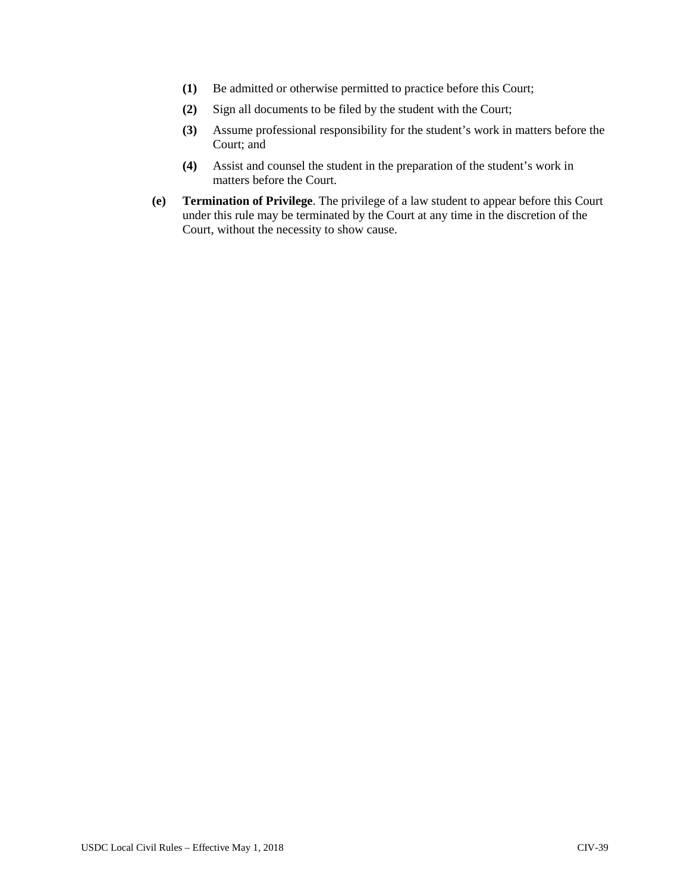- **(1)** Be admitted or otherwise permitted to practice before this Court;
- **(2)** Sign all documents to be filed by the student with the Court;
- **(3)** Assume professional responsibility for the student's work in matters before the Court; and
- **(4)** Assist and counsel the student in the preparation of the student's work in matters before the Court.
- **(e) Termination of Privilege**. The privilege of a law student to appear before this Court under this rule may be terminated by the Court at any time in the discretion of the Court, without the necessity to show cause.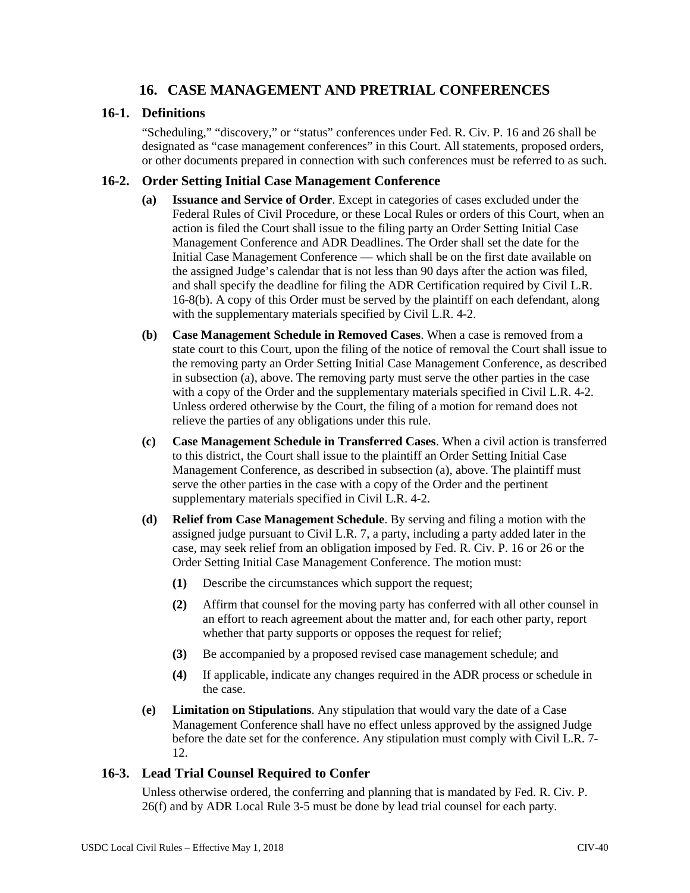# **16. CASE MANAGEMENT AND PRETRIAL CONFERENCES**

# **16-1. Definitions**

"Scheduling," "discovery," or "status" conferences under Fed. R. Civ. P. 16 and 26 shall be designated as "case management conferences" in this Court. All statements, proposed orders, or other documents prepared in connection with such conferences must be referred to as such.

# **16-2. Order Setting Initial Case Management Conference**

- **(a) Issuance and Service of Order**. Except in categories of cases excluded under the Federal Rules of Civil Procedure, or these Local Rules or orders of this Court, when an action is filed the Court shall issue to the filing party an Order Setting Initial Case Management Conference and ADR Deadlines. The Order shall set the date for the Initial Case Management Conference — which shall be on the first date available on the assigned Judge's calendar that is not less than 90 days after the action was filed, and shall specify the deadline for filing the ADR Certification required by Civil L.R. 16-8(b). A copy of this Order must be served by the plaintiff on each defendant, along with the supplementary materials specified by Civil L.R. 4-2.
- **(b) Case Management Schedule in Removed Cases**. When a case is removed from a state court to this Court, upon the filing of the notice of removal the Court shall issue to the removing party an Order Setting Initial Case Management Conference, as described in subsection (a), above. The removing party must serve the other parties in the case with a copy of the Order and the supplementary materials specified in Civil L.R. 4-2. Unless ordered otherwise by the Court, the filing of a motion for remand does not relieve the parties of any obligations under this rule.
- **(c) Case Management Schedule in Transferred Cases**. When a civil action is transferred to this district, the Court shall issue to the plaintiff an Order Setting Initial Case Management Conference, as described in subsection (a), above. The plaintiff must serve the other parties in the case with a copy of the Order and the pertinent supplementary materials specified in Civil L.R. 4-2.
- **(d) Relief from Case Management Schedule**. By serving and filing a motion with the assigned judge pursuant to Civil L.R. 7, a party, including a party added later in the case, may seek relief from an obligation imposed by Fed. R. Civ. P. 16 or 26 or the Order Setting Initial Case Management Conference. The motion must:
	- **(1)** Describe the circumstances which support the request;
	- **(2)** Affirm that counsel for the moving party has conferred with all other counsel in an effort to reach agreement about the matter and, for each other party, report whether that party supports or opposes the request for relief;
	- **(3)** Be accompanied by a proposed revised case management schedule; and
	- **(4)** If applicable, indicate any changes required in the ADR process or schedule in the case.
- **(e) Limitation on Stipulations**. Any stipulation that would vary the date of a Case Management Conference shall have no effect unless approved by the assigned Judge before the date set for the conference. Any stipulation must comply with Civil L.R. 7- 12.

# **16-3. Lead Trial Counsel Required to Confer**

Unless otherwise ordered, the conferring and planning that is mandated by Fed. R. Civ. P. 26(f) and by ADR Local Rule 3-5 must be done by lead trial counsel for each party.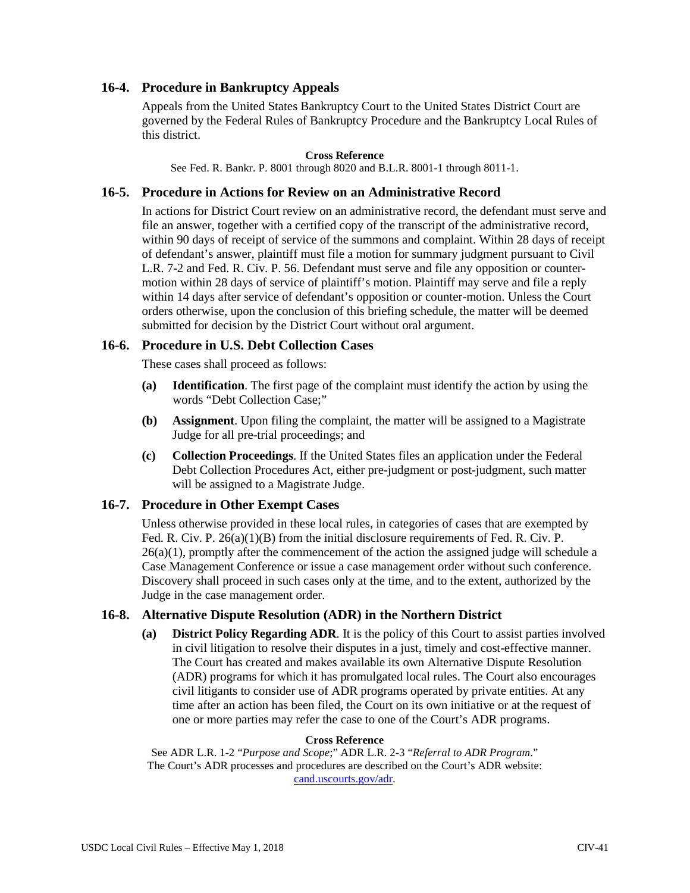## **16-4. Procedure in Bankruptcy Appeals**

Appeals from the United States Bankruptcy Court to the United States District Court are governed by the Federal Rules of Bankruptcy Procedure and the Bankruptcy Local Rules of this district.

#### **Cross Reference**

See Fed. R. Bankr. P. 8001 through 8020 and B.L.R. 8001-1 through 8011-1.

# **16-5. Procedure in Actions for Review on an Administrative Record**

In actions for District Court review on an administrative record, the defendant must serve and file an answer, together with a certified copy of the transcript of the administrative record, within 90 days of receipt of service of the summons and complaint. Within 28 days of receipt of defendant's answer, plaintiff must file a motion for summary judgment pursuant to Civil L.R. 7-2 and Fed. R. Civ. P. 56. Defendant must serve and file any opposition or countermotion within 28 days of service of plaintiff's motion. Plaintiff may serve and file a reply within 14 days after service of defendant's opposition or counter-motion. Unless the Court orders otherwise, upon the conclusion of this briefing schedule, the matter will be deemed submitted for decision by the District Court without oral argument.

### **16-6. Procedure in U.S. Debt Collection Cases**

These cases shall proceed as follows:

- **(a) Identification**. The first page of the complaint must identify the action by using the words "Debt Collection Case;"
- **(b) Assignment**. Upon filing the complaint, the matter will be assigned to a Magistrate Judge for all pre-trial proceedings; and
- **(c) Collection Proceedings**. If the United States files an application under the Federal Debt Collection Procedures Act, either pre-judgment or post-judgment, such matter will be assigned to a Magistrate Judge.

### **16-7. Procedure in Other Exempt Cases**

Unless otherwise provided in these local rules, in categories of cases that are exempted by Fed. R. Civ. P. 26(a)(1)(B) from the initial disclosure requirements of Fed. R. Civ. P.  $26(a)(1)$ , promptly after the commencement of the action the assigned judge will schedule a Case Management Conference or issue a case management order without such conference. Discovery shall proceed in such cases only at the time, and to the extent, authorized by the Judge in the case management order.

### **16-8. Alternative Dispute Resolution (ADR) in the Northern District**

**(a) District Policy Regarding ADR**. It is the policy of this Court to assist parties involved in civil litigation to resolve their disputes in a just, timely and cost-effective manner. The Court has created and makes available its own Alternative Dispute Resolution (ADR) programs for which it has promulgated local rules. The Court also encourages civil litigants to consider use of ADR programs operated by private entities. At any time after an action has been filed, the Court on its own initiative or at the request of one or more parties may refer the case to one of the Court's ADR programs.

#### **Cross Reference**

See ADR L.R. 1-2 "*Purpose and Scope*;" ADR L.R. 2-3 "*Referral to ADR Program*." The Court's ADR processes and procedures are described on the Court's ADR website: [cand.uscourts.gov/](http://www.cand.uscourts.gov/)adr.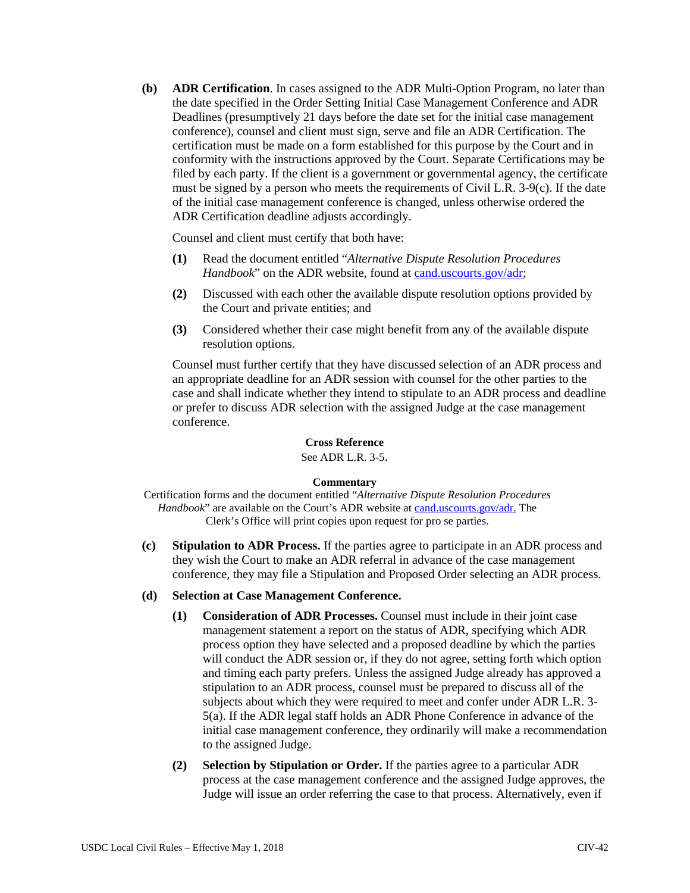**(b) ADR Certification**. In cases assigned to the ADR Multi-Option Program, no later than the date specified in the Order Setting Initial Case Management Conference and ADR Deadlines (presumptively 21 days before the date set for the initial case management conference), counsel and client must sign, serve and file an ADR Certification. The certification must be made on a form established for this purpose by the Court and in conformity with the instructions approved by the Court. Separate Certifications may be filed by each party. If the client is a government or governmental agency, the certificate must be signed by a person who meets the requirements of Civil L.R. 3-9(c). If the date of the initial case management conference is changed, unless otherwise ordered the ADR Certification deadline adjusts accordingly.

Counsel and client must certify that both have:

- **(1)** Read the document entitled "*Alternative Dispute Resolution Procedures Handbook*" on the ADR website, found at [cand.uscourts.gov/](http://www.cand.uscourts.gov/)adr;
- **(2)** Discussed with each other the available dispute resolution options provided by the Court and private entities; and
- **(3)** Considered whether their case might benefit from any of the available dispute resolution options.

Counsel must further certify that they have discussed selection of an ADR process and an appropriate deadline for an ADR session with counsel for the other parties to the case and shall indicate whether they intend to stipulate to an ADR process and deadline or prefer to discuss ADR selection with the assigned Judge at the case management conference.

#### **Cross Reference**

See ADR L.R. 3-5.

#### **Commentary**

Certification forms and the document entitled "*Alternative Dispute Resolution Procedures Handbook*" are available on the Court's ADR website at [cand.uscourts.gov/a](http://www.cand.uscourts.gov/)dr. The Clerk's Office will print copies upon request for pro se parties.

**(c) Stipulation to ADR Process.** If the parties agree to participate in an ADR process and they wish the Court to make an ADR referral in advance of the case management conference, they may file a Stipulation and Proposed Order selecting an ADR process.

#### **(d) Selection at Case Management Conference.**

- **(1) Consideration of ADR Processes.** Counsel must include in their joint case management statement a report on the status of ADR, specifying which ADR process option they have selected and a proposed deadline by which the parties will conduct the ADR session or, if they do not agree, setting forth which option and timing each party prefers. Unless the assigned Judge already has approved a stipulation to an ADR process, counsel must be prepared to discuss all of the subjects about which they were required to meet and confer under ADR L.R. 3- 5(a). If the ADR legal staff holds an ADR Phone Conference in advance of the initial case management conference, they ordinarily will make a recommendation to the assigned Judge.
- **(2) Selection by Stipulation or Order.** If the parties agree to a particular ADR process at the case management conference and the assigned Judge approves, the Judge will issue an order referring the case to that process. Alternatively, even if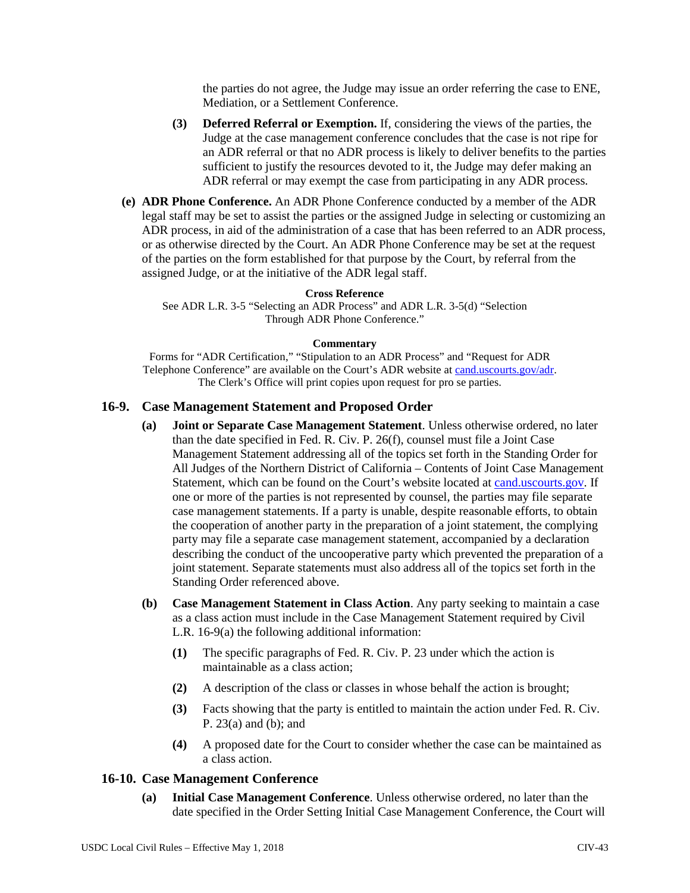the parties do not agree, the Judge may issue an order referring the case to ENE, Mediation, or a Settlement Conference.

- **(3) Deferred Referral or Exemption.** If, considering the views of the parties, the Judge at the case management conference concludes that the case is not ripe for an ADR referral or that no ADR process is likely to deliver benefits to the parties sufficient to justify the resources devoted to it, the Judge may defer making an ADR referral or may exempt the case from participating in any ADR process.
- **(e) ADR Phone Conference.** An ADR Phone Conference conducted by a member of the ADR legal staff may be set to assist the parties or the assigned Judge in selecting or customizing an ADR process, in aid of the administration of a case that has been referred to an ADR process, or as otherwise directed by the Court. An ADR Phone Conference may be set at the request of the parties on the form established for that purpose by the Court, by referral from the assigned Judge, or at the initiative of the ADR legal staff.

#### **Cross Reference**

See ADR L.R. 3-5 "Selecting an ADR Process" and ADR L.R. 3-5(d) "Selection Through ADR Phone Conference."

#### **Commentary**

Forms for "ADR Certification," "Stipulation to an ADR Process" and "Request for ADR Telephone Conference" are available on the Court's ADR website at [cand.uscourts.gov/](http://www.cand.uscourts.gov/)adr. The Clerk's Office will print copies upon request for pro se parties.

#### **16-9. Case Management Statement and Proposed Order**

- **(a) Joint or Separate Case Management Statement**. Unless otherwise ordered, no later than the date specified in Fed. R. Civ. P. 26(f), counsel must file a Joint Case Management Statement addressing all of the topics set forth in the Standing Order for All Judges of the Northern District of California – Contents of Joint Case Management Statement, which can be found on the Court's website located at [cand.uscourts.gov.](file://CANDSF/DATA/Users/_SHARED%20DOCS/LOCAL%20RULES,%20GENERAL%20ORDERS%20&%20IOPs/Local_Rules/Current%20Local%20Rules/www.cand.uscourts.gov) If one or more of the parties is not represented by counsel, the parties may file separate case management statements. If a party is unable, despite reasonable efforts, to obtain the cooperation of another party in the preparation of a joint statement, the complying party may file a separate case management statement, accompanied by a declaration describing the conduct of the uncooperative party which prevented the preparation of a joint statement. Separate statements must also address all of the topics set forth in the Standing Order referenced above.
- **(b) Case Management Statement in Class Action**. Any party seeking to maintain a case as a class action must include in the Case Management Statement required by Civil L.R. 16-9(a) the following additional information:
	- **(1)** The specific paragraphs of Fed. R. Civ. P. 23 under which the action is maintainable as a class action;
	- **(2)** A description of the class or classes in whose behalf the action is brought;
	- **(3)** Facts showing that the party is entitled to maintain the action under Fed. R. Civ. P. 23(a) and (b); and
	- **(4)** A proposed date for the Court to consider whether the case can be maintained as a class action.

### **16-10. Case Management Conference**

**(a) Initial Case Management Conference**. Unless otherwise ordered, no later than the date specified in the Order Setting Initial Case Management Conference, the Court will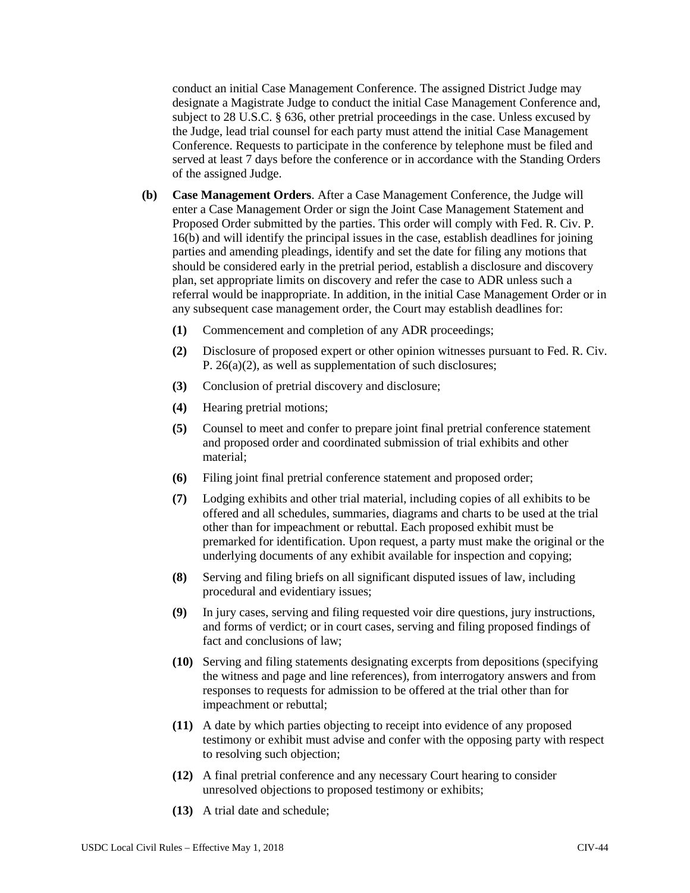conduct an initial Case Management Conference. The assigned District Judge may designate a Magistrate Judge to conduct the initial Case Management Conference and, subject to 28 U.S.C. § 636, other pretrial proceedings in the case. Unless excused by the Judge, lead trial counsel for each party must attend the initial Case Management Conference. Requests to participate in the conference by telephone must be filed and served at least 7 days before the conference or in accordance with the Standing Orders of the assigned Judge.

- **(b) Case Management Orders**. After a Case Management Conference, the Judge will enter a Case Management Order or sign the Joint Case Management Statement and Proposed Order submitted by the parties. This order will comply with Fed. R. Civ. P. 16(b) and will identify the principal issues in the case, establish deadlines for joining parties and amending pleadings, identify and set the date for filing any motions that should be considered early in the pretrial period, establish a disclosure and discovery plan, set appropriate limits on discovery and refer the case to ADR unless such a referral would be inappropriate. In addition, in the initial Case Management Order or in any subsequent case management order, the Court may establish deadlines for:
	- **(1)** Commencement and completion of any ADR proceedings;
	- **(2)** Disclosure of proposed expert or other opinion witnesses pursuant to Fed. R. Civ. P.  $26(a)(2)$ , as well as supplementation of such disclosures;
	- **(3)** Conclusion of pretrial discovery and disclosure;
	- **(4)** Hearing pretrial motions;
	- **(5)** Counsel to meet and confer to prepare joint final pretrial conference statement and proposed order and coordinated submission of trial exhibits and other material;
	- **(6)** Filing joint final pretrial conference statement and proposed order;
	- **(7)** Lodging exhibits and other trial material, including copies of all exhibits to be offered and all schedules, summaries, diagrams and charts to be used at the trial other than for impeachment or rebuttal. Each proposed exhibit must be premarked for identification. Upon request, a party must make the original or the underlying documents of any exhibit available for inspection and copying;
	- **(8)** Serving and filing briefs on all significant disputed issues of law, including procedural and evidentiary issues;
	- **(9)** In jury cases, serving and filing requested voir dire questions, jury instructions, and forms of verdict; or in court cases, serving and filing proposed findings of fact and conclusions of law;
	- **(10)** Serving and filing statements designating excerpts from depositions (specifying the witness and page and line references), from interrogatory answers and from responses to requests for admission to be offered at the trial other than for impeachment or rebuttal;
	- **(11)** A date by which parties objecting to receipt into evidence of any proposed testimony or exhibit must advise and confer with the opposing party with respect to resolving such objection;
	- **(12)** A final pretrial conference and any necessary Court hearing to consider unresolved objections to proposed testimony or exhibits;
	- **(13)** A trial date and schedule;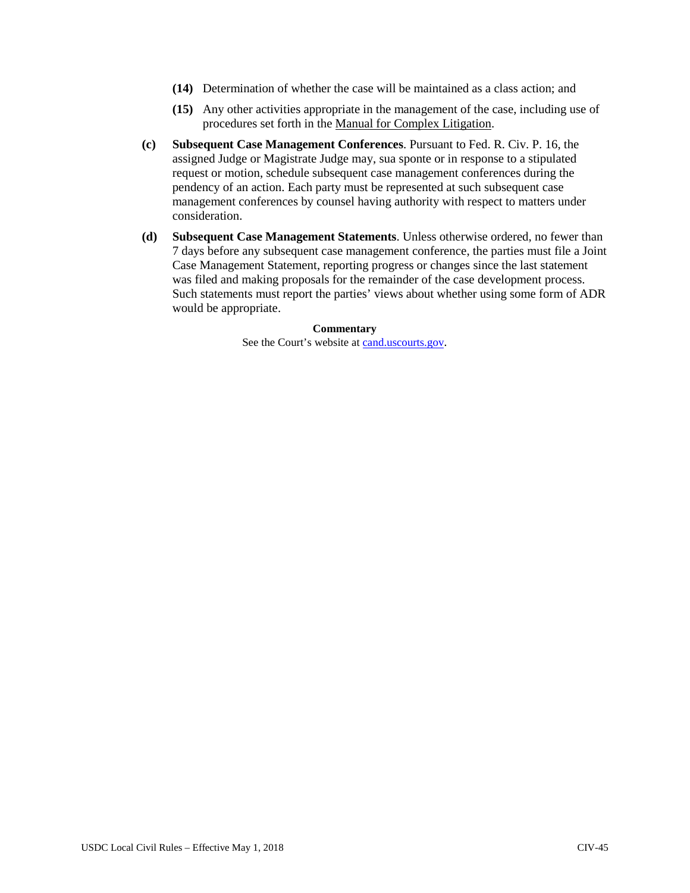- **(14)** Determination of whether the case will be maintained as a class action; and
- **(15)** Any other activities appropriate in the management of the case, including use of procedures set forth in the Manual for Complex Litigation.
- **(c) Subsequent Case Management Conferences**. Pursuant to Fed. R. Civ. P. 16, the assigned Judge or Magistrate Judge may, sua sponte or in response to a stipulated request or motion, schedule subsequent case management conferences during the pendency of an action. Each party must be represented at such subsequent case management conferences by counsel having authority with respect to matters under consideration.
- **(d) Subsequent Case Management Statements**. Unless otherwise ordered, no fewer than 7 days before any subsequent case management conference, the parties must file a Joint Case Management Statement, reporting progress or changes since the last statement was filed and making proposals for the remainder of the case development process. Such statements must report the parties' views about whether using some form of ADR would be appropriate.

#### **Commentary**

See the Court's website at [cand.uscourts.gov.](http://www.cand.uscourts.gov/)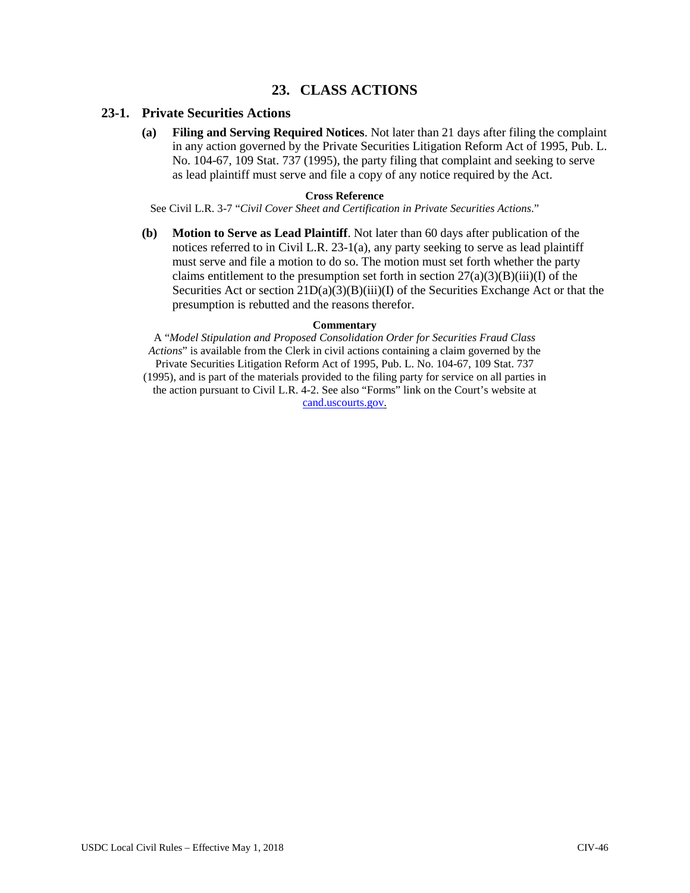# **23. CLASS ACTIONS**

### **23-1. Private Securities Actions**

**(a) Filing and Serving Required Notices**. Not later than 21 days after filing the complaint in any action governed by the Private Securities Litigation Reform Act of 1995, Pub. L. No. 104-67, 109 Stat. 737 (1995), the party filing that complaint and seeking to serve as lead plaintiff must serve and file a copy of any notice required by the Act.

#### **Cross Reference**

See Civil L.R. 3-7 "*Civil Cover Sheet and Certification in Private Securities Actions*."

**(b) Motion to Serve as Lead Plaintiff**. Not later than 60 days after publication of the notices referred to in Civil L.R. 23-1(a), any party seeking to serve as lead plaintiff must serve and file a motion to do so. The motion must set forth whether the party claims entitlement to the presumption set forth in section  $27(a)(3)(B)(iii)(I)$  of the Securities Act or section  $21D(a)(3)(B)(iii)(I)$  of the Securities Exchange Act or that the presumption is rebutted and the reasons therefor.

#### **Commentary**

A "*Model Stipulation and Proposed Consolidation Order for Securities Fraud Class Actions*" is available from the Clerk in civil actions containing a claim governed by the Private Securities Litigation Reform Act of 1995, Pub. L. No. 104-67, 109 Stat. 737 (1995), and is part of the materials provided to the filing party for service on all parties in the action pursuant to Civil L.R. 4-2. See also "Forms" link on the Court's website at [cand.uscourts.gov.](http://www.cand.uscourts.gov/)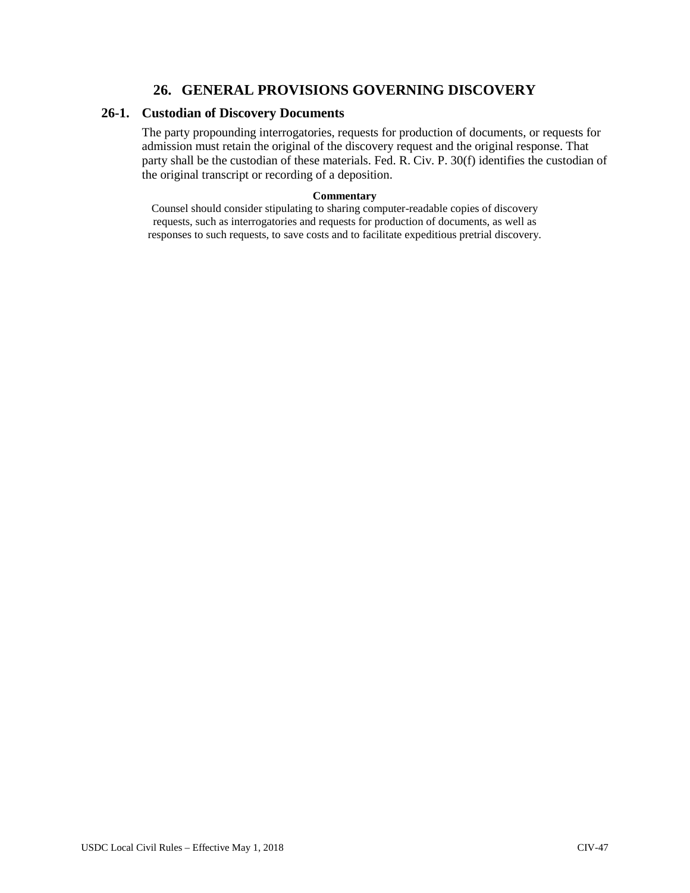# **26. GENERAL PROVISIONS GOVERNING DISCOVERY**

## **26-1. Custodian of Discovery Documents**

The party propounding interrogatories, requests for production of documents, or requests for admission must retain the original of the discovery request and the original response. That party shall be the custodian of these materials. Fed. R. Civ. P. 30(f) identifies the custodian of the original transcript or recording of a deposition.

#### **Commentary**

Counsel should consider stipulating to sharing computer-readable copies of discovery requests, such as interrogatories and requests for production of documents, as well as responses to such requests, to save costs and to facilitate expeditious pretrial discovery.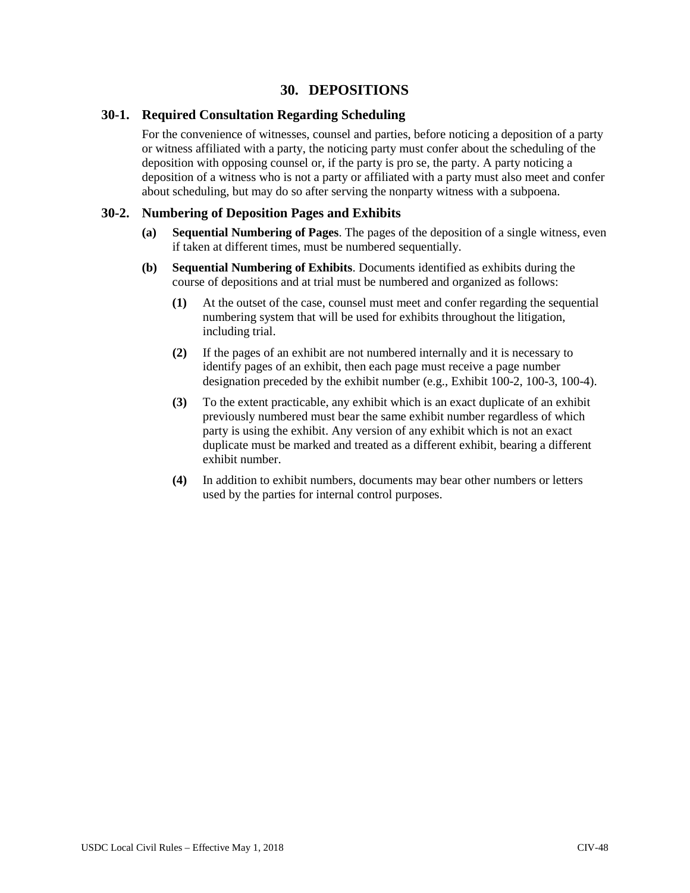# **30. DEPOSITIONS**

# **30-1. Required Consultation Regarding Scheduling**

For the convenience of witnesses, counsel and parties, before noticing a deposition of a party or witness affiliated with a party, the noticing party must confer about the scheduling of the deposition with opposing counsel or, if the party is pro se, the party. A party noticing a deposition of a witness who is not a party or affiliated with a party must also meet and confer about scheduling, but may do so after serving the nonparty witness with a subpoena.

## **30-2. Numbering of Deposition Pages and Exhibits**

- **(a) Sequential Numbering of Pages**. The pages of the deposition of a single witness, even if taken at different times, must be numbered sequentially.
- **(b) Sequential Numbering of Exhibits**. Documents identified as exhibits during the course of depositions and at trial must be numbered and organized as follows:
	- **(1)** At the outset of the case, counsel must meet and confer regarding the sequential numbering system that will be used for exhibits throughout the litigation, including trial.
	- **(2)** If the pages of an exhibit are not numbered internally and it is necessary to identify pages of an exhibit, then each page must receive a page number designation preceded by the exhibit number (e.g., Exhibit 100-2, 100-3, 100-4).
	- **(3)** To the extent practicable, any exhibit which is an exact duplicate of an exhibit previously numbered must bear the same exhibit number regardless of which party is using the exhibit. Any version of any exhibit which is not an exact duplicate must be marked and treated as a different exhibit, bearing a different exhibit number.
	- **(4)** In addition to exhibit numbers, documents may bear other numbers or letters used by the parties for internal control purposes.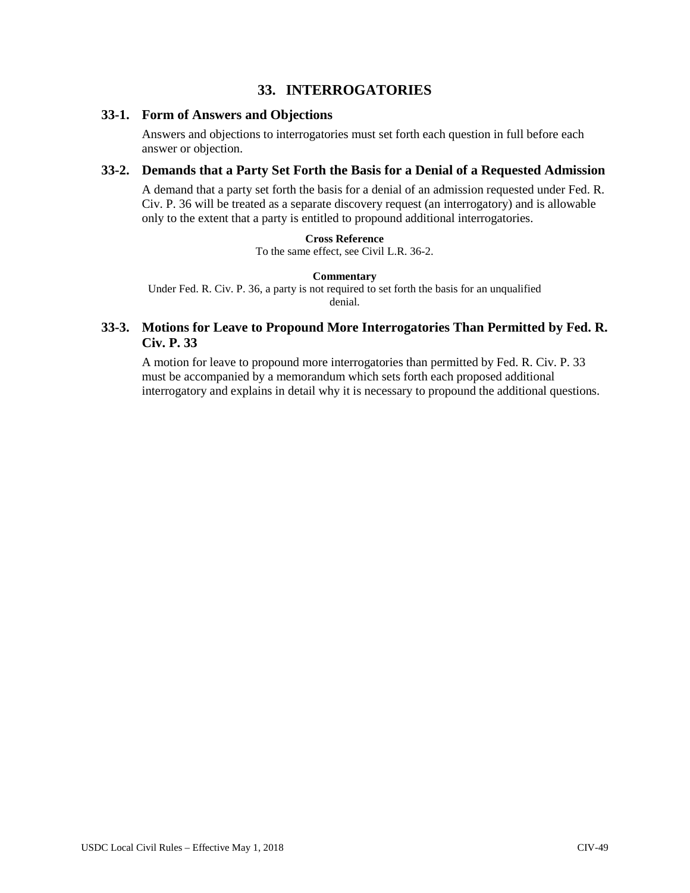# **33. INTERROGATORIES**

## **33-1. Form of Answers and Objections**

Answers and objections to interrogatories must set forth each question in full before each answer or objection.

## **33-2. Demands that a Party Set Forth the Basis for a Denial of a Requested Admission**

A demand that a party set forth the basis for a denial of an admission requested under Fed. R. Civ. P. 36 will be treated as a separate discovery request (an interrogatory) and is allowable only to the extent that a party is entitled to propound additional interrogatories.

# **Cross Reference**

To the same effect, see Civil L.R. 36-2.

### **Commentary**

Under Fed. R. Civ. P. 36, a party is not required to set forth the basis for an unqualified denial.

# **33-3. Motions for Leave to Propound More Interrogatories Than Permitted by Fed. R. Civ. P. 33**

A motion for leave to propound more interrogatories than permitted by Fed. R. Civ. P. 33 must be accompanied by a memorandum which sets forth each proposed additional interrogatory and explains in detail why it is necessary to propound the additional questions.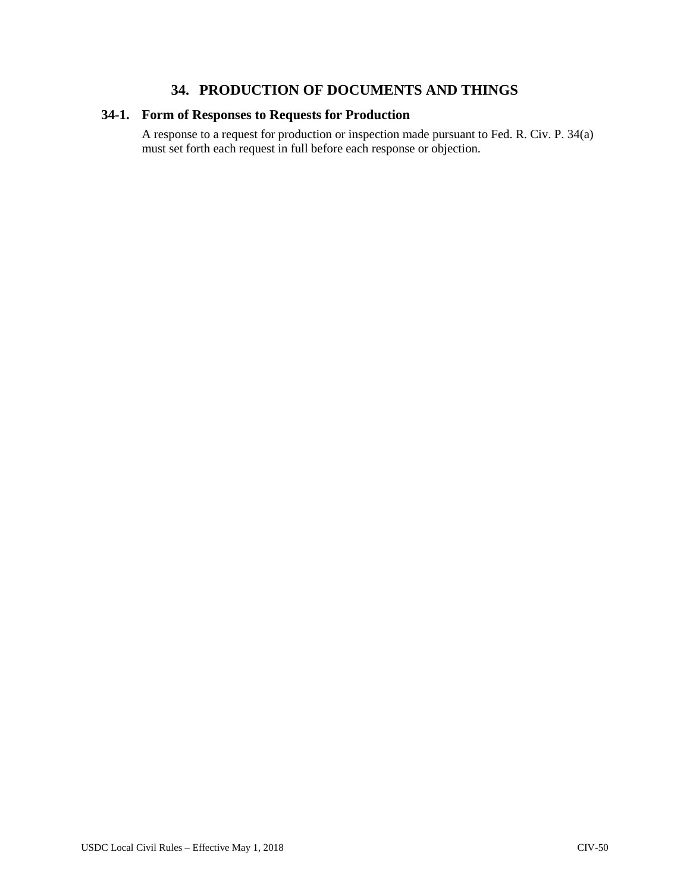# **34. PRODUCTION OF DOCUMENTS AND THINGS**

# **34-1. Form of Responses to Requests for Production**

A response to a request for production or inspection made pursuant to Fed. R. Civ. P. 34(a) must set forth each request in full before each response or objection.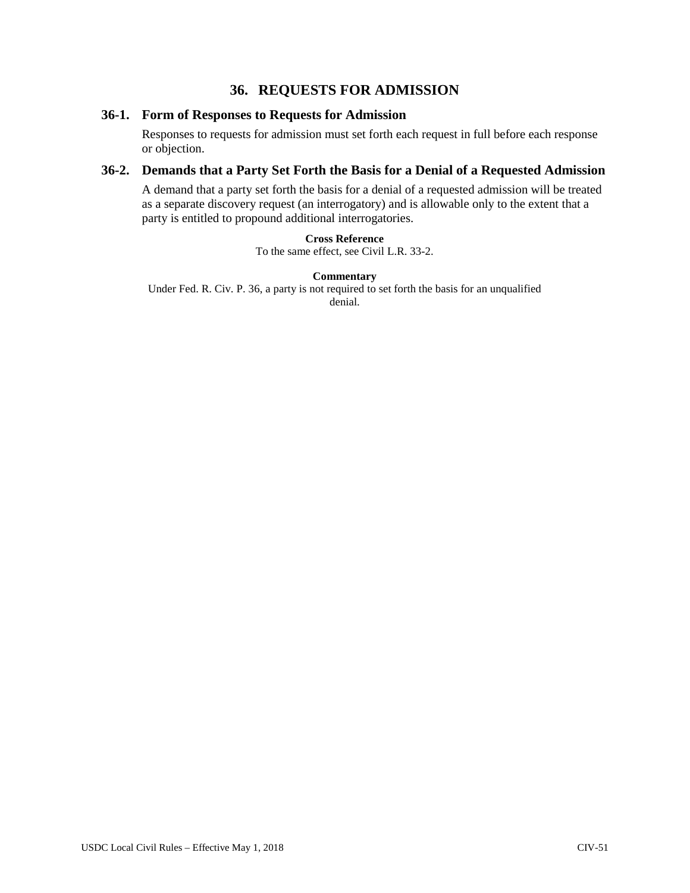# **36. REQUESTS FOR ADMISSION**

### **36-1. Form of Responses to Requests for Admission**

Responses to requests for admission must set forth each request in full before each response or objection.

### **36-2. Demands that a Party Set Forth the Basis for a Denial of a Requested Admission**

A demand that a party set forth the basis for a denial of a requested admission will be treated as a separate discovery request (an interrogatory) and is allowable only to the extent that a party is entitled to propound additional interrogatories.

> **Cross Reference** To the same effect, see Civil L.R. 33-2.

#### **Commentary**

Under Fed. R. Civ. P. 36, a party is not required to set forth the basis for an unqualified denial.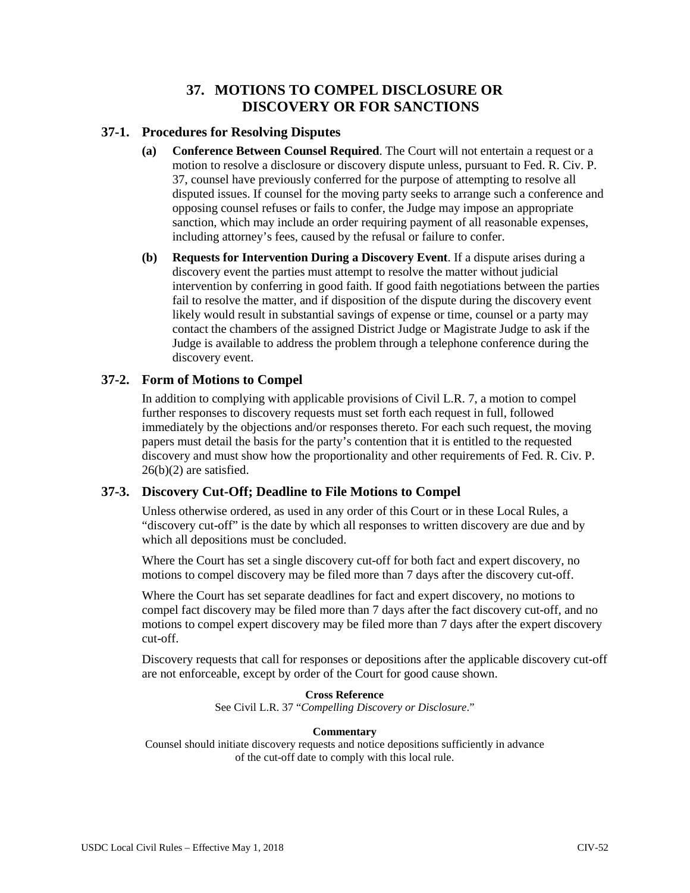# **37. MOTIONS TO COMPEL DISCLOSURE OR DISCOVERY OR FOR SANCTIONS**

## **37-1. Procedures for Resolving Disputes**

- **(a) Conference Between Counsel Required**. The Court will not entertain a request or a motion to resolve a disclosure or discovery dispute unless, pursuant to Fed. R. Civ. P. 37, counsel have previously conferred for the purpose of attempting to resolve all disputed issues. If counsel for the moving party seeks to arrange such a conference and opposing counsel refuses or fails to confer, the Judge may impose an appropriate sanction, which may include an order requiring payment of all reasonable expenses, including attorney's fees, caused by the refusal or failure to confer.
- **(b) Requests for Intervention During a Discovery Event**. If a dispute arises during a discovery event the parties must attempt to resolve the matter without judicial intervention by conferring in good faith. If good faith negotiations between the parties fail to resolve the matter, and if disposition of the dispute during the discovery event likely would result in substantial savings of expense or time, counsel or a party may contact the chambers of the assigned District Judge or Magistrate Judge to ask if the Judge is available to address the problem through a telephone conference during the discovery event.

## **37-2. Form of Motions to Compel**

In addition to complying with applicable provisions of Civil L.R. 7, a motion to compel further responses to discovery requests must set forth each request in full, followed immediately by the objections and/or responses thereto. For each such request, the moving papers must detail the basis for the party's contention that it is entitled to the requested discovery and must show how the proportionality and other requirements of Fed. R. Civ. P. 26(b)(2) are satisfied.

### **37-3. Discovery Cut-Off; Deadline to File Motions to Compel**

Unless otherwise ordered, as used in any order of this Court or in these Local Rules, a "discovery cut-off" is the date by which all responses to written discovery are due and by which all depositions must be concluded.

Where the Court has set a single discovery cut-off for both fact and expert discovery, no motions to compel discovery may be filed more than 7 days after the discovery cut-off.

Where the Court has set separate deadlines for fact and expert discovery, no motions to compel fact discovery may be filed more than 7 days after the fact discovery cut-off, and no motions to compel expert discovery may be filed more than 7 days after the expert discovery cut-off.

Discovery requests that call for responses or depositions after the applicable discovery cut-off are not enforceable, except by order of the Court for good cause shown.

#### **Cross Reference** See Civil L.R. 37 "*Compelling Discovery or Disclosure*."

#### **Commentary**

Counsel should initiate discovery requests and notice depositions sufficiently in advance of the cut-off date to comply with this local rule.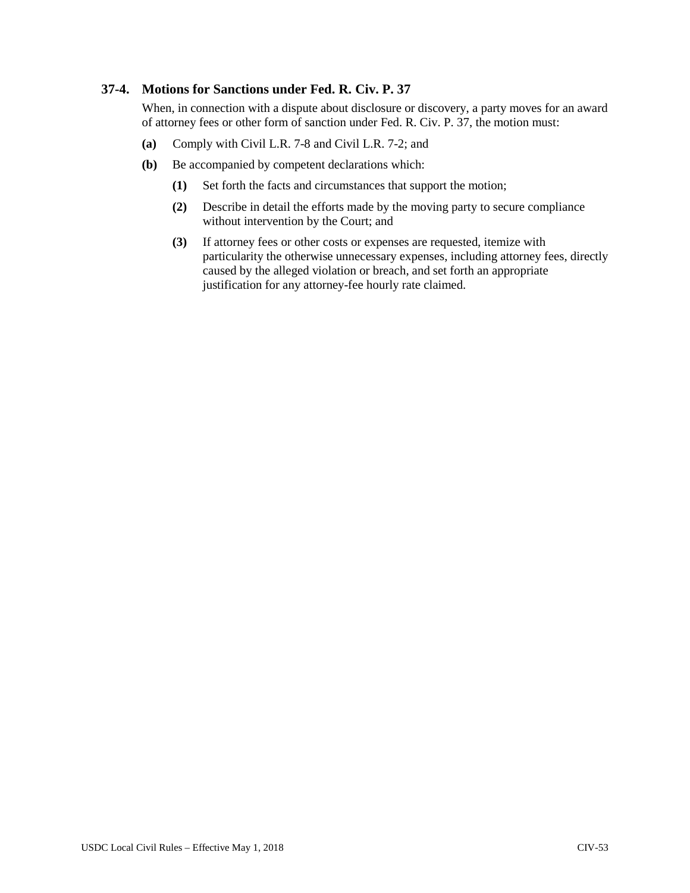# **37-4. Motions for Sanctions under Fed. R. Civ. P. 37**

When, in connection with a dispute about disclosure or discovery, a party moves for an award of attorney fees or other form of sanction under Fed. R. Civ. P. 37, the motion must:

- **(a)** Comply with Civil L.R. 7-8 and Civil L.R. 7-2; and
- **(b)** Be accompanied by competent declarations which:
	- **(1)** Set forth the facts and circumstances that support the motion;
	- **(2)** Describe in detail the efforts made by the moving party to secure compliance without intervention by the Court; and
	- **(3)** If attorney fees or other costs or expenses are requested, itemize with particularity the otherwise unnecessary expenses, including attorney fees, directly caused by the alleged violation or breach, and set forth an appropriate justification for any attorney-fee hourly rate claimed.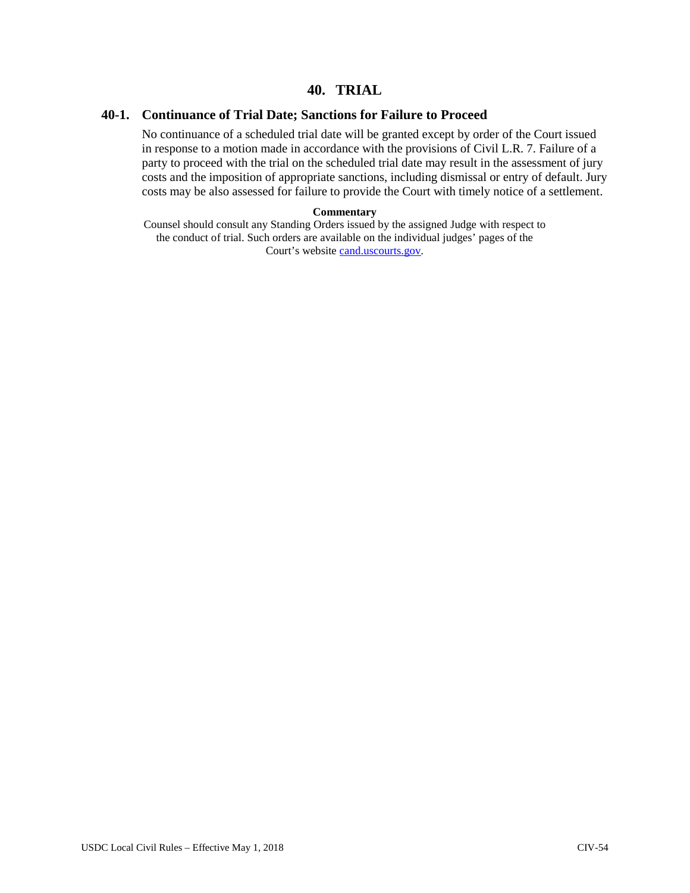# **40. TRIAL**

## **40-1. Continuance of Trial Date; Sanctions for Failure to Proceed**

No continuance of a scheduled trial date will be granted except by order of the Court issued in response to a motion made in accordance with the provisions of Civil L.R. 7. Failure of a party to proceed with the trial on the scheduled trial date may result in the assessment of jury costs and the imposition of appropriate sanctions, including dismissal or entry of default. Jury costs may be also assessed for failure to provide the Court with timely notice of a settlement.

#### **Commentary**

Counsel should consult any Standing Orders issued by the assigned Judge with respect to the conduct of trial. Such orders are available on the individual judges' pages of the Court's website cand.uscourts.gov.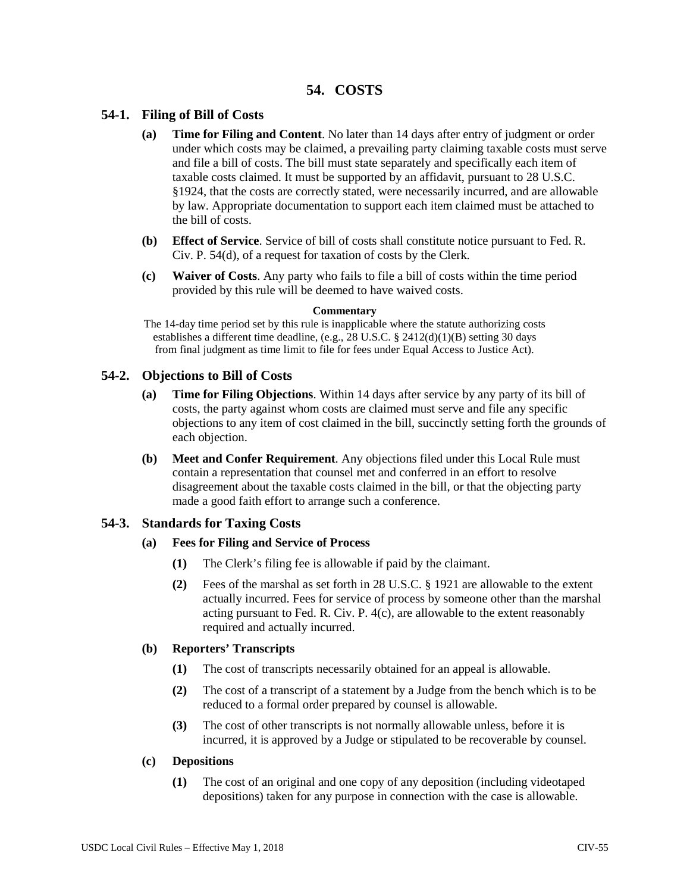# **54. COSTS**

# **54-1. Filing of Bill of Costs**

- **(a) Time for Filing and Content**. No later than 14 days after entry of judgment or order under which costs may be claimed, a prevailing party claiming taxable costs must serve and file a bill of costs. The bill must state separately and specifically each item of taxable costs claimed. It must be supported by an affidavit, pursuant to 28 U.S.C. §1924, that the costs are correctly stated, were necessarily incurred, and are allowable by law. Appropriate documentation to support each item claimed must be attached to the bill of costs.
- **(b) Effect of Service**. Service of bill of costs shall constitute notice pursuant to Fed. R. Civ. P. 54(d), of a request for taxation of costs by the Clerk.
- **(c) Waiver of Costs**. Any party who fails to file a bill of costs within the time period provided by this rule will be deemed to have waived costs.

#### **Commentary**

The 14-day time period set by this rule is inapplicable where the statute authorizing costs establishes a different time deadline, (e.g., 28 U.S.C. § 2412(d)(1)(B) setting 30 days from final judgment as time limit to file for fees under Equal Access to Justice Act).

### **54-2. Objections to Bill of Costs**

- **(a) Time for Filing Objections**. Within 14 days after service by any party of its bill of costs, the party against whom costs are claimed must serve and file any specific objections to any item of cost claimed in the bill, succinctly setting forth the grounds of each objection.
- **(b) Meet and Confer Requirement**. Any objections filed under this Local Rule must contain a representation that counsel met and conferred in an effort to resolve disagreement about the taxable costs claimed in the bill, or that the objecting party made a good faith effort to arrange such a conference.

### **54-3. Standards for Taxing Costs**

### **(a) Fees for Filing and Service of Process**

- **(1)** The Clerk's filing fee is allowable if paid by the claimant.
- **(2)** Fees of the marshal as set forth in 28 U.S.C. § 1921 are allowable to the extent actually incurred. Fees for service of process by someone other than the marshal acting pursuant to Fed. R. Civ. P. 4(c), are allowable to the extent reasonably required and actually incurred.

### **(b) Reporters' Transcripts**

- **(1)** The cost of transcripts necessarily obtained for an appeal is allowable.
- **(2)** The cost of a transcript of a statement by a Judge from the bench which is to be reduced to a formal order prepared by counsel is allowable.
- **(3)** The cost of other transcripts is not normally allowable unless, before it is incurred, it is approved by a Judge or stipulated to be recoverable by counsel.

### **(c) Depositions**

**(1)** The cost of an original and one copy of any deposition (including videotaped depositions) taken for any purpose in connection with the case is allowable.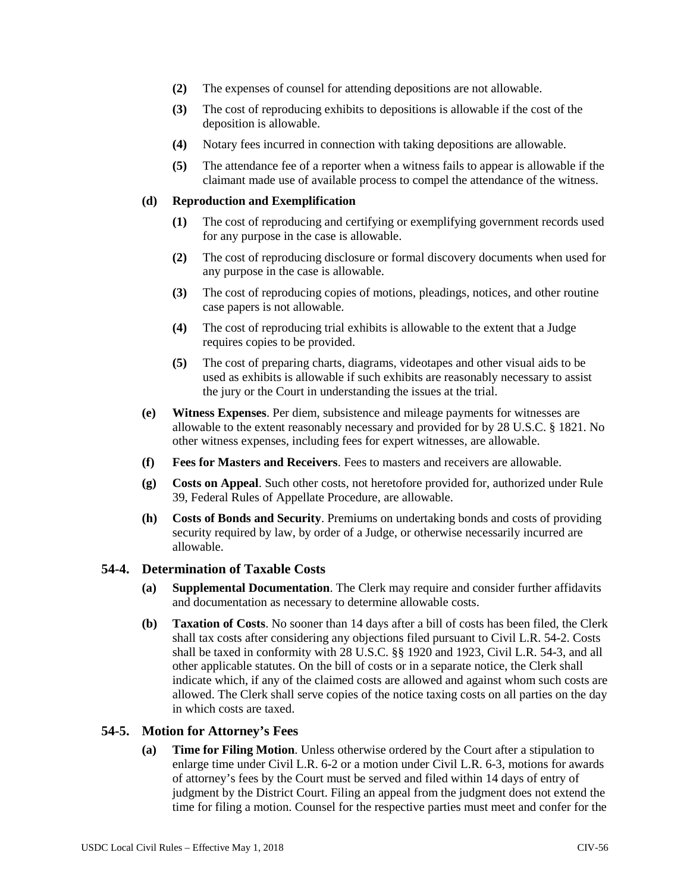- **(2)** The expenses of counsel for attending depositions are not allowable.
- **(3)** The cost of reproducing exhibits to depositions is allowable if the cost of the deposition is allowable.
- **(4)** Notary fees incurred in connection with taking depositions are allowable.
- **(5)** The attendance fee of a reporter when a witness fails to appear is allowable if the claimant made use of available process to compel the attendance of the witness.

#### **(d) Reproduction and Exemplification**

- **(1)** The cost of reproducing and certifying or exemplifying government records used for any purpose in the case is allowable.
- **(2)** The cost of reproducing disclosure or formal discovery documents when used for any purpose in the case is allowable.
- **(3)** The cost of reproducing copies of motions, pleadings, notices, and other routine case papers is not allowable.
- **(4)** The cost of reproducing trial exhibits is allowable to the extent that a Judge requires copies to be provided.
- **(5)** The cost of preparing charts, diagrams, videotapes and other visual aids to be used as exhibits is allowable if such exhibits are reasonably necessary to assist the jury or the Court in understanding the issues at the trial.
- **(e) Witness Expenses**. Per diem, subsistence and mileage payments for witnesses are allowable to the extent reasonably necessary and provided for by 28 U.S.C. § 1821. No other witness expenses, including fees for expert witnesses, are allowable.
- **(f) Fees for Masters and Receivers**. Fees to masters and receivers are allowable.
- **(g) Costs on Appeal**. Such other costs, not heretofore provided for, authorized under Rule 39, Federal Rules of Appellate Procedure, are allowable.
- **(h) Costs of Bonds and Security**. Premiums on undertaking bonds and costs of providing security required by law, by order of a Judge, or otherwise necessarily incurred are allowable.

### **54-4. Determination of Taxable Costs**

- **(a) Supplemental Documentation**. The Clerk may require and consider further affidavits and documentation as necessary to determine allowable costs.
- **(b) Taxation of Costs**. No sooner than 14 days after a bill of costs has been filed, the Clerk shall tax costs after considering any objections filed pursuant to Civil L.R. 54-2. Costs shall be taxed in conformity with 28 U.S.C. §§ 1920 and 1923, Civil L.R. 54-3, and all other applicable statutes. On the bill of costs or in a separate notice, the Clerk shall indicate which, if any of the claimed costs are allowed and against whom such costs are allowed. The Clerk shall serve copies of the notice taxing costs on all parties on the day in which costs are taxed.

### **54-5. Motion for Attorney's Fees**

**(a) Time for Filing Motion**. Unless otherwise ordered by the Court after a stipulation to enlarge time under Civil L.R. 6-2 or a motion under Civil L.R. 6-3, motions for awards of attorney's fees by the Court must be served and filed within 14 days of entry of judgment by the District Court. Filing an appeal from the judgment does not extend the time for filing a motion. Counsel for the respective parties must meet and confer for the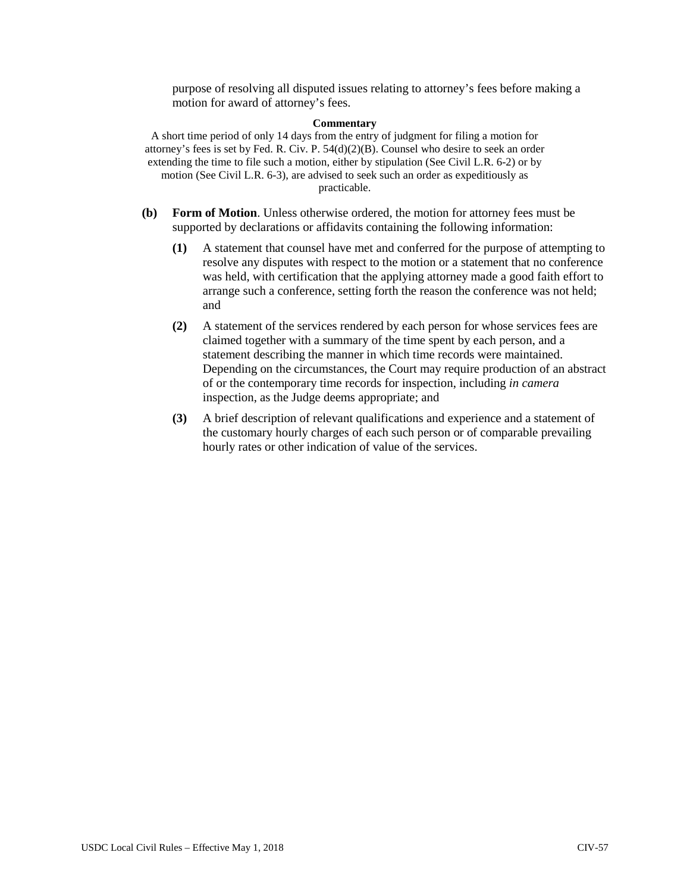purpose of resolving all disputed issues relating to attorney's fees before making a motion for award of attorney's fees.

#### **Commentary**

A short time period of only 14 days from the entry of judgment for filing a motion for attorney's fees is set by Fed. R. Civ. P. 54(d)(2)(B). Counsel who desire to seek an order extending the time to file such a motion, either by stipulation (See Civil L.R. 6-2) or by motion (See Civil L.R. 6-3), are advised to seek such an order as expeditiously as practicable.

- **(b) Form of Motion**. Unless otherwise ordered, the motion for attorney fees must be supported by declarations or affidavits containing the following information:
	- **(1)** A statement that counsel have met and conferred for the purpose of attempting to resolve any disputes with respect to the motion or a statement that no conference was held, with certification that the applying attorney made a good faith effort to arrange such a conference, setting forth the reason the conference was not held; and
	- **(2)** A statement of the services rendered by each person for whose services fees are claimed together with a summary of the time spent by each person, and a statement describing the manner in which time records were maintained. Depending on the circumstances, the Court may require production of an abstract of or the contemporary time records for inspection, including *in camera* inspection, as the Judge deems appropriate; and
	- **(3)** A brief description of relevant qualifications and experience and a statement of the customary hourly charges of each such person or of comparable prevailing hourly rates or other indication of value of the services.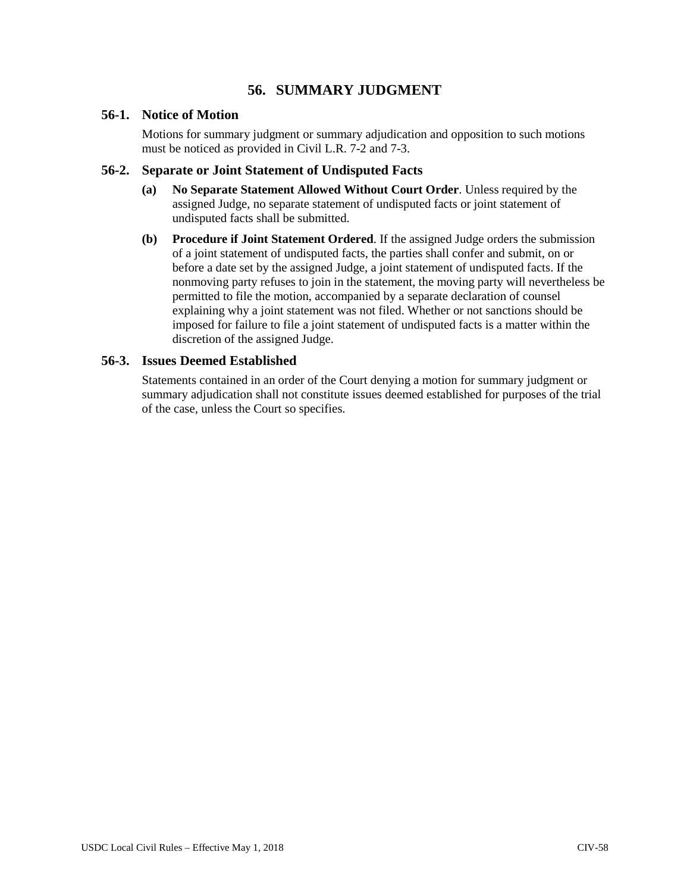# **56. SUMMARY JUDGMENT**

## **56-1. Notice of Motion**

Motions for summary judgment or summary adjudication and opposition to such motions must be noticed as provided in Civil L.R. 7-2 and 7-3.

# **56-2. Separate or Joint Statement of Undisputed Facts**

- **(a) No Separate Statement Allowed Without Court Order**. Unless required by the assigned Judge, no separate statement of undisputed facts or joint statement of undisputed facts shall be submitted.
- **(b) Procedure if Joint Statement Ordered**. If the assigned Judge orders the submission of a joint statement of undisputed facts, the parties shall confer and submit, on or before a date set by the assigned Judge, a joint statement of undisputed facts. If the nonmoving party refuses to join in the statement, the moving party will nevertheless be permitted to file the motion, accompanied by a separate declaration of counsel explaining why a joint statement was not filed. Whether or not sanctions should be imposed for failure to file a joint statement of undisputed facts is a matter within the discretion of the assigned Judge.

## **56-3. Issues Deemed Established**

Statements contained in an order of the Court denying a motion for summary judgment or summary adjudication shall not constitute issues deemed established for purposes of the trial of the case, unless the Court so specifies.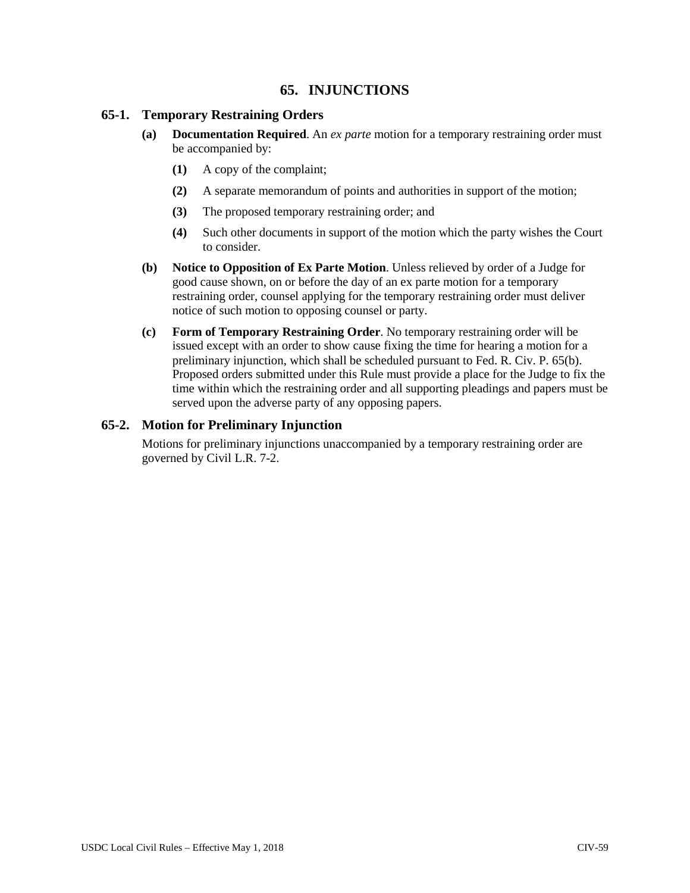# **65. INJUNCTIONS**

## **65-1. Temporary Restraining Orders**

- **(a) Documentation Required**. An *ex parte* motion for a temporary restraining order must be accompanied by:
	- **(1)** A copy of the complaint;
	- **(2)** A separate memorandum of points and authorities in support of the motion;
	- **(3)** The proposed temporary restraining order; and
	- **(4)** Such other documents in support of the motion which the party wishes the Court to consider.
- **(b) Notice to Opposition of Ex Parte Motion**. Unless relieved by order of a Judge for good cause shown, on or before the day of an ex parte motion for a temporary restraining order, counsel applying for the temporary restraining order must deliver notice of such motion to opposing counsel or party.
- **(c) Form of Temporary Restraining Order**. No temporary restraining order will be issued except with an order to show cause fixing the time for hearing a motion for a preliminary injunction, which shall be scheduled pursuant to Fed. R. Civ. P. 65(b). Proposed orders submitted under this Rule must provide a place for the Judge to fix the time within which the restraining order and all supporting pleadings and papers must be served upon the adverse party of any opposing papers.

## **65-2. Motion for Preliminary Injunction**

Motions for preliminary injunctions unaccompanied by a temporary restraining order are governed by Civil L.R. 7-2.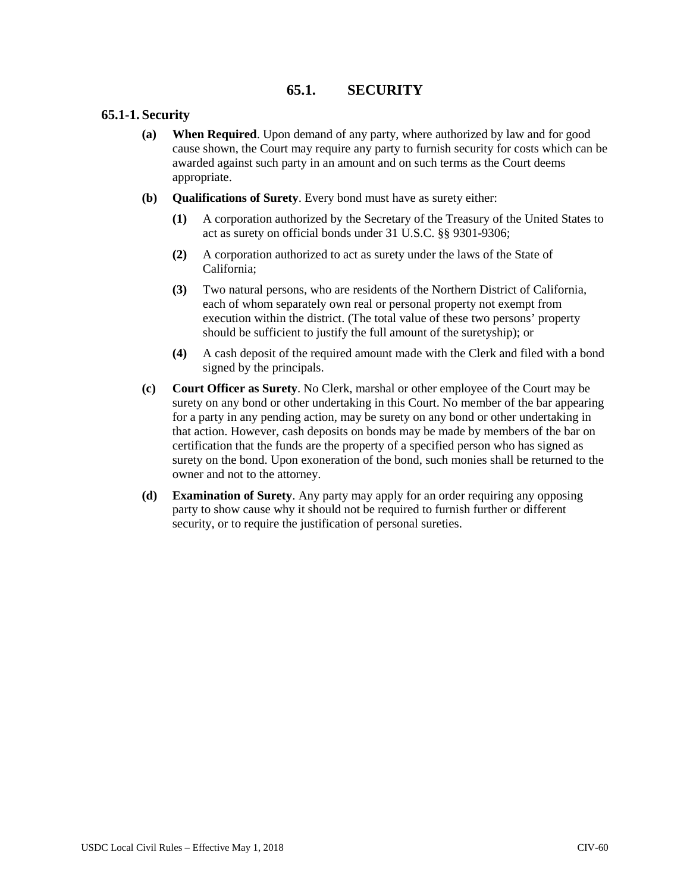# **65.1. SECURITY**

# **65.1-1. Security**

- **(a) When Required**. Upon demand of any party, where authorized by law and for good cause shown, the Court may require any party to furnish security for costs which can be awarded against such party in an amount and on such terms as the Court deems appropriate.
- **(b) Qualifications of Surety**. Every bond must have as surety either:
	- **(1)** A corporation authorized by the Secretary of the Treasury of the United States to act as surety on official bonds under 31 U.S.C. §§ 9301-9306;
	- **(2)** A corporation authorized to act as surety under the laws of the State of California;
	- **(3)** Two natural persons, who are residents of the Northern District of California, each of whom separately own real or personal property not exempt from execution within the district. (The total value of these two persons' property should be sufficient to justify the full amount of the suretyship); or
	- **(4)** A cash deposit of the required amount made with the Clerk and filed with a bond signed by the principals.
- **(c) Court Officer as Surety**. No Clerk, marshal or other employee of the Court may be surety on any bond or other undertaking in this Court. No member of the bar appearing for a party in any pending action, may be surety on any bond or other undertaking in that action. However, cash deposits on bonds may be made by members of the bar on certification that the funds are the property of a specified person who has signed as surety on the bond. Upon exoneration of the bond, such monies shall be returned to the owner and not to the attorney.
- **(d) Examination of Surety**. Any party may apply for an order requiring any opposing party to show cause why it should not be required to furnish further or different security, or to require the justification of personal sureties.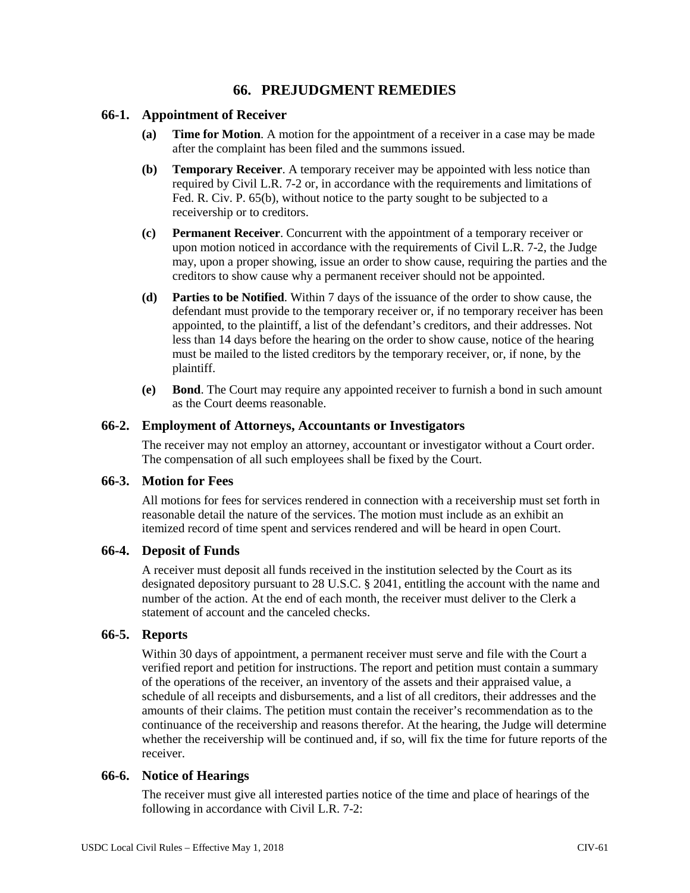# **66. PREJUDGMENT REMEDIES**

## **66-1. Appointment of Receiver**

- **(a) Time for Motion**. A motion for the appointment of a receiver in a case may be made after the complaint has been filed and the summons issued.
- **(b) Temporary Receiver**. A temporary receiver may be appointed with less notice than required by Civil L.R. 7-2 or, in accordance with the requirements and limitations of Fed. R. Civ. P. 65(b), without notice to the party sought to be subjected to a receivership or to creditors.
- **(c) Permanent Receiver**. Concurrent with the appointment of a temporary receiver or upon motion noticed in accordance with the requirements of Civil L.R. 7-2, the Judge may, upon a proper showing, issue an order to show cause, requiring the parties and the creditors to show cause why a permanent receiver should not be appointed.
- **(d) Parties to be Notified**. Within 7 days of the issuance of the order to show cause, the defendant must provide to the temporary receiver or, if no temporary receiver has been appointed, to the plaintiff, a list of the defendant's creditors, and their addresses. Not less than 14 days before the hearing on the order to show cause, notice of the hearing must be mailed to the listed creditors by the temporary receiver, or, if none, by the plaintiff.
- **(e) Bond**. The Court may require any appointed receiver to furnish a bond in such amount as the Court deems reasonable.

## **66-2. Employment of Attorneys, Accountants or Investigators**

The receiver may not employ an attorney, accountant or investigator without a Court order. The compensation of all such employees shall be fixed by the Court.

# **66-3. Motion for Fees**

All motions for fees for services rendered in connection with a receivership must set forth in reasonable detail the nature of the services. The motion must include as an exhibit an itemized record of time spent and services rendered and will be heard in open Court.

### **66-4. Deposit of Funds**

A receiver must deposit all funds received in the institution selected by the Court as its designated depository pursuant to 28 U.S.C. § 2041, entitling the account with the name and number of the action. At the end of each month, the receiver must deliver to the Clerk a statement of account and the canceled checks.

## **66-5. Reports**

Within 30 days of appointment, a permanent receiver must serve and file with the Court a verified report and petition for instructions. The report and petition must contain a summary of the operations of the receiver, an inventory of the assets and their appraised value, a schedule of all receipts and disbursements, and a list of all creditors, their addresses and the amounts of their claims. The petition must contain the receiver's recommendation as to the continuance of the receivership and reasons therefor. At the hearing, the Judge will determine whether the receivership will be continued and, if so, will fix the time for future reports of the receiver.

# **66-6. Notice of Hearings**

The receiver must give all interested parties notice of the time and place of hearings of the following in accordance with Civil L.R. 7-2: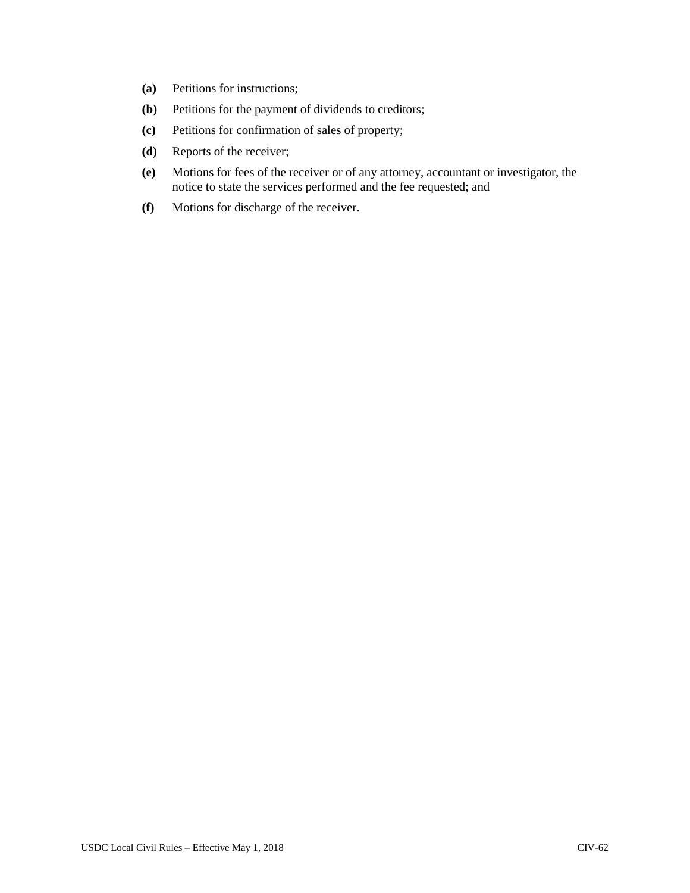- **(a)** Petitions for instructions;
- **(b)** Petitions for the payment of dividends to creditors;
- **(c)** Petitions for confirmation of sales of property;
- **(d)** Reports of the receiver;
- **(e)** Motions for fees of the receiver or of any attorney, accountant or investigator, the notice to state the services performed and the fee requested; and
- **(f)** Motions for discharge of the receiver.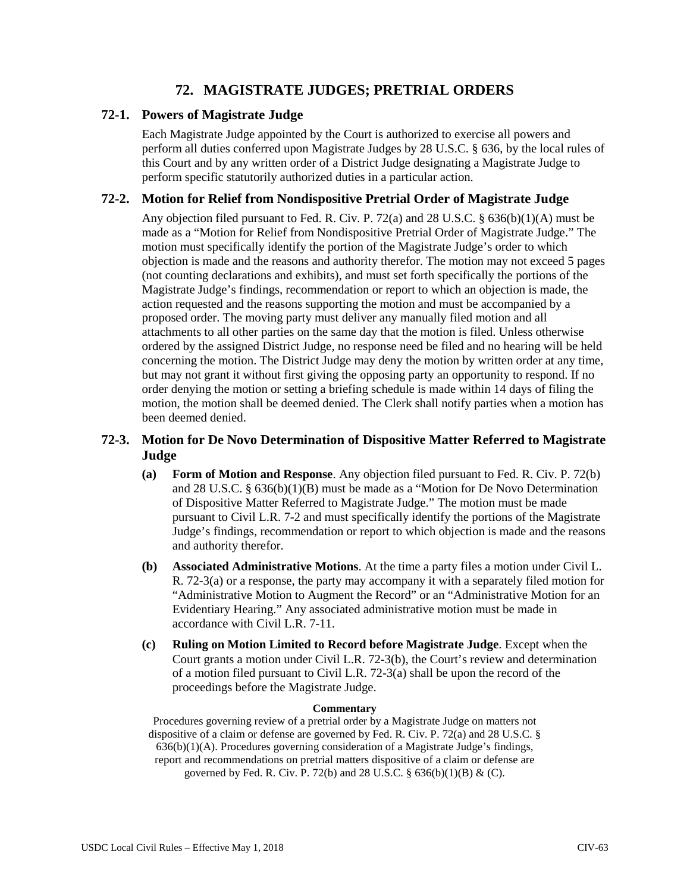# **72. MAGISTRATE JUDGES; PRETRIAL ORDERS**

# **72-1. Powers of Magistrate Judge**

Each Magistrate Judge appointed by the Court is authorized to exercise all powers and perform all duties conferred upon Magistrate Judges by 28 U.S.C. § 636, by the local rules of this Court and by any written order of a District Judge designating a Magistrate Judge to perform specific statutorily authorized duties in a particular action.

## **72-2. Motion for Relief from Nondispositive Pretrial Order of Magistrate Judge**

Any objection filed pursuant to Fed. R. Civ. P. 72(a) and 28 U.S.C. § 636(b)(1)(A) must be made as a "Motion for Relief from Nondispositive Pretrial Order of Magistrate Judge." The motion must specifically identify the portion of the Magistrate Judge's order to which objection is made and the reasons and authority therefor. The motion may not exceed 5 pages (not counting declarations and exhibits), and must set forth specifically the portions of the Magistrate Judge's findings, recommendation or report to which an objection is made, the action requested and the reasons supporting the motion and must be accompanied by a proposed order. The moving party must deliver any manually filed motion and all attachments to all other parties on the same day that the motion is filed. Unless otherwise ordered by the assigned District Judge, no response need be filed and no hearing will be held concerning the motion. The District Judge may deny the motion by written order at any time, but may not grant it without first giving the opposing party an opportunity to respond. If no order denying the motion or setting a briefing schedule is made within 14 days of filing the motion, the motion shall be deemed denied. The Clerk shall notify parties when a motion has been deemed denied.

# **72-3. Motion for De Novo Determination of Dispositive Matter Referred to Magistrate Judge**

- **(a) Form of Motion and Response**. Any objection filed pursuant to Fed. R. Civ. P. 72(b) and 28 U.S.C.  $\S$  636(b)(1)(B) must be made as a "Motion for De Novo Determination of Dispositive Matter Referred to Magistrate Judge." The motion must be made pursuant to Civil L.R. 7-2 and must specifically identify the portions of the Magistrate Judge's findings, recommendation or report to which objection is made and the reasons and authority therefor.
- **(b) Associated Administrative Motions**. At the time a party files a motion under Civil L. R. 72-3(a) or a response, the party may accompany it with a separately filed motion for "Administrative Motion to Augment the Record" or an "Administrative Motion for an Evidentiary Hearing." Any associated administrative motion must be made in accordance with Civil L.R. 7-11.
- **(c) Ruling on Motion Limited to Record before Magistrate Judge**. Except when the Court grants a motion under Civil L.R. 72-3(b), the Court's review and determination of a motion filed pursuant to Civil L.R. 72-3(a) shall be upon the record of the proceedings before the Magistrate Judge.

#### **Commentary**

Procedures governing review of a pretrial order by a Magistrate Judge on matters not dispositive of a claim or defense are governed by Fed. R. Civ. P. 72(a) and 28 U.S.C. §  $636(b)(1)(A)$ . Procedures governing consideration of a Magistrate Judge's findings, report and recommendations on pretrial matters dispositive of a claim or defense are governed by Fed. R. Civ. P. 72(b) and 28 U.S.C.  $\S$  636(b)(1)(B) & (C).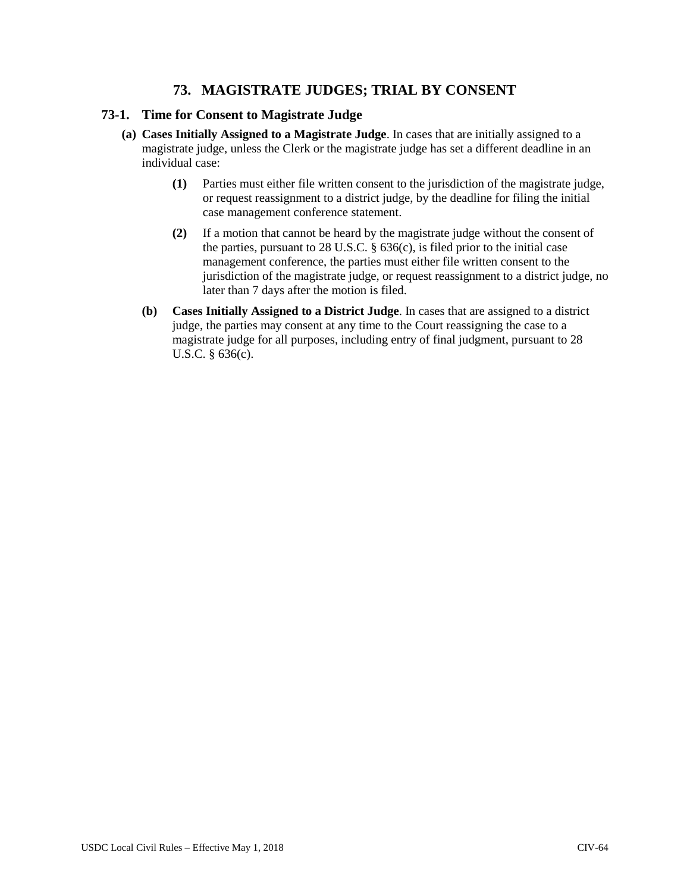# **73. MAGISTRATE JUDGES; TRIAL BY CONSENT**

## **73-1. Time for Consent to Magistrate Judge**

- **(a) Cases Initially Assigned to a Magistrate Judge**. In cases that are initially assigned to a magistrate judge, unless the Clerk or the magistrate judge has set a different deadline in an individual case:
	- **(1)** Parties must either file written consent to the jurisdiction of the magistrate judge, or request reassignment to a district judge, by the deadline for filing the initial case management conference statement.
	- **(2)** If a motion that cannot be heard by the magistrate judge without the consent of the parties, pursuant to 28 U.S.C. § 636(c), is filed prior to the initial case management conference, the parties must either file written consent to the jurisdiction of the magistrate judge, or request reassignment to a district judge, no later than 7 days after the motion is filed.
	- **(b) Cases Initially Assigned to a District Judge**. In cases that are assigned to a district judge, the parties may consent at any time to the Court reassigning the case to a magistrate judge for all purposes, including entry of final judgment, pursuant to 28 U.S.C. § 636(c).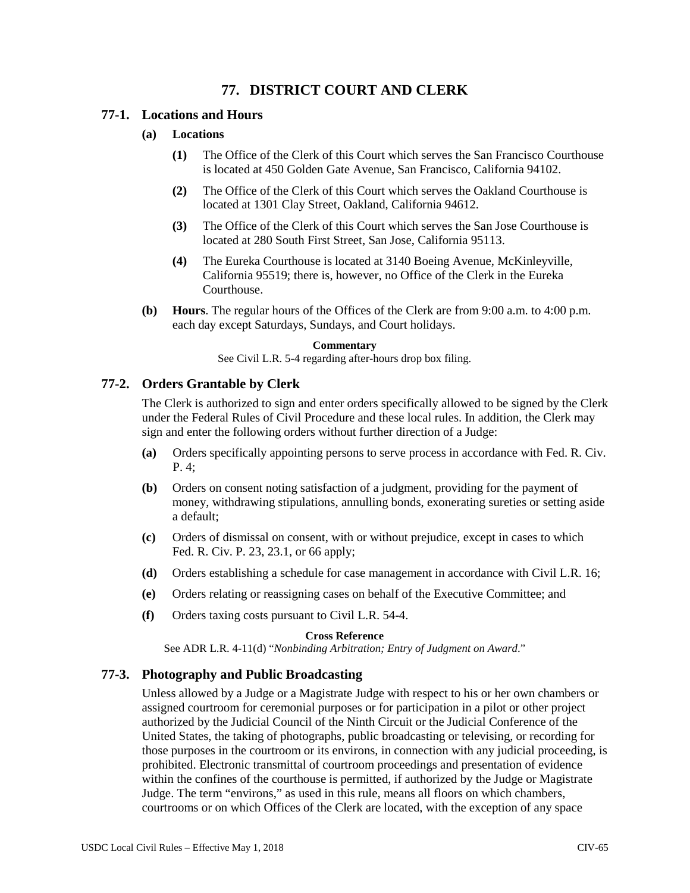## **77. DISTRICT COURT AND CLERK**

### **77-1. Locations and Hours**

### **(a) Locations**

- **(1)** The Office of the Clerk of this Court which serves the San Francisco Courthouse is located at 450 Golden Gate Avenue, San Francisco, California 94102.
- **(2)** The Office of the Clerk of this Court which serves the Oakland Courthouse is located at 1301 Clay Street, Oakland, California 94612.
- **(3)** The Office of the Clerk of this Court which serves the San Jose Courthouse is located at 280 South First Street, San Jose, California 95113.
- **(4)** The Eureka Courthouse is located at 3140 Boeing Avenue, McKinleyville, California 95519; there is, however, no Office of the Clerk in the Eureka **Courthouse**
- **(b) Hours**. The regular hours of the Offices of the Clerk are from 9:00 a.m. to 4:00 p.m. each day except Saturdays, Sundays, and Court holidays.

#### **Commentary**

See Civil L.R. 5-4 regarding after-hours drop box filing.

## **77-2. Orders Grantable by Clerk**

The Clerk is authorized to sign and enter orders specifically allowed to be signed by the Clerk under the Federal Rules of Civil Procedure and these local rules. In addition, the Clerk may sign and enter the following orders without further direction of a Judge:

- **(a)** Orders specifically appointing persons to serve process in accordance with Fed. R. Civ. P. 4;
- **(b)** Orders on consent noting satisfaction of a judgment, providing for the payment of money, withdrawing stipulations, annulling bonds, exonerating sureties or setting aside a default;
- **(c)** Orders of dismissal on consent, with or without prejudice, except in cases to which Fed. R. Civ. P. 23, 23.1, or 66 apply;
- **(d)** Orders establishing a schedule for case management in accordance with Civil L.R. 16;
- **(e)** Orders relating or reassigning cases on behalf of the Executive Committee; and
- **(f)** Orders taxing costs pursuant to Civil L.R. 54-4.

#### **Cross Reference**

See ADR L.R. 4-11(d) "*Nonbinding Arbitration; Entry of Judgment on Award*."

## **77-3. Photography and Public Broadcasting**

Unless allowed by a Judge or a Magistrate Judge with respect to his or her own chambers or assigned courtroom for ceremonial purposes or for participation in a pilot or other project authorized by the Judicial Council of the Ninth Circuit or the Judicial Conference of the United States, the taking of photographs, public broadcasting or televising, or recording for those purposes in the courtroom or its environs, in connection with any judicial proceeding, is prohibited. Electronic transmittal of courtroom proceedings and presentation of evidence within the confines of the courthouse is permitted, if authorized by the Judge or Magistrate Judge. The term "environs," as used in this rule, means all floors on which chambers, courtrooms or on which Offices of the Clerk are located, with the exception of any space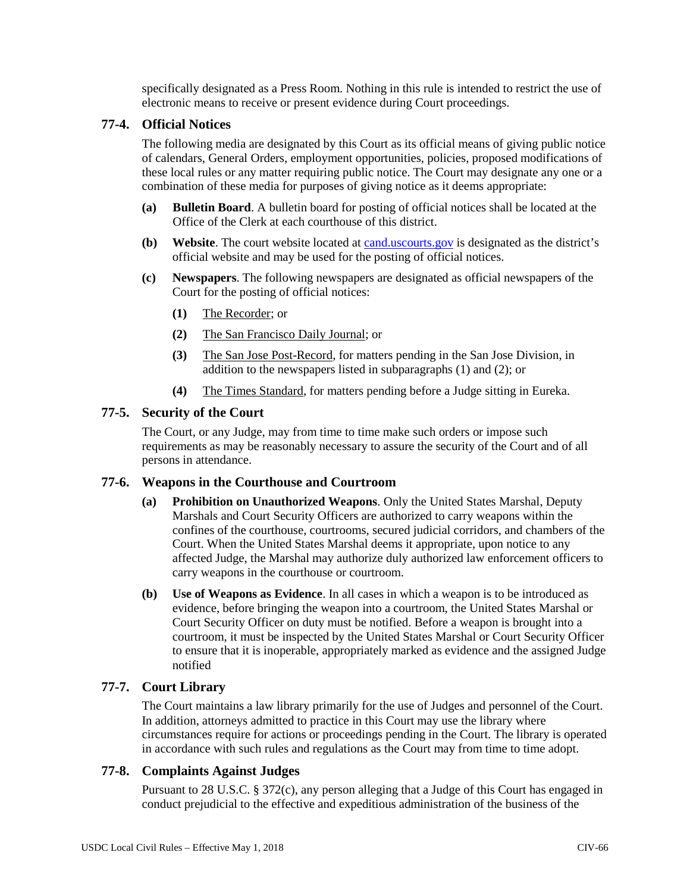specifically designated as a Press Room. Nothing in this rule is intended to restrict the use of electronic means to receive or present evidence during Court proceedings.

### **77-4. Official Notices**

The following media are designated by this Court as its official means of giving public notice of calendars, General Orders, employment opportunities, policies, proposed modifications of these local rules or any matter requiring public notice. The Court may designate any one or a combination of these media for purposes of giving notice as it deems appropriate:

- **(a) Bulletin Board**. A bulletin board for posting of official notices shall be located at the Office of the Clerk at each courthouse of this district.
- **(b) Website**. The court website located at [cand.uscourts.gov](http://www.cand.uscourts.gov/) is designated as the district's official website and may be used for the posting of official notices.
- **(c) Newspapers**. The following newspapers are designated as official newspapers of the Court for the posting of official notices:
	- **(1)** The Recorder; or
	- **(2)** The San Francisco Daily Journal; or
	- **(3)** The San Jose Post-Record, for matters pending in the San Jose Division, in addition to the newspapers listed in subparagraphs (1) and (2); or
	- **(4)** The Times Standard, for matters pending before a Judge sitting in Eureka.

## **77-5. Security of the Court**

The Court, or any Judge, may from time to time make such orders or impose such requirements as may be reasonably necessary to assure the security of the Court and of all persons in attendance.

### **77-6. Weapons in the Courthouse and Courtroom**

- **(a) Prohibition on Unauthorized Weapons**. Only the United States Marshal, Deputy Marshals and Court Security Officers are authorized to carry weapons within the confines of the courthouse, courtrooms, secured judicial corridors, and chambers of the Court. When the United States Marshal deems it appropriate, upon notice to any affected Judge, the Marshal may authorize duly authorized law enforcement officers to carry weapons in the courthouse or courtroom.
- **(b) Use of Weapons as Evidence**. In all cases in which a weapon is to be introduced as evidence, before bringing the weapon into a courtroom, the United States Marshal or Court Security Officer on duty must be notified. Before a weapon is brought into a courtroom, it must be inspected by the United States Marshal or Court Security Officer to ensure that it is inoperable, appropriately marked as evidence and the assigned Judge notified

## **77-7. Court Library**

The Court maintains a law library primarily for the use of Judges and personnel of the Court. In addition, attorneys admitted to practice in this Court may use the library where circumstances require for actions or proceedings pending in the Court. The library is operated in accordance with such rules and regulations as the Court may from time to time adopt.

### **77-8. Complaints Against Judges**

Pursuant to 28 U.S.C. § 372(c), any person alleging that a Judge of this Court has engaged in conduct prejudicial to the effective and expeditious administration of the business of the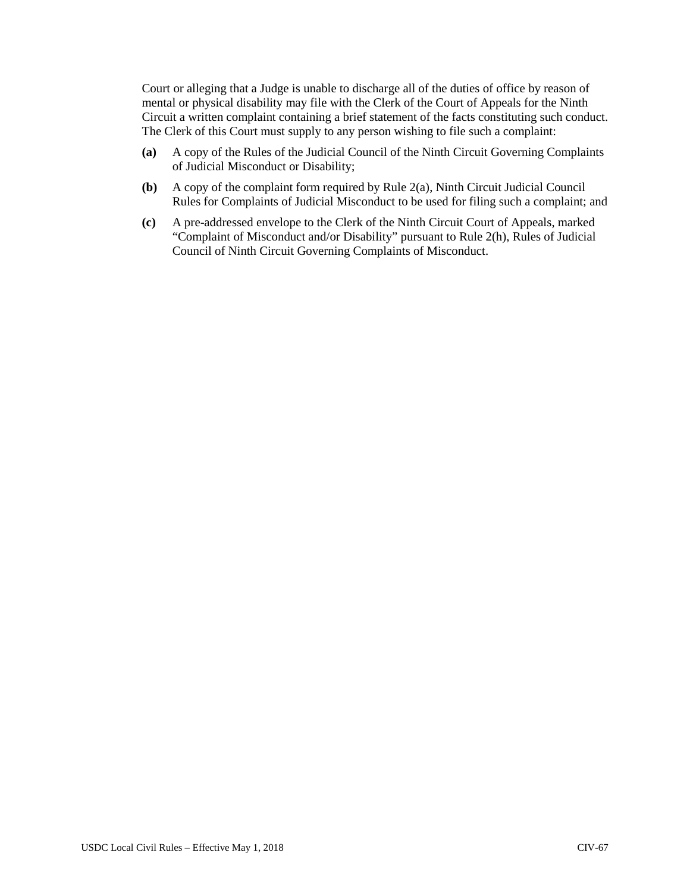Court or alleging that a Judge is unable to discharge all of the duties of office by reason of mental or physical disability may file with the Clerk of the Court of Appeals for the Ninth Circuit a written complaint containing a brief statement of the facts constituting such conduct. The Clerk of this Court must supply to any person wishing to file such a complaint:

- **(a)** A copy of the Rules of the Judicial Council of the Ninth Circuit Governing Complaints of Judicial Misconduct or Disability;
- **(b)** A copy of the complaint form required by Rule 2(a), Ninth Circuit Judicial Council Rules for Complaints of Judicial Misconduct to be used for filing such a complaint; and
- **(c)** A pre-addressed envelope to the Clerk of the Ninth Circuit Court of Appeals, marked "Complaint of Misconduct and/or Disability" pursuant to Rule 2(h), Rules of Judicial Council of Ninth Circuit Governing Complaints of Misconduct.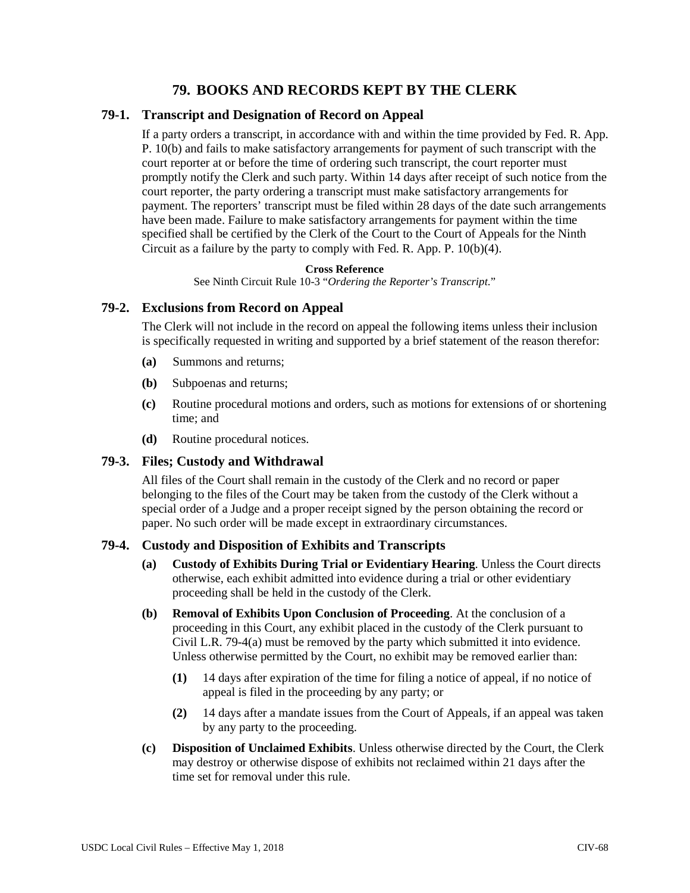## **79. BOOKS AND RECORDS KEPT BY THE CLERK**

## **79-1. Transcript and Designation of Record on Appeal**

If a party orders a transcript, in accordance with and within the time provided by Fed. R. App. P. 10(b) and fails to make satisfactory arrangements for payment of such transcript with the court reporter at or before the time of ordering such transcript, the court reporter must promptly notify the Clerk and such party. Within 14 days after receipt of such notice from the court reporter, the party ordering a transcript must make satisfactory arrangements for payment. The reporters' transcript must be filed within 28 days of the date such arrangements have been made. Failure to make satisfactory arrangements for payment within the time specified shall be certified by the Clerk of the Court to the Court of Appeals for the Ninth Circuit as a failure by the party to comply with Fed. R. App. P.  $10(b)(4)$ .

### **Cross Reference**

See Ninth Circuit Rule 10-3 "*Ordering the Reporter's Transcript*."

## **79-2. Exclusions from Record on Appeal**

The Clerk will not include in the record on appeal the following items unless their inclusion is specifically requested in writing and supported by a brief statement of the reason therefor:

- **(a)** Summons and returns;
- **(b)** Subpoenas and returns;
- **(c)** Routine procedural motions and orders, such as motions for extensions of or shortening time; and
- **(d)** Routine procedural notices.

### **79-3. Files; Custody and Withdrawal**

All files of the Court shall remain in the custody of the Clerk and no record or paper belonging to the files of the Court may be taken from the custody of the Clerk without a special order of a Judge and a proper receipt signed by the person obtaining the record or paper. No such order will be made except in extraordinary circumstances.

## **79-4. Custody and Disposition of Exhibits and Transcripts**

- **(a) Custody of Exhibits During Trial or Evidentiary Hearing**. Unless the Court directs otherwise, each exhibit admitted into evidence during a trial or other evidentiary proceeding shall be held in the custody of the Clerk.
- **(b) Removal of Exhibits Upon Conclusion of Proceeding**. At the conclusion of a proceeding in this Court, any exhibit placed in the custody of the Clerk pursuant to Civil L.R. 79-4(a) must be removed by the party which submitted it into evidence. Unless otherwise permitted by the Court, no exhibit may be removed earlier than:
	- **(1)** 14 days after expiration of the time for filing a notice of appeal, if no notice of appeal is filed in the proceeding by any party; or
	- **(2)** 14 days after a mandate issues from the Court of Appeals, if an appeal was taken by any party to the proceeding.
- **(c) Disposition of Unclaimed Exhibits**. Unless otherwise directed by the Court, the Clerk may destroy or otherwise dispose of exhibits not reclaimed within 21 days after the time set for removal under this rule.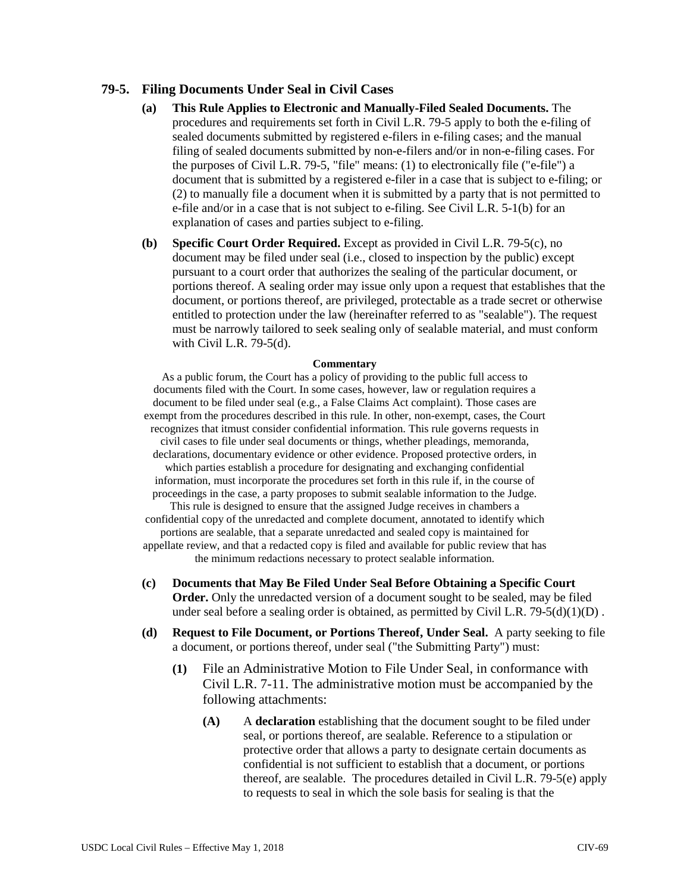## **79-5. Filing Documents Under Seal in Civil Cases**

- **(a) This Rule Applies to Electronic and Manually-Filed Sealed Documents.** The procedures and requirements set forth in Civil L.R. 79-5 apply to both the e-filing of sealed documents submitted by registered e-filers in e-filing cases; and the manual filing of sealed documents submitted by non-e-filers and/or in non-e-filing cases. For the purposes of Civil L.R. 79-5, "file" means: (1) to electronically file ("e-file") a document that is submitted by a registered e-filer in a case that is subject to e-filing; or (2) to manually file a document when it is submitted by a party that is not permitted to e-file and/or in a case that is not subject to e-filing. See Civil L.R. 5-1(b) for an explanation of cases and parties subject to e-filing.
- **(b) Specific Court Order Required.** Except as provided in Civil L.R. 79-5(c), no document may be filed under seal (i.e., closed to inspection by the public) except pursuant to a court order that authorizes the sealing of the particular document, or portions thereof. A sealing order may issue only upon a request that establishes that the document, or portions thereof, are privileged, protectable as a trade secret or otherwise entitled to protection under the law (hereinafter referred to as "sealable"). The request must be narrowly tailored to seek sealing only of sealable material, and must conform with Civil L.R. 79-5(d).

#### **Commentary**

As a public forum, the Court has a policy of providing to the public full access to documents filed with the Court. In some cases, however, law or regulation requires a document to be filed under seal (e.g., a False Claims Act complaint). Those cases are exempt from the procedures described in this rule. In other, non-exempt, cases, the Court recognizes that itmust consider confidential information. This rule governs requests in civil cases to file under seal documents or things, whether pleadings, memoranda, declarations, documentary evidence or other evidence. Proposed protective orders, in which parties establish a procedure for designating and exchanging confidential information, must incorporate the procedures set forth in this rule if, in the course of proceedings in the case, a party proposes to submit sealable information to the Judge. This rule is designed to ensure that the assigned Judge receives in chambers a confidential copy of the unredacted and complete document, annotated to identify which portions are sealable, that a separate unredacted and sealed copy is maintained for appellate review, and that a redacted copy is filed and available for public review that has the minimum redactions necessary to protect sealable information.

- **(c) Documents that May Be Filed Under Seal Before Obtaining a Specific Court Order.** Only the unredacted version of a document sought to be sealed, may be filed under seal before a sealing order is obtained, as permitted by Civil L.R. 79-5(d)(1)(D).
- **(d) Request to File Document, or Portions Thereof, Under Seal.** A party seeking to file a document, or portions thereof, under seal ("the Submitting Party") must:
	- **(1)** File an Administrative Motion to File Under Seal, in conformance with Civil L.R. 7-11. The administrative motion must be accompanied by the following attachments:
		- **(A)** A **declaration** establishing that the document sought to be filed under seal, or portions thereof, are sealable. Reference to a stipulation or protective order that allows a party to designate certain documents as confidential is not sufficient to establish that a document, or portions thereof, are sealable. The procedures detailed in Civil L.R. 79-5(e) apply to requests to seal in which the sole basis for sealing is that the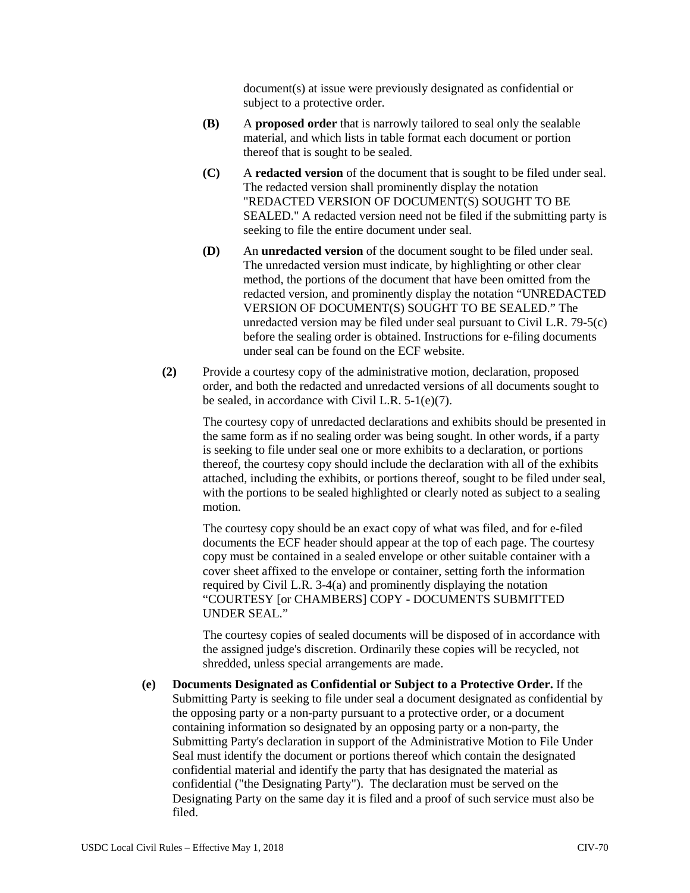document(s) at issue were previously designated as confidential or subject to a protective order.

- **(B)** A **proposed order** that is narrowly tailored to seal only the sealable material, and which lists in table format each document or portion thereof that is sought to be sealed.
- **(C)** A **redacted version** of the document that is sought to be filed under seal. The redacted version shall prominently display the notation "REDACTED VERSION OF DOCUMENT(S) SOUGHT TO BE SEALED." A redacted version need not be filed if the submitting party is seeking to file the entire document under seal.
- **(D)** An **unredacted version** of the document sought to be filed under seal. The unredacted version must indicate, by highlighting or other clear method, the portions of the document that have been omitted from the redacted version, and prominently display the notation "UNREDACTED VERSION OF DOCUMENT(S) SOUGHT TO BE SEALED." The unredacted version may be filed under seal pursuant to Civil L.R. 79-5(c) before the sealing order is obtained. Instructions for e-filing documents under seal can be found on the ECF website.
- **(2)** Provide a courtesy copy of the administrative motion, declaration, proposed order, and both the redacted and unredacted versions of all documents sought to be sealed, in accordance with Civil L.R. 5-1(e)(7).

The courtesy copy of unredacted declarations and exhibits should be presented in the same form as if no sealing order was being sought. In other words, if a party is seeking to file under seal one or more exhibits to a declaration, or portions thereof, the courtesy copy should include the declaration with all of the exhibits attached, including the exhibits, or portions thereof, sought to be filed under seal, with the portions to be sealed highlighted or clearly noted as subject to a sealing motion.

The courtesy copy should be an exact copy of what was filed, and for e-filed documents the ECF header should appear at the top of each page. The courtesy copy must be contained in a sealed envelope or other suitable container with a cover sheet affixed to the envelope or container, setting forth the information required by Civil L.R. 3-4(a) and prominently displaying the notation "COURTESY [or CHAMBERS] COPY - DOCUMENTS SUBMITTED UNDER SEAL."

The courtesy copies of sealed documents will be disposed of in accordance with the assigned judge's discretion. Ordinarily these copies will be recycled, not shredded, unless special arrangements are made.

**(e) Documents Designated as Confidential or Subject to a Protective Order.** If the Submitting Party is seeking to file under seal a document designated as confidential by the opposing party or a non-party pursuant to a protective order, or a document containing information so designated by an opposing party or a non-party, the Submitting Party's declaration in support of the Administrative Motion to File Under Seal must identify the document or portions thereof which contain the designated confidential material and identify the party that has designated the material as confidential ("the Designating Party"). The declaration must be served on the Designating Party on the same day it is filed and a proof of such service must also be filed.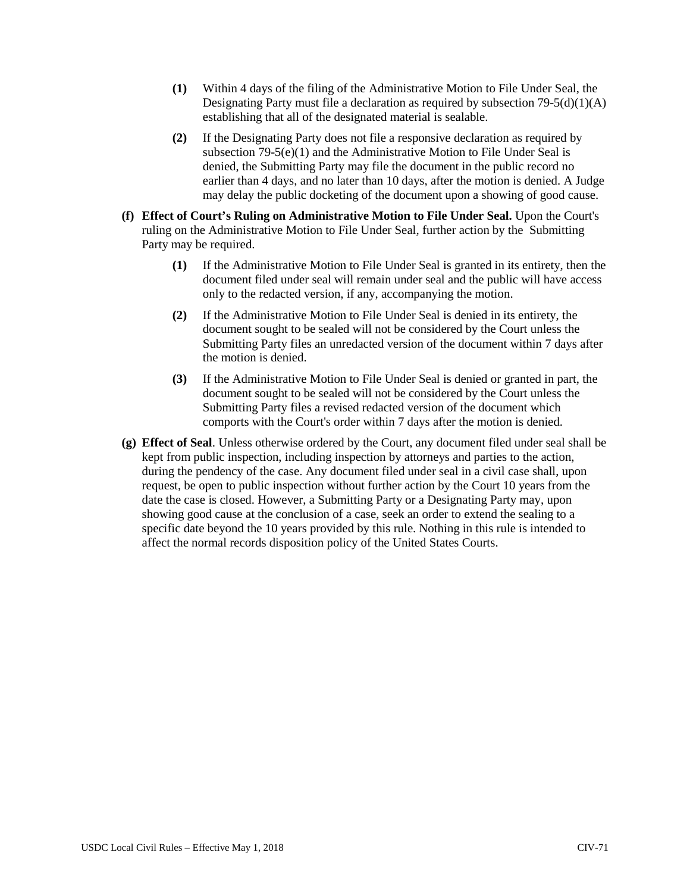- **(1)** Within 4 days of the filing of the Administrative Motion to File Under Seal, the Designating Party must file a declaration as required by subsection  $79-5(d)(1)(A)$ establishing that all of the designated material is sealable.
- **(2)** If the Designating Party does not file a responsive declaration as required by subsection 79-5(e)(1) and the Administrative Motion to File Under Seal is denied, the Submitting Party may file the document in the public record no earlier than 4 days, and no later than 10 days, after the motion is denied. A Judge may delay the public docketing of the document upon a showing of good cause.
- **(f) Effect of Court's Ruling on Administrative Motion to File Under Seal.** Upon the Court's ruling on the Administrative Motion to File Under Seal, further action by the Submitting Party may be required.
	- **(1)** If the Administrative Motion to File Under Seal is granted in its entirety, then the document filed under seal will remain under seal and the public will have access only to the redacted version, if any, accompanying the motion.
	- **(2)** If the Administrative Motion to File Under Seal is denied in its entirety, the document sought to be sealed will not be considered by the Court unless the Submitting Party files an unredacted version of the document within 7 days after the motion is denied.
	- **(3)** If the Administrative Motion to File Under Seal is denied or granted in part, the document sought to be sealed will not be considered by the Court unless the Submitting Party files a revised redacted version of the document which comports with the Court's order within 7 days after the motion is denied.
- **(g) Effect of Seal**. Unless otherwise ordered by the Court, any document filed under seal shall be kept from public inspection, including inspection by attorneys and parties to the action, during the pendency of the case. Any document filed under seal in a civil case shall, upon request, be open to public inspection without further action by the Court 10 years from the date the case is closed. However, a Submitting Party or a Designating Party may, upon showing good cause at the conclusion of a case, seek an order to extend the sealing to a specific date beyond the 10 years provided by this rule. Nothing in this rule is intended to affect the normal records disposition policy of the United States Courts.